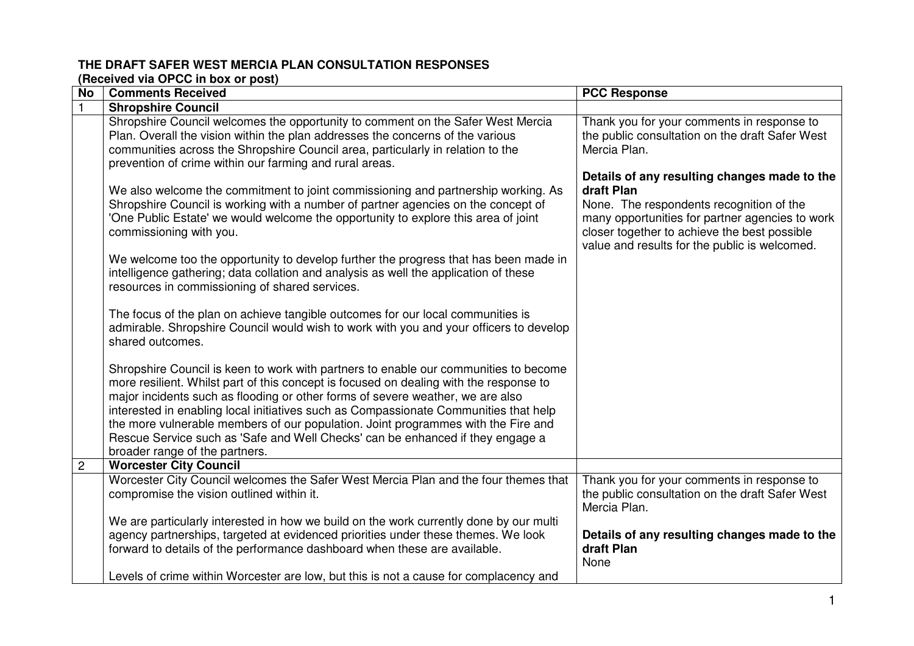## **THE DRAFT SAFER WEST MERCIA PLAN CONSULTATION RESPONSES**

**(Received via OPCC in box or post)** 

| No | <b>Comments Received</b>                                                                                                                                                                                                                                                                                                                                                                                                                                                                                                                                          | <b>PCC Response</b>                                                                                                                                                                                                                                        |
|----|-------------------------------------------------------------------------------------------------------------------------------------------------------------------------------------------------------------------------------------------------------------------------------------------------------------------------------------------------------------------------------------------------------------------------------------------------------------------------------------------------------------------------------------------------------------------|------------------------------------------------------------------------------------------------------------------------------------------------------------------------------------------------------------------------------------------------------------|
|    | <b>Shropshire Council</b>                                                                                                                                                                                                                                                                                                                                                                                                                                                                                                                                         |                                                                                                                                                                                                                                                            |
|    | Shropshire Council welcomes the opportunity to comment on the Safer West Mercia<br>Plan. Overall the vision within the plan addresses the concerns of the various<br>communities across the Shropshire Council area, particularly in relation to the<br>prevention of crime within our farming and rural areas.                                                                                                                                                                                                                                                   | Thank you for your comments in response to<br>the public consultation on the draft Safer West<br>Mercia Plan.                                                                                                                                              |
|    | We also welcome the commitment to joint commissioning and partnership working. As<br>Shropshire Council is working with a number of partner agencies on the concept of<br>'One Public Estate' we would welcome the opportunity to explore this area of joint<br>commissioning with you.                                                                                                                                                                                                                                                                           | Details of any resulting changes made to the<br>draft Plan<br>None. The respondents recognition of the<br>many opportunities for partner agencies to work<br>closer together to achieve the best possible<br>value and results for the public is welcomed. |
|    | We welcome too the opportunity to develop further the progress that has been made in<br>intelligence gathering; data collation and analysis as well the application of these<br>resources in commissioning of shared services.                                                                                                                                                                                                                                                                                                                                    |                                                                                                                                                                                                                                                            |
|    | The focus of the plan on achieve tangible outcomes for our local communities is<br>admirable. Shropshire Council would wish to work with you and your officers to develop<br>shared outcomes.                                                                                                                                                                                                                                                                                                                                                                     |                                                                                                                                                                                                                                                            |
|    | Shropshire Council is keen to work with partners to enable our communities to become<br>more resilient. Whilst part of this concept is focused on dealing with the response to<br>major incidents such as flooding or other forms of severe weather, we are also<br>interested in enabling local initiatives such as Compassionate Communities that help<br>the more vulnerable members of our population. Joint programmes with the Fire and<br>Rescue Service such as 'Safe and Well Checks' can be enhanced if they engage a<br>broader range of the partners. |                                                                                                                                                                                                                                                            |
| 2  | <b>Worcester City Council</b>                                                                                                                                                                                                                                                                                                                                                                                                                                                                                                                                     |                                                                                                                                                                                                                                                            |
|    | Worcester City Council welcomes the Safer West Mercia Plan and the four themes that<br>compromise the vision outlined within it.                                                                                                                                                                                                                                                                                                                                                                                                                                  | Thank you for your comments in response to<br>the public consultation on the draft Safer West<br>Mercia Plan.                                                                                                                                              |
|    | We are particularly interested in how we build on the work currently done by our multi<br>agency partnerships, targeted at evidenced priorities under these themes. We look<br>forward to details of the performance dashboard when these are available.<br>Levels of crime within Worcester are low, but this is not a cause for complacency and                                                                                                                                                                                                                 | Details of any resulting changes made to the<br>draft Plan<br>None                                                                                                                                                                                         |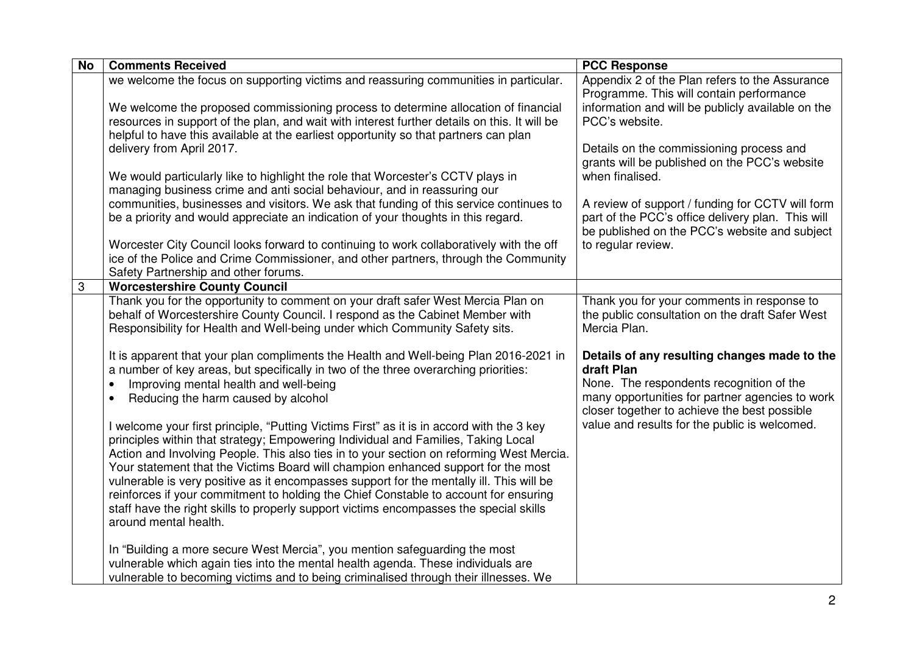| <b>No</b> | <b>Comments Received</b>                                                                                                                                                      | <b>PCC Response</b>                                                                           |
|-----------|-------------------------------------------------------------------------------------------------------------------------------------------------------------------------------|-----------------------------------------------------------------------------------------------|
|           | we welcome the focus on supporting victims and reassuring communities in particular.                                                                                          | Appendix 2 of the Plan refers to the Assurance                                                |
|           |                                                                                                                                                                               | Programme. This will contain performance                                                      |
|           | We welcome the proposed commissioning process to determine allocation of financial                                                                                            | information and will be publicly available on the                                             |
|           | resources in support of the plan, and wait with interest further details on this. It will be                                                                                  | PCC's website.                                                                                |
|           | helpful to have this available at the earliest opportunity so that partners can plan<br>delivery from April 2017.                                                             | Details on the commissioning process and                                                      |
|           |                                                                                                                                                                               | grants will be published on the PCC's website                                                 |
|           | We would particularly like to highlight the role that Worcester's CCTV plays in                                                                                               | when finalised.                                                                               |
|           | managing business crime and anti social behaviour, and in reassuring our                                                                                                      |                                                                                               |
|           | communities, businesses and visitors. We ask that funding of this service continues to                                                                                        | A review of support / funding for CCTV will form                                              |
|           | be a priority and would appreciate an indication of your thoughts in this regard.                                                                                             | part of the PCC's office delivery plan. This will                                             |
|           |                                                                                                                                                                               | be published on the PCC's website and subject                                                 |
|           | Worcester City Council looks forward to continuing to work collaboratively with the off                                                                                       | to regular review.                                                                            |
|           | ice of the Police and Crime Commissioner, and other partners, through the Community                                                                                           |                                                                                               |
|           | Safety Partnership and other forums.                                                                                                                                          |                                                                                               |
| 3         | <b>Worcestershire County Council</b>                                                                                                                                          |                                                                                               |
|           | Thank you for the opportunity to comment on your draft safer West Mercia Plan on<br>behalf of Worcestershire County Council. I respond as the Cabinet Member with             | Thank you for your comments in response to<br>the public consultation on the draft Safer West |
|           | Responsibility for Health and Well-being under which Community Safety sits.                                                                                                   | Mercia Plan.                                                                                  |
|           |                                                                                                                                                                               |                                                                                               |
|           | It is apparent that your plan compliments the Health and Well-being Plan 2016-2021 in                                                                                         | Details of any resulting changes made to the                                                  |
|           | a number of key areas, but specifically in two of the three overarching priorities:                                                                                           | draft Plan                                                                                    |
|           | Improving mental health and well-being<br>$\bullet$                                                                                                                           | None. The respondents recognition of the                                                      |
|           | Reducing the harm caused by alcohol<br>$\bullet$                                                                                                                              | many opportunities for partner agencies to work                                               |
|           |                                                                                                                                                                               | closer together to achieve the best possible                                                  |
|           | I welcome your first principle, "Putting Victims First" as it is in accord with the 3 key                                                                                     | value and results for the public is welcomed.                                                 |
|           | principles within that strategy; Empowering Individual and Families, Taking Local                                                                                             |                                                                                               |
|           | Action and Involving People. This also ties in to your section on reforming West Mercia.                                                                                      |                                                                                               |
|           | Your statement that the Victims Board will champion enhanced support for the most<br>vulnerable is very positive as it encompasses support for the mentally ill. This will be |                                                                                               |
|           | reinforces if your commitment to holding the Chief Constable to account for ensuring                                                                                          |                                                                                               |
|           | staff have the right skills to properly support victims encompasses the special skills                                                                                        |                                                                                               |
|           | around mental health.                                                                                                                                                         |                                                                                               |
|           |                                                                                                                                                                               |                                                                                               |
|           | In "Building a more secure West Mercia", you mention safeguarding the most                                                                                                    |                                                                                               |
|           | vulnerable which again ties into the mental health agenda. These individuals are                                                                                              |                                                                                               |
|           | vulnerable to becoming victims and to being criminalised through their illnesses. We                                                                                          |                                                                                               |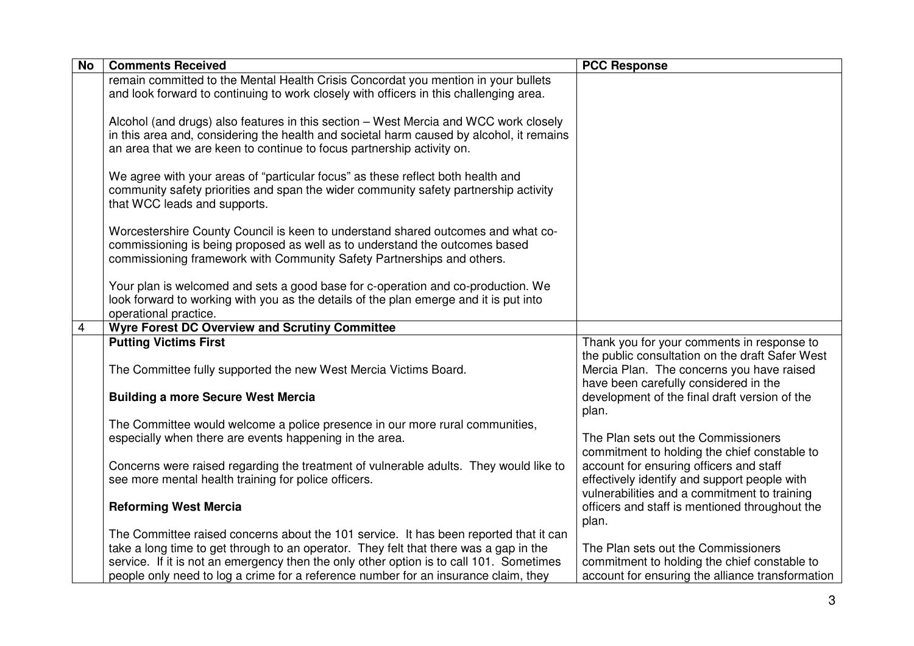| <b>No</b> | <b>Comments Received</b>                                                                                                                                                                                                                                                                                                                                         | <b>PCC Response</b>                                                                                                                        |
|-----------|------------------------------------------------------------------------------------------------------------------------------------------------------------------------------------------------------------------------------------------------------------------------------------------------------------------------------------------------------------------|--------------------------------------------------------------------------------------------------------------------------------------------|
|           | remain committed to the Mental Health Crisis Concordat you mention in your bullets<br>and look forward to continuing to work closely with officers in this challenging area.                                                                                                                                                                                     |                                                                                                                                            |
|           | Alcohol (and drugs) also features in this section – West Mercia and WCC work closely<br>in this area and, considering the health and societal harm caused by alcohol, it remains<br>an area that we are keen to continue to focus partnership activity on.                                                                                                       |                                                                                                                                            |
|           | We agree with your areas of "particular focus" as these reflect both health and<br>community safety priorities and span the wider community safety partnership activity<br>that WCC leads and supports.                                                                                                                                                          |                                                                                                                                            |
|           | Worcestershire County Council is keen to understand shared outcomes and what co-<br>commissioning is being proposed as well as to understand the outcomes based<br>commissioning framework with Community Safety Partnerships and others.                                                                                                                        |                                                                                                                                            |
|           | Your plan is welcomed and sets a good base for c-operation and co-production. We<br>look forward to working with you as the details of the plan emerge and it is put into<br>operational practice.                                                                                                                                                               |                                                                                                                                            |
| 4         | <b>Wyre Forest DC Overview and Scrutiny Committee</b>                                                                                                                                                                                                                                                                                                            |                                                                                                                                            |
|           | <b>Putting Victims First</b><br>The Committee fully supported the new West Mercia Victims Board.                                                                                                                                                                                                                                                                 | Thank you for your comments in response to<br>the public consultation on the draft Safer West<br>Mercia Plan. The concerns you have raised |
|           | <b>Building a more Secure West Mercia</b>                                                                                                                                                                                                                                                                                                                        | have been carefully considered in the<br>development of the final draft version of the<br>plan.                                            |
|           | The Committee would welcome a police presence in our more rural communities,<br>especially when there are events happening in the area.                                                                                                                                                                                                                          | The Plan sets out the Commissioners<br>commitment to holding the chief constable to                                                        |
|           | Concerns were raised regarding the treatment of vulnerable adults. They would like to<br>see more mental health training for police officers.                                                                                                                                                                                                                    | account for ensuring officers and staff<br>effectively identify and support people with<br>vulnerabilities and a commitment to training    |
|           | <b>Reforming West Mercia</b>                                                                                                                                                                                                                                                                                                                                     | officers and staff is mentioned throughout the<br>plan.                                                                                    |
|           | The Committee raised concerns about the 101 service. It has been reported that it can<br>take a long time to get through to an operator. They felt that there was a gap in the<br>service. If it is not an emergency then the only other option is to call 101. Sometimes<br>people only need to log a crime for a reference number for an insurance claim, they | The Plan sets out the Commissioners<br>commitment to holding the chief constable to<br>account for ensuring the alliance transformation    |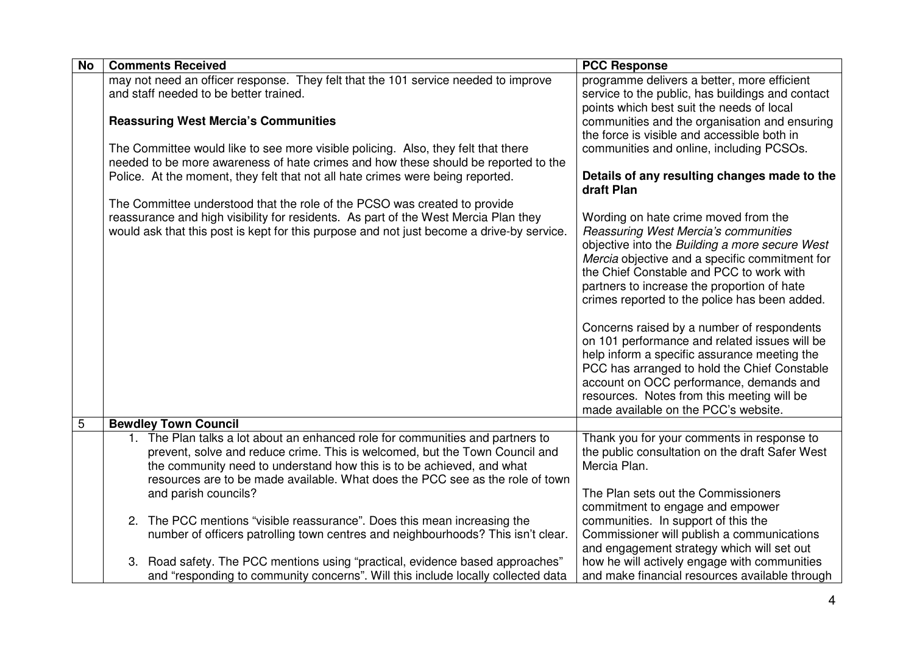| <b>No</b> | <b>Comments Received</b>                                                                  | <b>PCC Response</b>                                                                          |
|-----------|-------------------------------------------------------------------------------------------|----------------------------------------------------------------------------------------------|
|           | may not need an officer response. They felt that the 101 service needed to improve        | programme delivers a better, more efficient                                                  |
|           | and staff needed to be better trained.                                                    | service to the public, has buildings and contact                                             |
|           |                                                                                           | points which best suit the needs of local                                                    |
|           | <b>Reassuring West Mercia's Communities</b>                                               | communities and the organisation and ensuring                                                |
|           |                                                                                           | the force is visible and accessible both in                                                  |
|           | The Committee would like to see more visible policing. Also, they felt that there         | communities and online, including PCSOs.                                                     |
|           | needed to be more awareness of hate crimes and how these should be reported to the        |                                                                                              |
|           | Police. At the moment, they felt that not all hate crimes were being reported.            | Details of any resulting changes made to the                                                 |
|           |                                                                                           | draft Plan                                                                                   |
|           | The Committee understood that the role of the PCSO was created to provide                 |                                                                                              |
|           | reassurance and high visibility for residents. As part of the West Mercia Plan they       | Wording on hate crime moved from the                                                         |
|           | would ask that this post is kept for this purpose and not just become a drive-by service. | Reassuring West Mercia's communities                                                         |
|           |                                                                                           | objective into the Building a more secure West                                               |
|           |                                                                                           | Mercia objective and a specific commitment for                                               |
|           |                                                                                           | the Chief Constable and PCC to work with                                                     |
|           |                                                                                           | partners to increase the proportion of hate<br>crimes reported to the police has been added. |
|           |                                                                                           |                                                                                              |
|           |                                                                                           | Concerns raised by a number of respondents                                                   |
|           |                                                                                           | on 101 performance and related issues will be                                                |
|           |                                                                                           | help inform a specific assurance meeting the                                                 |
|           |                                                                                           | PCC has arranged to hold the Chief Constable                                                 |
|           |                                                                                           | account on OCC performance, demands and                                                      |
|           |                                                                                           | resources. Notes from this meeting will be                                                   |
|           |                                                                                           | made available on the PCC's website.                                                         |
| 5         | <b>Bewdley Town Council</b>                                                               |                                                                                              |
|           | 1. The Plan talks a lot about an enhanced role for communities and partners to            | Thank you for your comments in response to                                                   |
|           | prevent, solve and reduce crime. This is welcomed, but the Town Council and               | the public consultation on the draft Safer West                                              |
|           | the community need to understand how this is to be achieved, and what                     | Mercia Plan.                                                                                 |
|           | resources are to be made available. What does the PCC see as the role of town             |                                                                                              |
|           | and parish councils?                                                                      | The Plan sets out the Commissioners                                                          |
|           |                                                                                           | commitment to engage and empower                                                             |
|           | 2. The PCC mentions "visible reassurance". Does this mean increasing the                  | communities. In support of this the                                                          |
|           | number of officers patrolling town centres and neighbourhoods? This isn't clear.          | Commissioner will publish a communications                                                   |
|           |                                                                                           | and engagement strategy which will set out                                                   |
|           | 3. Road safety. The PCC mentions using "practical, evidence based approaches"             | how he will actively engage with communities                                                 |
|           | and "responding to community concerns". Will this include locally collected data          | and make financial resources available through                                               |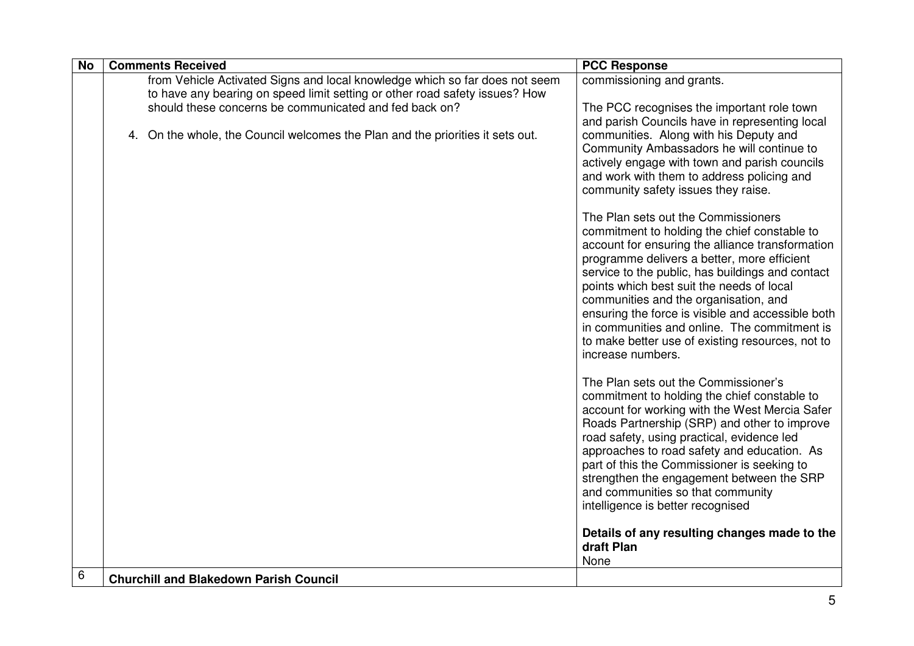| <b>No</b> | <b>Comments Received</b>                                                       | <b>PCC Response</b>                               |
|-----------|--------------------------------------------------------------------------------|---------------------------------------------------|
|           | from Vehicle Activated Signs and local knowledge which so far does not seem    | commissioning and grants.                         |
|           | to have any bearing on speed limit setting or other road safety issues? How    |                                                   |
|           | should these concerns be communicated and fed back on?                         | The PCC recognises the important role town        |
|           |                                                                                | and parish Councils have in representing local    |
|           | 4. On the whole, the Council welcomes the Plan and the priorities it sets out. | communities. Along with his Deputy and            |
|           |                                                                                | Community Ambassadors he will continue to         |
|           |                                                                                | actively engage with town and parish councils     |
|           |                                                                                | and work with them to address policing and        |
|           |                                                                                | community safety issues they raise.               |
|           |                                                                                | The Plan sets out the Commissioners               |
|           |                                                                                | commitment to holding the chief constable to      |
|           |                                                                                | account for ensuring the alliance transformation  |
|           |                                                                                | programme delivers a better, more efficient       |
|           |                                                                                | service to the public, has buildings and contact  |
|           |                                                                                | points which best suit the needs of local         |
|           |                                                                                | communities and the organisation, and             |
|           |                                                                                | ensuring the force is visible and accessible both |
|           |                                                                                | in communities and online. The commitment is      |
|           |                                                                                | to make better use of existing resources, not to  |
|           |                                                                                | increase numbers.                                 |
|           |                                                                                | The Plan sets out the Commissioner's              |
|           |                                                                                | commitment to holding the chief constable to      |
|           |                                                                                | account for working with the West Mercia Safer    |
|           |                                                                                | Roads Partnership (SRP) and other to improve      |
|           |                                                                                | road safety, using practical, evidence led        |
|           |                                                                                | approaches to road safety and education. As       |
|           |                                                                                | part of this the Commissioner is seeking to       |
|           |                                                                                | strengthen the engagement between the SRP         |
|           |                                                                                | and communities so that community                 |
|           |                                                                                | intelligence is better recognised                 |
|           |                                                                                | Details of any resulting changes made to the      |
|           |                                                                                | draft Plan                                        |
|           |                                                                                | None                                              |
| 6         | <b>Churchill and Blakedown Parish Council</b>                                  |                                                   |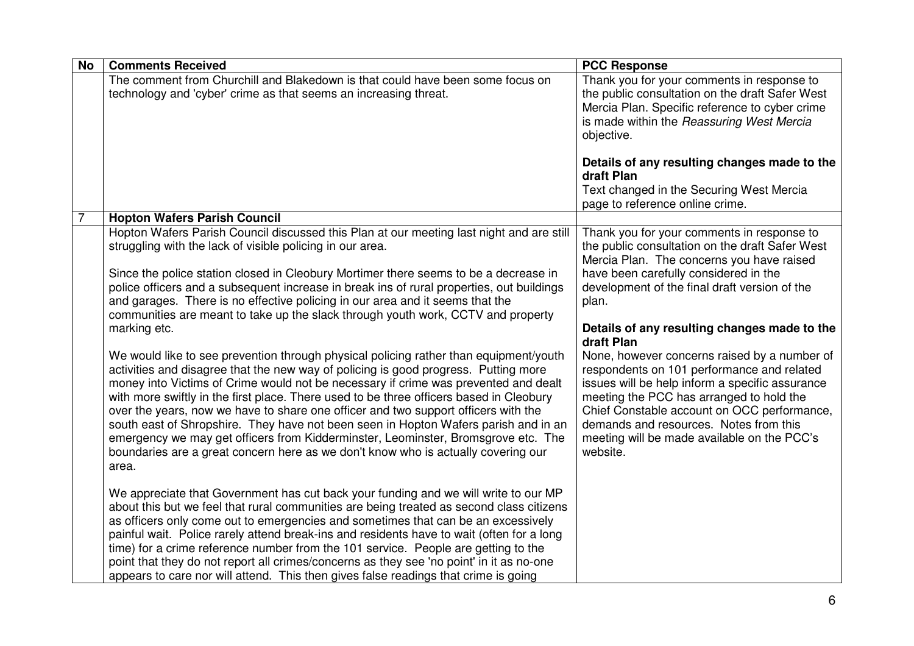| <b>No</b>      | <b>Comments Received</b>                                                                                                                                                                                                                                                                                                                                                                                                                                                                                                                                                                                                                                                                                                       | <b>PCC Response</b>                                                                                                                                                                                                                                                                                                                                         |
|----------------|--------------------------------------------------------------------------------------------------------------------------------------------------------------------------------------------------------------------------------------------------------------------------------------------------------------------------------------------------------------------------------------------------------------------------------------------------------------------------------------------------------------------------------------------------------------------------------------------------------------------------------------------------------------------------------------------------------------------------------|-------------------------------------------------------------------------------------------------------------------------------------------------------------------------------------------------------------------------------------------------------------------------------------------------------------------------------------------------------------|
|                | The comment from Churchill and Blakedown is that could have been some focus on<br>technology and 'cyber' crime as that seems an increasing threat.                                                                                                                                                                                                                                                                                                                                                                                                                                                                                                                                                                             | Thank you for your comments in response to<br>the public consultation on the draft Safer West<br>Mercia Plan. Specific reference to cyber crime<br>is made within the Reassuring West Mercia<br>objective.                                                                                                                                                  |
|                |                                                                                                                                                                                                                                                                                                                                                                                                                                                                                                                                                                                                                                                                                                                                | Details of any resulting changes made to the<br>draft Plan                                                                                                                                                                                                                                                                                                  |
|                |                                                                                                                                                                                                                                                                                                                                                                                                                                                                                                                                                                                                                                                                                                                                | Text changed in the Securing West Mercia<br>page to reference online crime.                                                                                                                                                                                                                                                                                 |
| $\overline{7}$ | <b>Hopton Wafers Parish Council</b>                                                                                                                                                                                                                                                                                                                                                                                                                                                                                                                                                                                                                                                                                            |                                                                                                                                                                                                                                                                                                                                                             |
|                | Hopton Wafers Parish Council discussed this Plan at our meeting last night and are still<br>struggling with the lack of visible policing in our area.                                                                                                                                                                                                                                                                                                                                                                                                                                                                                                                                                                          | Thank you for your comments in response to<br>the public consultation on the draft Safer West<br>Mercia Plan. The concerns you have raised                                                                                                                                                                                                                  |
|                | Since the police station closed in Cleobury Mortimer there seems to be a decrease in<br>police officers and a subsequent increase in break ins of rural properties, out buildings<br>and garages. There is no effective policing in our area and it seems that the<br>communities are meant to take up the slack through youth work, CCTV and property<br>marking etc.                                                                                                                                                                                                                                                                                                                                                         | have been carefully considered in the<br>development of the final draft version of the<br>plan.<br>Details of any resulting changes made to the                                                                                                                                                                                                             |
|                | We would like to see prevention through physical policing rather than equipment/youth<br>activities and disagree that the new way of policing is good progress. Putting more<br>money into Victims of Crime would not be necessary if crime was prevented and dealt<br>with more swiftly in the first place. There used to be three officers based in Cleobury<br>over the years, now we have to share one officer and two support officers with the<br>south east of Shropshire. They have not been seen in Hopton Wafers parish and in an<br>emergency we may get officers from Kidderminster, Leominster, Bromsgrove etc. The<br>boundaries are a great concern here as we don't know who is actually covering our<br>area. | draft Plan<br>None, however concerns raised by a number of<br>respondents on 101 performance and related<br>issues will be help inform a specific assurance<br>meeting the PCC has arranged to hold the<br>Chief Constable account on OCC performance,<br>demands and resources. Notes from this<br>meeting will be made available on the PCC's<br>website. |
|                | We appreciate that Government has cut back your funding and we will write to our MP<br>about this but we feel that rural communities are being treated as second class citizens<br>as officers only come out to emergencies and sometimes that can be an excessively<br>painful wait. Police rarely attend break-ins and residents have to wait (often for a long<br>time) for a crime reference number from the 101 service. People are getting to the<br>point that they do not report all crimes/concerns as they see 'no point' in it as no-one<br>appears to care nor will attend. This then gives false readings that crime is going                                                                                     |                                                                                                                                                                                                                                                                                                                                                             |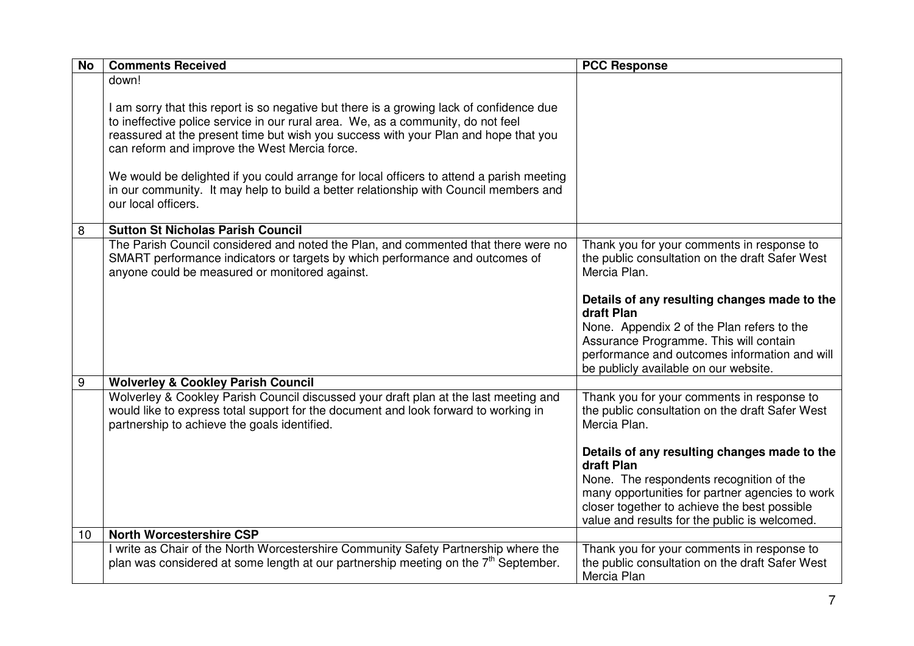| <b>No</b>       | <b>Comments Received</b>                                                                                                                                                                                                                                                                                                                                                                                                                                                                                                         | <b>PCC Response</b>                                                                                                                                                                          |
|-----------------|----------------------------------------------------------------------------------------------------------------------------------------------------------------------------------------------------------------------------------------------------------------------------------------------------------------------------------------------------------------------------------------------------------------------------------------------------------------------------------------------------------------------------------|----------------------------------------------------------------------------------------------------------------------------------------------------------------------------------------------|
|                 | down!                                                                                                                                                                                                                                                                                                                                                                                                                                                                                                                            |                                                                                                                                                                                              |
|                 | I am sorry that this report is so negative but there is a growing lack of confidence due<br>to ineffective police service in our rural area. We, as a community, do not feel<br>reassured at the present time but wish you success with your Plan and hope that you<br>can reform and improve the West Mercia force.<br>We would be delighted if you could arrange for local officers to attend a parish meeting<br>in our community. It may help to build a better relationship with Council members and<br>our local officers. |                                                                                                                                                                                              |
| 8               | <b>Sutton St Nicholas Parish Council</b>                                                                                                                                                                                                                                                                                                                                                                                                                                                                                         |                                                                                                                                                                                              |
|                 | The Parish Council considered and noted the Plan, and commented that there were no<br>SMART performance indicators or targets by which performance and outcomes of<br>anyone could be measured or monitored against.                                                                                                                                                                                                                                                                                                             | Thank you for your comments in response to<br>the public consultation on the draft Safer West<br>Mercia Plan.                                                                                |
|                 |                                                                                                                                                                                                                                                                                                                                                                                                                                                                                                                                  | Details of any resulting changes made to the<br>draft Plan                                                                                                                                   |
|                 |                                                                                                                                                                                                                                                                                                                                                                                                                                                                                                                                  | None. Appendix 2 of the Plan refers to the<br>Assurance Programme. This will contain<br>performance and outcomes information and will<br>be publicly available on our website.               |
| 9               | <b>Wolverley &amp; Cookley Parish Council</b>                                                                                                                                                                                                                                                                                                                                                                                                                                                                                    |                                                                                                                                                                                              |
|                 | Wolverley & Cookley Parish Council discussed your draft plan at the last meeting and<br>would like to express total support for the document and look forward to working in<br>partnership to achieve the goals identified.                                                                                                                                                                                                                                                                                                      | Thank you for your comments in response to<br>the public consultation on the draft Safer West<br>Mercia Plan.                                                                                |
|                 |                                                                                                                                                                                                                                                                                                                                                                                                                                                                                                                                  | Details of any resulting changes made to the<br>draft Plan                                                                                                                                   |
|                 |                                                                                                                                                                                                                                                                                                                                                                                                                                                                                                                                  | None. The respondents recognition of the<br>many opportunities for partner agencies to work<br>closer together to achieve the best possible<br>value and results for the public is welcomed. |
| 10 <sup>1</sup> | <b>North Worcestershire CSP</b>                                                                                                                                                                                                                                                                                                                                                                                                                                                                                                  |                                                                                                                                                                                              |
|                 | I write as Chair of the North Worcestershire Community Safety Partnership where the<br>plan was considered at some length at our partnership meeting on the $7th$ September.                                                                                                                                                                                                                                                                                                                                                     | Thank you for your comments in response to<br>the public consultation on the draft Safer West<br>Mercia Plan                                                                                 |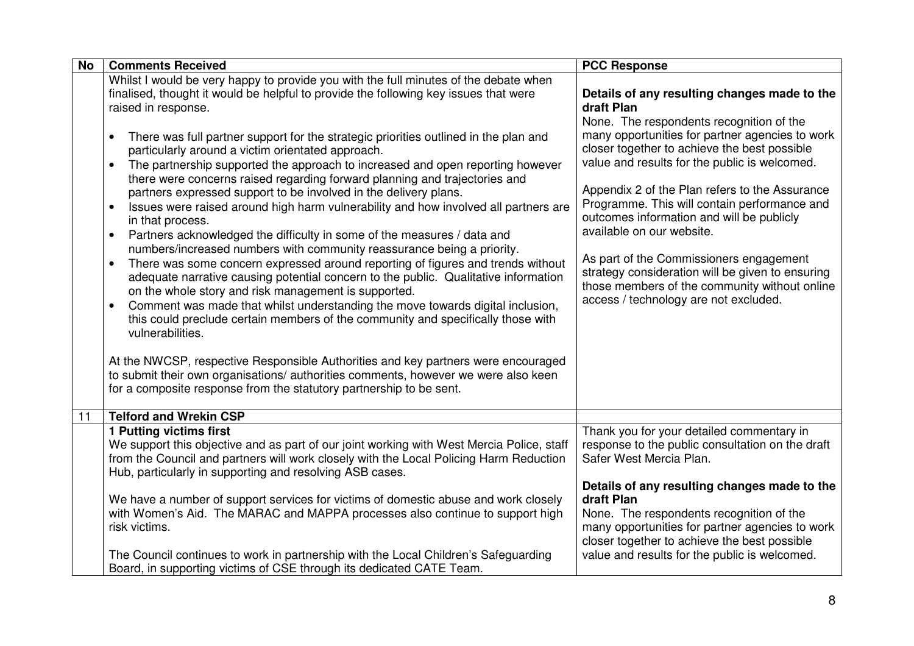| <b>No</b> | <b>Comments Received</b>                                                                                                                                                                                                                                                                                                                                                                                                                                                                                                                                                                                                                                                                                                                                                                                                                                                                                                                                                                                                                                                                                                                                                                                                                                                                                                                                                                                                                                                                                                                                                               | <b>PCC Response</b>                                                                                                                                                                                                                                                                                                                                                                                                                                                                                                                                                                                                             |
|-----------|----------------------------------------------------------------------------------------------------------------------------------------------------------------------------------------------------------------------------------------------------------------------------------------------------------------------------------------------------------------------------------------------------------------------------------------------------------------------------------------------------------------------------------------------------------------------------------------------------------------------------------------------------------------------------------------------------------------------------------------------------------------------------------------------------------------------------------------------------------------------------------------------------------------------------------------------------------------------------------------------------------------------------------------------------------------------------------------------------------------------------------------------------------------------------------------------------------------------------------------------------------------------------------------------------------------------------------------------------------------------------------------------------------------------------------------------------------------------------------------------------------------------------------------------------------------------------------------|---------------------------------------------------------------------------------------------------------------------------------------------------------------------------------------------------------------------------------------------------------------------------------------------------------------------------------------------------------------------------------------------------------------------------------------------------------------------------------------------------------------------------------------------------------------------------------------------------------------------------------|
|           | Whilst I would be very happy to provide you with the full minutes of the debate when<br>finalised, thought it would be helpful to provide the following key issues that were<br>raised in response.<br>There was full partner support for the strategic priorities outlined in the plan and<br>particularly around a victim orientated approach.<br>The partnership supported the approach to increased and open reporting however<br>$\bullet$<br>there were concerns raised regarding forward planning and trajectories and<br>partners expressed support to be involved in the delivery plans.<br>Issues were raised around high harm vulnerability and how involved all partners are<br>$\bullet$<br>in that process.<br>Partners acknowledged the difficulty in some of the measures / data and<br>$\bullet$<br>numbers/increased numbers with community reassurance being a priority.<br>There was some concern expressed around reporting of figures and trends without<br>$\bullet$<br>adequate narrative causing potential concern to the public. Qualitative information<br>on the whole story and risk management is supported.<br>Comment was made that whilst understanding the move towards digital inclusion,<br>this could preclude certain members of the community and specifically those with<br>vulnerabilities.<br>At the NWCSP, respective Responsible Authorities and key partners were encouraged<br>to submit their own organisations/ authorities comments, however we were also keen<br>for a composite response from the statutory partnership to be sent. | Details of any resulting changes made to the<br>draft Plan<br>None. The respondents recognition of the<br>many opportunities for partner agencies to work<br>closer together to achieve the best possible<br>value and results for the public is welcomed.<br>Appendix 2 of the Plan refers to the Assurance<br>Programme. This will contain performance and<br>outcomes information and will be publicly<br>available on our website.<br>As part of the Commissioners engagement<br>strategy consideration will be given to ensuring<br>those members of the community without online<br>access / technology are not excluded. |
| 11        | <b>Telford and Wrekin CSP</b>                                                                                                                                                                                                                                                                                                                                                                                                                                                                                                                                                                                                                                                                                                                                                                                                                                                                                                                                                                                                                                                                                                                                                                                                                                                                                                                                                                                                                                                                                                                                                          |                                                                                                                                                                                                                                                                                                                                                                                                                                                                                                                                                                                                                                 |
|           | 1 Putting victims first<br>We support this objective and as part of our joint working with West Mercia Police, staff<br>from the Council and partners will work closely with the Local Policing Harm Reduction<br>Hub, particularly in supporting and resolving ASB cases.                                                                                                                                                                                                                                                                                                                                                                                                                                                                                                                                                                                                                                                                                                                                                                                                                                                                                                                                                                                                                                                                                                                                                                                                                                                                                                             | Thank you for your detailed commentary in<br>response to the public consultation on the draft<br>Safer West Mercia Plan.<br>Details of any resulting changes made to the                                                                                                                                                                                                                                                                                                                                                                                                                                                        |
|           | We have a number of support services for victims of domestic abuse and work closely<br>with Women's Aid. The MARAC and MAPPA processes also continue to support high<br>risk victims.                                                                                                                                                                                                                                                                                                                                                                                                                                                                                                                                                                                                                                                                                                                                                                                                                                                                                                                                                                                                                                                                                                                                                                                                                                                                                                                                                                                                  | draft Plan<br>None. The respondents recognition of the<br>many opportunities for partner agencies to work<br>closer together to achieve the best possible                                                                                                                                                                                                                                                                                                                                                                                                                                                                       |
|           | The Council continues to work in partnership with the Local Children's Safeguarding<br>Board, in supporting victims of CSE through its dedicated CATE Team.                                                                                                                                                                                                                                                                                                                                                                                                                                                                                                                                                                                                                                                                                                                                                                                                                                                                                                                                                                                                                                                                                                                                                                                                                                                                                                                                                                                                                            | value and results for the public is welcomed.                                                                                                                                                                                                                                                                                                                                                                                                                                                                                                                                                                                   |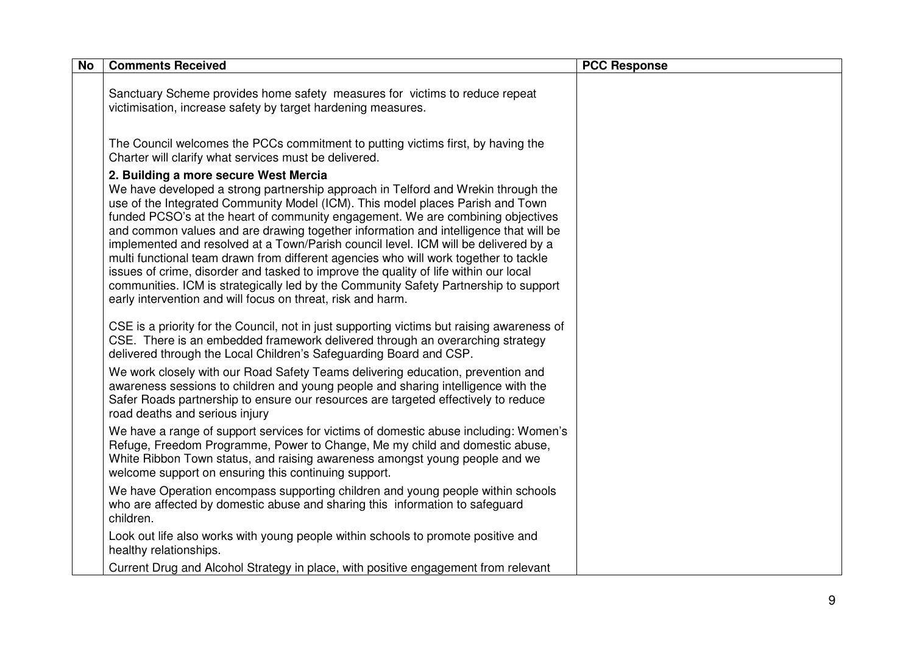| <b>No</b> | <b>Comments Received</b>                                                                                                                                                                                                                                                                                                                                                                                                                                                                                                                                                                                                                                                                                                                                                                                              | <b>PCC Response</b> |
|-----------|-----------------------------------------------------------------------------------------------------------------------------------------------------------------------------------------------------------------------------------------------------------------------------------------------------------------------------------------------------------------------------------------------------------------------------------------------------------------------------------------------------------------------------------------------------------------------------------------------------------------------------------------------------------------------------------------------------------------------------------------------------------------------------------------------------------------------|---------------------|
|           | Sanctuary Scheme provides home safety measures for victims to reduce repeat<br>victimisation, increase safety by target hardening measures.                                                                                                                                                                                                                                                                                                                                                                                                                                                                                                                                                                                                                                                                           |                     |
|           | The Council welcomes the PCCs commitment to putting victims first, by having the<br>Charter will clarify what services must be delivered.                                                                                                                                                                                                                                                                                                                                                                                                                                                                                                                                                                                                                                                                             |                     |
|           | 2. Building a more secure West Mercia<br>We have developed a strong partnership approach in Telford and Wrekin through the<br>use of the Integrated Community Model (ICM). This model places Parish and Town<br>funded PCSO's at the heart of community engagement. We are combining objectives<br>and common values and are drawing together information and intelligence that will be<br>implemented and resolved at a Town/Parish council level. ICM will be delivered by a<br>multi functional team drawn from different agencies who will work together to tackle<br>issues of crime, disorder and tasked to improve the quality of life within our local<br>communities. ICM is strategically led by the Community Safety Partnership to support<br>early intervention and will focus on threat, risk and harm. |                     |
|           | CSE is a priority for the Council, not in just supporting victims but raising awareness of<br>CSE. There is an embedded framework delivered through an overarching strategy<br>delivered through the Local Children's Safeguarding Board and CSP.                                                                                                                                                                                                                                                                                                                                                                                                                                                                                                                                                                     |                     |
|           | We work closely with our Road Safety Teams delivering education, prevention and<br>awareness sessions to children and young people and sharing intelligence with the<br>Safer Roads partnership to ensure our resources are targeted effectively to reduce<br>road deaths and serious injury                                                                                                                                                                                                                                                                                                                                                                                                                                                                                                                          |                     |
|           | We have a range of support services for victims of domestic abuse including: Women's<br>Refuge, Freedom Programme, Power to Change, Me my child and domestic abuse,<br>White Ribbon Town status, and raising awareness amongst young people and we<br>welcome support on ensuring this continuing support.                                                                                                                                                                                                                                                                                                                                                                                                                                                                                                            |                     |
|           | We have Operation encompass supporting children and young people within schools<br>who are affected by domestic abuse and sharing this information to safeguard<br>children.                                                                                                                                                                                                                                                                                                                                                                                                                                                                                                                                                                                                                                          |                     |
|           | Look out life also works with young people within schools to promote positive and<br>healthy relationships.                                                                                                                                                                                                                                                                                                                                                                                                                                                                                                                                                                                                                                                                                                           |                     |
|           | Current Drug and Alcohol Strategy in place, with positive engagement from relevant                                                                                                                                                                                                                                                                                                                                                                                                                                                                                                                                                                                                                                                                                                                                    |                     |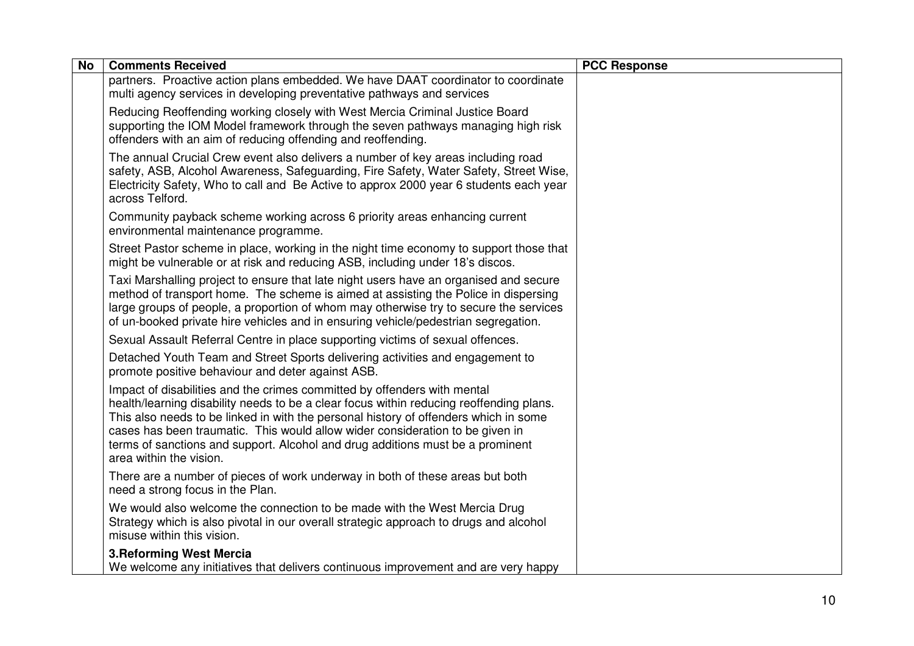| <b>No</b> | <b>Comments Received</b>                                                                                                                                                                                                                                                                                                                                                                                                                                  | <b>PCC Response</b> |
|-----------|-----------------------------------------------------------------------------------------------------------------------------------------------------------------------------------------------------------------------------------------------------------------------------------------------------------------------------------------------------------------------------------------------------------------------------------------------------------|---------------------|
|           | partners. Proactive action plans embedded. We have DAAT coordinator to coordinate<br>multi agency services in developing preventative pathways and services                                                                                                                                                                                                                                                                                               |                     |
|           | Reducing Reoffending working closely with West Mercia Criminal Justice Board<br>supporting the IOM Model framework through the seven pathways managing high risk<br>offenders with an aim of reducing offending and reoffending.                                                                                                                                                                                                                          |                     |
|           | The annual Crucial Crew event also delivers a number of key areas including road<br>safety, ASB, Alcohol Awareness, Safeguarding, Fire Safety, Water Safety, Street Wise,<br>Electricity Safety, Who to call and Be Active to approx 2000 year 6 students each year<br>across Telford.                                                                                                                                                                    |                     |
|           | Community payback scheme working across 6 priority areas enhancing current<br>environmental maintenance programme.                                                                                                                                                                                                                                                                                                                                        |                     |
|           | Street Pastor scheme in place, working in the night time economy to support those that<br>might be vulnerable or at risk and reducing ASB, including under 18's discos.                                                                                                                                                                                                                                                                                   |                     |
|           | Taxi Marshalling project to ensure that late night users have an organised and secure<br>method of transport home. The scheme is aimed at assisting the Police in dispersing<br>large groups of people, a proportion of whom may otherwise try to secure the services<br>of un-booked private hire vehicles and in ensuring vehicle/pedestrian segregation.                                                                                               |                     |
|           | Sexual Assault Referral Centre in place supporting victims of sexual offences.                                                                                                                                                                                                                                                                                                                                                                            |                     |
|           | Detached Youth Team and Street Sports delivering activities and engagement to<br>promote positive behaviour and deter against ASB.                                                                                                                                                                                                                                                                                                                        |                     |
|           | Impact of disabilities and the crimes committed by offenders with mental<br>health/learning disability needs to be a clear focus within reducing reoffending plans.<br>This also needs to be linked in with the personal history of offenders which in some<br>cases has been traumatic. This would allow wider consideration to be given in<br>terms of sanctions and support. Alcohol and drug additions must be a prominent<br>area within the vision. |                     |
|           | There are a number of pieces of work underway in both of these areas but both<br>need a strong focus in the Plan.                                                                                                                                                                                                                                                                                                                                         |                     |
|           | We would also welcome the connection to be made with the West Mercia Drug<br>Strategy which is also pivotal in our overall strategic approach to drugs and alcohol<br>misuse within this vision.                                                                                                                                                                                                                                                          |                     |
|           | <b>3. Reforming West Mercia</b><br>We welcome any initiatives that delivers continuous improvement and are very happy                                                                                                                                                                                                                                                                                                                                     |                     |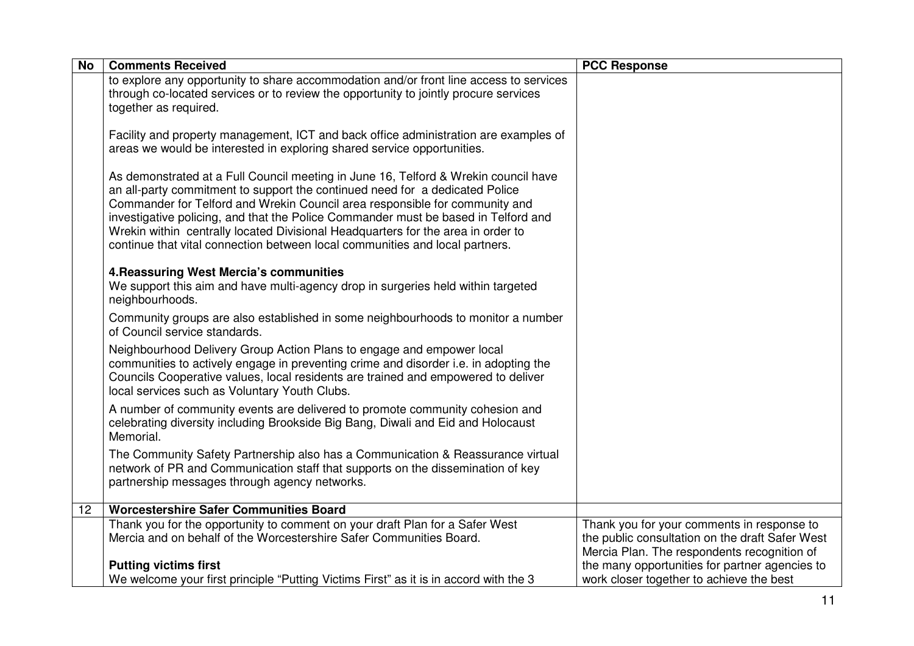| <b>No</b> | <b>Comments Received</b>                                                                                                                                                                                                                                                                                                                                                                                                                                                                                     | <b>PCC Response</b>                                                                                                                          |
|-----------|--------------------------------------------------------------------------------------------------------------------------------------------------------------------------------------------------------------------------------------------------------------------------------------------------------------------------------------------------------------------------------------------------------------------------------------------------------------------------------------------------------------|----------------------------------------------------------------------------------------------------------------------------------------------|
|           | to explore any opportunity to share accommodation and/or front line access to services<br>through co-located services or to review the opportunity to jointly procure services<br>together as required.                                                                                                                                                                                                                                                                                                      |                                                                                                                                              |
|           | Facility and property management, ICT and back office administration are examples of<br>areas we would be interested in exploring shared service opportunities.                                                                                                                                                                                                                                                                                                                                              |                                                                                                                                              |
|           | As demonstrated at a Full Council meeting in June 16, Telford & Wrekin council have<br>an all-party commitment to support the continued need for a dedicated Police<br>Commander for Telford and Wrekin Council area responsible for community and<br>investigative policing, and that the Police Commander must be based in Telford and<br>Wrekin within centrally located Divisional Headquarters for the area in order to<br>continue that vital connection between local communities and local partners. |                                                                                                                                              |
|           | 4. Reassuring West Mercia's communities<br>We support this aim and have multi-agency drop in surgeries held within targeted<br>neighbourhoods.                                                                                                                                                                                                                                                                                                                                                               |                                                                                                                                              |
|           | Community groups are also established in some neighbourhoods to monitor a number<br>of Council service standards.                                                                                                                                                                                                                                                                                                                                                                                            |                                                                                                                                              |
|           | Neighbourhood Delivery Group Action Plans to engage and empower local<br>communities to actively engage in preventing crime and disorder i.e. in adopting the<br>Councils Cooperative values, local residents are trained and empowered to deliver<br>local services such as Voluntary Youth Clubs.                                                                                                                                                                                                          |                                                                                                                                              |
|           | A number of community events are delivered to promote community cohesion and<br>celebrating diversity including Brookside Big Bang, Diwali and Eid and Holocaust<br>Memorial.                                                                                                                                                                                                                                                                                                                                |                                                                                                                                              |
|           | The Community Safety Partnership also has a Communication & Reassurance virtual<br>network of PR and Communication staff that supports on the dissemination of key<br>partnership messages through agency networks.                                                                                                                                                                                                                                                                                          |                                                                                                                                              |
| 12        | <b>Worcestershire Safer Communities Board</b>                                                                                                                                                                                                                                                                                                                                                                                                                                                                |                                                                                                                                              |
|           | Thank you for the opportunity to comment on your draft Plan for a Safer West<br>Mercia and on behalf of the Worcestershire Safer Communities Board.                                                                                                                                                                                                                                                                                                                                                          | Thank you for your comments in response to<br>the public consultation on the draft Safer West<br>Mercia Plan. The respondents recognition of |
|           | <b>Putting victims first</b>                                                                                                                                                                                                                                                                                                                                                                                                                                                                                 | the many opportunities for partner agencies to                                                                                               |
|           | We welcome your first principle "Putting Victims First" as it is in accord with the 3                                                                                                                                                                                                                                                                                                                                                                                                                        | work closer together to achieve the best                                                                                                     |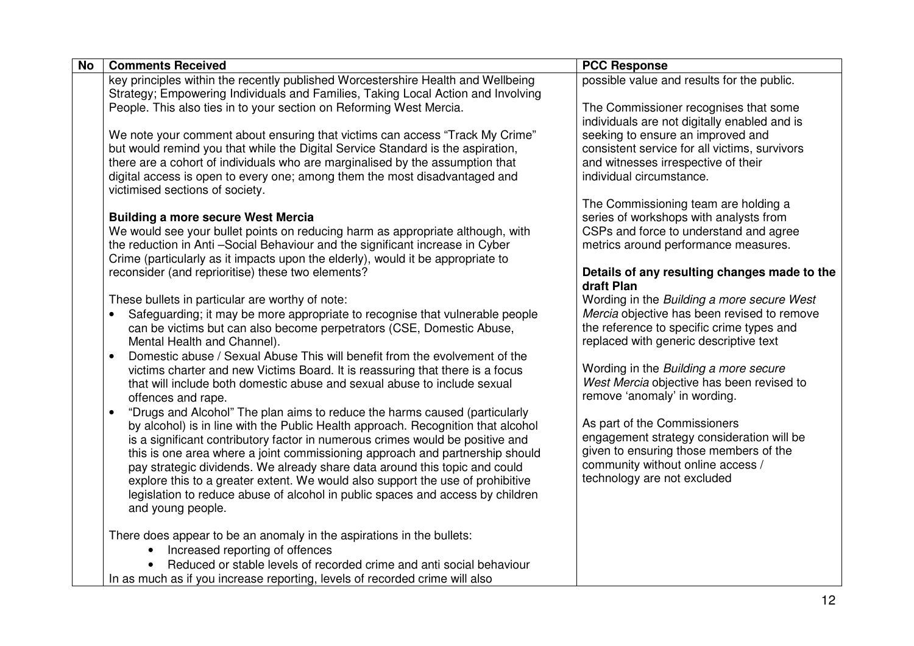| <b>No</b> | <b>Comments Received</b>                                                                                                    | <b>PCC Response</b>                                                              |
|-----------|-----------------------------------------------------------------------------------------------------------------------------|----------------------------------------------------------------------------------|
|           | key principles within the recently published Worcestershire Health and Wellbeing                                            | possible value and results for the public.                                       |
|           | Strategy; Empowering Individuals and Families, Taking Local Action and Involving                                            |                                                                                  |
|           | People. This also ties in to your section on Reforming West Mercia.                                                         | The Commissioner recognises that some                                            |
|           |                                                                                                                             | individuals are not digitally enabled and is                                     |
|           | We note your comment about ensuring that victims can access "Track My Crime"                                                | seeking to ensure an improved and                                                |
|           | but would remind you that while the Digital Service Standard is the aspiration,                                             | consistent service for all victims, survivors                                    |
|           | there are a cohort of individuals who are marginalised by the assumption that                                               | and witnesses irrespective of their                                              |
|           | digital access is open to every one; among them the most disadvantaged and                                                  | individual circumstance.                                                         |
|           | victimised sections of society.                                                                                             |                                                                                  |
|           |                                                                                                                             | The Commissioning team are holding a                                             |
|           | <b>Building a more secure West Mercia</b><br>We would see your bullet points on reducing harm as appropriate although, with | series of workshops with analysts from<br>CSPs and force to understand and agree |
|           | the reduction in Anti-Social Behaviour and the significant increase in Cyber                                                | metrics around performance measures.                                             |
|           | Crime (particularly as it impacts upon the elderly), would it be appropriate to                                             |                                                                                  |
|           | reconsider (and reprioritise) these two elements?                                                                           | Details of any resulting changes made to the                                     |
|           |                                                                                                                             | draft Plan                                                                       |
|           | These bullets in particular are worthy of note:                                                                             | Wording in the Building a more secure West                                       |
|           | Safeguarding; it may be more appropriate to recognise that vulnerable people                                                | Mercia objective has been revised to remove                                      |
|           | can be victims but can also become perpetrators (CSE, Domestic Abuse,                                                       | the reference to specific crime types and                                        |
|           | Mental Health and Channel).                                                                                                 | replaced with generic descriptive text                                           |
|           | Domestic abuse / Sexual Abuse This will benefit from the evolvement of the                                                  |                                                                                  |
|           | victims charter and new Victims Board. It is reassuring that there is a focus                                               | Wording in the Building a more secure                                            |
|           | that will include both domestic abuse and sexual abuse to include sexual                                                    | West Mercia objective has been revised to                                        |
|           | offences and rape.                                                                                                          | remove 'anomaly' in wording.                                                     |
|           | "Drugs and Alcohol" The plan aims to reduce the harms caused (particularly                                                  |                                                                                  |
|           | by alcohol) is in line with the Public Health approach. Recognition that alcohol                                            | As part of the Commissioners                                                     |
|           | is a significant contributory factor in numerous crimes would be positive and                                               | engagement strategy consideration will be                                        |
|           | this is one area where a joint commissioning approach and partnership should                                                | given to ensuring those members of the                                           |
|           | pay strategic dividends. We already share data around this topic and could                                                  | community without online access /                                                |
|           | explore this to a greater extent. We would also support the use of prohibitive                                              | technology are not excluded                                                      |
|           | legislation to reduce abuse of alcohol in public spaces and access by children                                              |                                                                                  |
|           | and young people.                                                                                                           |                                                                                  |
|           |                                                                                                                             |                                                                                  |
|           | There does appear to be an anomaly in the aspirations in the bullets:                                                       |                                                                                  |
|           | Increased reporting of offences                                                                                             |                                                                                  |
|           | Reduced or stable levels of recorded crime and anti social behaviour                                                        |                                                                                  |
|           | In as much as if you increase reporting, levels of recorded crime will also                                                 |                                                                                  |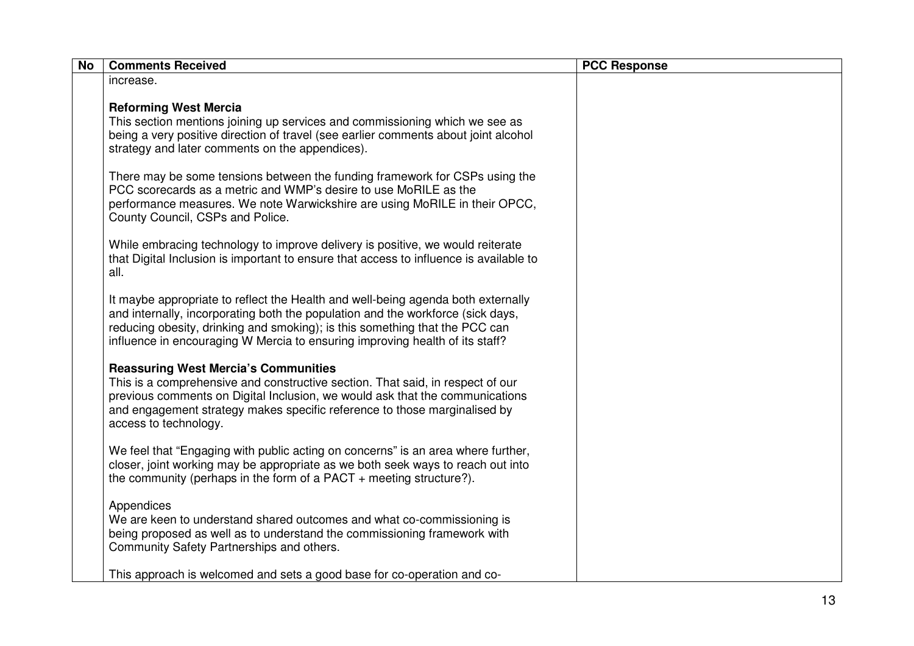| <b>No</b> | <b>Comments Received</b>                                                                                                                                                                                                                                                                                                           | <b>PCC Response</b> |
|-----------|------------------------------------------------------------------------------------------------------------------------------------------------------------------------------------------------------------------------------------------------------------------------------------------------------------------------------------|---------------------|
|           | increase.                                                                                                                                                                                                                                                                                                                          |                     |
|           | <b>Reforming West Mercia</b><br>This section mentions joining up services and commissioning which we see as<br>being a very positive direction of travel (see earlier comments about joint alcohol<br>strategy and later comments on the appendices).                                                                              |                     |
|           | There may be some tensions between the funding framework for CSPs using the<br>PCC scorecards as a metric and WMP's desire to use MoRILE as the<br>performance measures. We note Warwickshire are using MoRILE in their OPCC,<br>County Council, CSPs and Police.                                                                  |                     |
|           | While embracing technology to improve delivery is positive, we would reiterate<br>that Digital Inclusion is important to ensure that access to influence is available to<br>all.                                                                                                                                                   |                     |
|           | It maybe appropriate to reflect the Health and well-being agenda both externally<br>and internally, incorporating both the population and the workforce (sick days,<br>reducing obesity, drinking and smoking); is this something that the PCC can<br>influence in encouraging W Mercia to ensuring improving health of its staff? |                     |
|           | <b>Reassuring West Mercia's Communities</b><br>This is a comprehensive and constructive section. That said, in respect of our<br>previous comments on Digital Inclusion, we would ask that the communications<br>and engagement strategy makes specific reference to those marginalised by<br>access to technology.                |                     |
|           | We feel that "Engaging with public acting on concerns" is an area where further,<br>closer, joint working may be appropriate as we both seek ways to reach out into<br>the community (perhaps in the form of a PACT $+$ meeting structure?).                                                                                       |                     |
|           | Appendices<br>We are keen to understand shared outcomes and what co-commissioning is<br>being proposed as well as to understand the commissioning framework with<br>Community Safety Partnerships and others.                                                                                                                      |                     |
|           | This approach is welcomed and sets a good base for co-operation and co-                                                                                                                                                                                                                                                            |                     |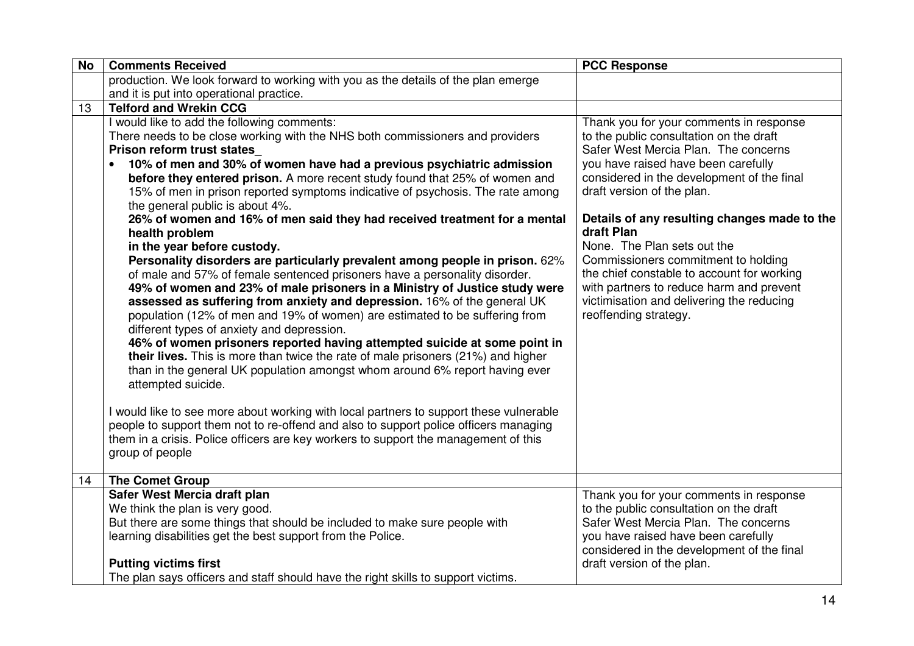| <b>No</b> | <b>Comments Received</b>                                                                                    | <b>PCC Response</b>                                        |
|-----------|-------------------------------------------------------------------------------------------------------------|------------------------------------------------------------|
|           | production. We look forward to working with you as the details of the plan emerge                           |                                                            |
|           | and it is put into operational practice.                                                                    |                                                            |
| 13        | <b>Telford and Wrekin CCG</b>                                                                               |                                                            |
|           | I would like to add the following comments:                                                                 | Thank you for your comments in response                    |
|           | There needs to be close working with the NHS both commissioners and providers                               | to the public consultation on the draft                    |
|           | Prison reform trust states                                                                                  | Safer West Mercia Plan. The concerns                       |
|           | 10% of men and 30% of women have had a previous psychiatric admission                                       | you have raised have been carefully                        |
|           | before they entered prison. A more recent study found that 25% of women and                                 | considered in the development of the final                 |
|           | 15% of men in prison reported symptoms indicative of psychosis. The rate among                              | draft version of the plan.                                 |
|           | the general public is about 4%.                                                                             |                                                            |
|           | 26% of women and 16% of men said they had received treatment for a mental                                   | Details of any resulting changes made to the<br>draft Plan |
|           | health problem                                                                                              | None. The Plan sets out the                                |
|           | in the year before custody.<br>Personality disorders are particularly prevalent among people in prison. 62% | Commissioners commitment to holding                        |
|           | of male and 57% of female sentenced prisoners have a personality disorder.                                  | the chief constable to account for working                 |
|           | 49% of women and 23% of male prisoners in a Ministry of Justice study were                                  | with partners to reduce harm and prevent                   |
|           | assessed as suffering from anxiety and depression. 16% of the general UK                                    | victimisation and delivering the reducing                  |
|           | population (12% of men and 19% of women) are estimated to be suffering from                                 | reoffending strategy.                                      |
|           | different types of anxiety and depression.                                                                  |                                                            |
|           | 46% of women prisoners reported having attempted suicide at some point in                                   |                                                            |
|           | their lives. This is more than twice the rate of male prisoners (21%) and higher                            |                                                            |
|           | than in the general UK population amongst whom around 6% report having ever                                 |                                                            |
|           | attempted suicide.                                                                                          |                                                            |
|           |                                                                                                             |                                                            |
|           | I would like to see more about working with local partners to support these vulnerable                      |                                                            |
|           | people to support them not to re-offend and also to support police officers managing                        |                                                            |
|           | them in a crisis. Police officers are key workers to support the management of this                         |                                                            |
|           | group of people                                                                                             |                                                            |
| 14        | <b>The Comet Group</b>                                                                                      |                                                            |
|           | Safer West Mercia draft plan                                                                                | Thank you for your comments in response                    |
|           | We think the plan is very good.                                                                             | to the public consultation on the draft                    |
|           | But there are some things that should be included to make sure people with                                  | Safer West Mercia Plan. The concerns                       |
|           | learning disabilities get the best support from the Police.                                                 | you have raised have been carefully                        |
|           |                                                                                                             | considered in the development of the final                 |
|           | <b>Putting victims first</b>                                                                                | draft version of the plan.                                 |
|           | The plan says officers and staff should have the right skills to support victims.                           |                                                            |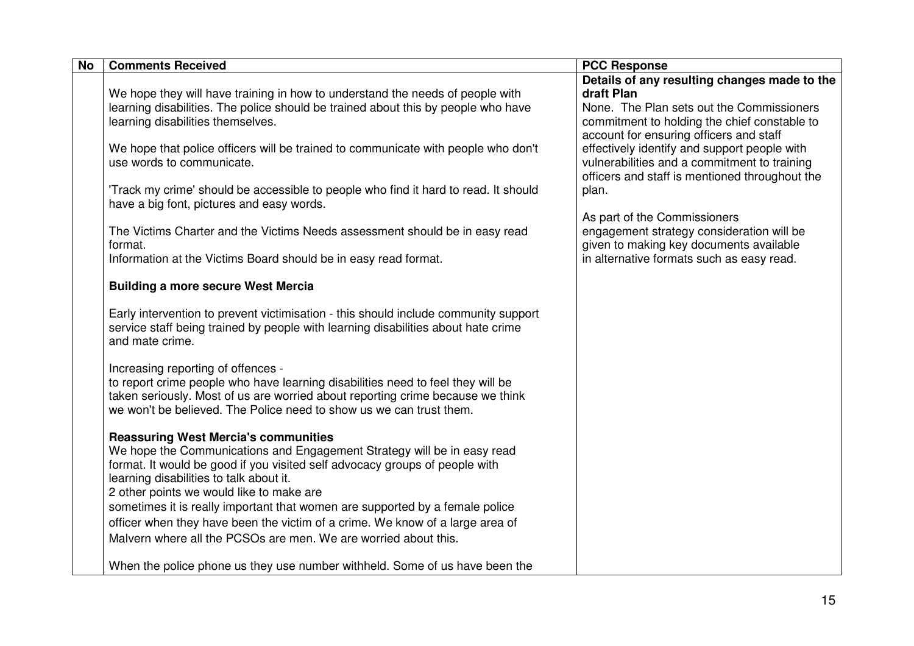| <b>No</b> | <b>Comments Received</b>                                                                                                                                                                                                                                                                     | <b>PCC Response</b>                                                                                                                                                                                |
|-----------|----------------------------------------------------------------------------------------------------------------------------------------------------------------------------------------------------------------------------------------------------------------------------------------------|----------------------------------------------------------------------------------------------------------------------------------------------------------------------------------------------------|
|           | We hope they will have training in how to understand the needs of people with<br>learning disabilities. The police should be trained about this by people who have<br>learning disabilities themselves.                                                                                      | Details of any resulting changes made to the<br>draft Plan<br>None. The Plan sets out the Commissioners<br>commitment to holding the chief constable to                                            |
|           | We hope that police officers will be trained to communicate with people who don't<br>use words to communicate.<br>'Track my crime' should be accessible to people who find it hard to read. It should                                                                                        | account for ensuring officers and staff<br>effectively identify and support people with<br>vulnerabilities and a commitment to training<br>officers and staff is mentioned throughout the<br>plan. |
|           | have a big font, pictures and easy words.<br>The Victims Charter and the Victims Needs assessment should be in easy read<br>format.<br>Information at the Victims Board should be in easy read format.                                                                                       | As part of the Commissioners<br>engagement strategy consideration will be<br>given to making key documents available<br>in alternative formats such as easy read.                                  |
|           | <b>Building a more secure West Mercia</b>                                                                                                                                                                                                                                                    |                                                                                                                                                                                                    |
|           | Early intervention to prevent victimisation - this should include community support<br>service staff being trained by people with learning disabilities about hate crime<br>and mate crime.                                                                                                  |                                                                                                                                                                                                    |
|           | Increasing reporting of offences -<br>to report crime people who have learning disabilities need to feel they will be<br>taken seriously. Most of us are worried about reporting crime because we think<br>we won't be believed. The Police need to show us we can trust them.               |                                                                                                                                                                                                    |
|           | <b>Reassuring West Mercia's communities</b><br>We hope the Communications and Engagement Strategy will be in easy read<br>format. It would be good if you visited self advocacy groups of people with<br>learning disabilities to talk about it.<br>2 other points we would like to make are |                                                                                                                                                                                                    |
|           | sometimes it is really important that women are supported by a female police<br>officer when they have been the victim of a crime. We know of a large area of<br>Malvern where all the PCSOs are men. We are worried about this.                                                             |                                                                                                                                                                                                    |
|           | When the police phone us they use number withheld. Some of us have been the                                                                                                                                                                                                                  |                                                                                                                                                                                                    |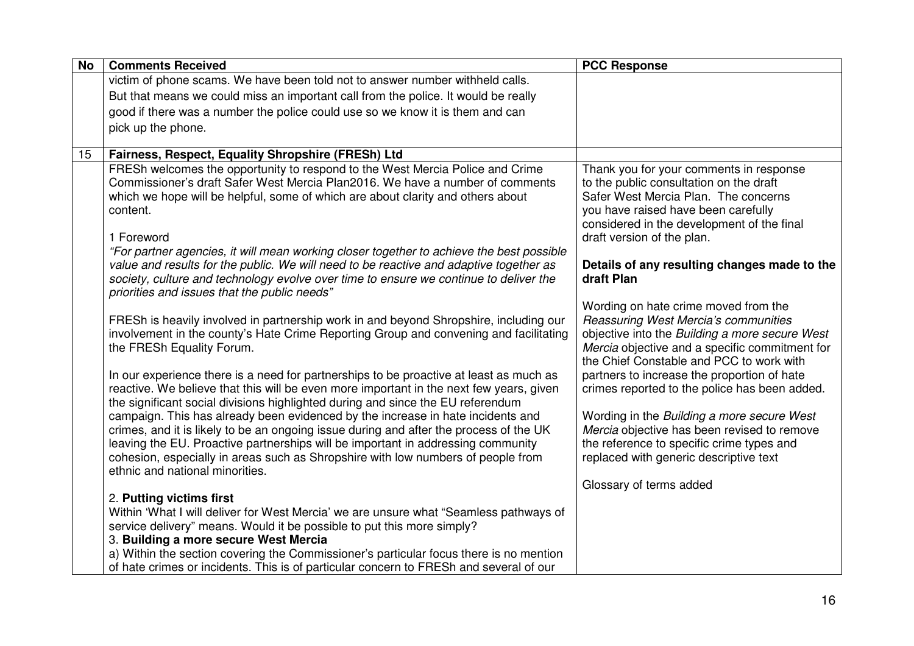| <b>No</b> | <b>Comments Received</b>                                                                                                                                                       | <b>PCC Response</b>                                                                    |
|-----------|--------------------------------------------------------------------------------------------------------------------------------------------------------------------------------|----------------------------------------------------------------------------------------|
|           | victim of phone scams. We have been told not to answer number withheld calls.                                                                                                  |                                                                                        |
|           | But that means we could miss an important call from the police. It would be really                                                                                             |                                                                                        |
|           | good if there was a number the police could use so we know it is them and can                                                                                                  |                                                                                        |
|           | pick up the phone.                                                                                                                                                             |                                                                                        |
|           |                                                                                                                                                                                |                                                                                        |
| 15        | Fairness, Respect, Equality Shropshire (FRESh) Ltd                                                                                                                             |                                                                                        |
|           | FRESh welcomes the opportunity to respond to the West Mercia Police and Crime<br>Commissioner's draft Safer West Mercia Plan2016. We have a number of comments                 | Thank you for your comments in response<br>to the public consultation on the draft     |
|           | which we hope will be helpful, some of which are about clarity and others about                                                                                                | Safer West Mercia Plan. The concerns                                                   |
|           | content.                                                                                                                                                                       | you have raised have been carefully                                                    |
|           |                                                                                                                                                                                | considered in the development of the final                                             |
|           | 1 Foreword                                                                                                                                                                     | draft version of the plan.                                                             |
|           | "For partner agencies, it will mean working closer together to achieve the best possible                                                                                       |                                                                                        |
|           | value and results for the public. We will need to be reactive and adaptive together as                                                                                         | Details of any resulting changes made to the                                           |
|           | society, culture and technology evolve over time to ensure we continue to deliver the                                                                                          | draft Plan                                                                             |
|           | priorities and issues that the public needs"                                                                                                                                   |                                                                                        |
|           |                                                                                                                                                                                | Wording on hate crime moved from the                                                   |
|           | FRESh is heavily involved in partnership work in and beyond Shropshire, including our<br>involvement in the county's Hate Crime Reporting Group and convening and facilitating | Reassuring West Mercia's communities<br>objective into the Building a more secure West |
|           | the FRESh Equality Forum.                                                                                                                                                      | Mercia objective and a specific commitment for                                         |
|           |                                                                                                                                                                                | the Chief Constable and PCC to work with                                               |
|           | In our experience there is a need for partnerships to be proactive at least as much as                                                                                         | partners to increase the proportion of hate                                            |
|           | reactive. We believe that this will be even more important in the next few years, given                                                                                        | crimes reported to the police has been added.                                          |
|           | the significant social divisions highlighted during and since the EU referendum                                                                                                |                                                                                        |
|           | campaign. This has already been evidenced by the increase in hate incidents and                                                                                                | Wording in the Building a more secure West                                             |
|           | crimes, and it is likely to be an ongoing issue during and after the process of the UK                                                                                         | Mercia objective has been revised to remove                                            |
|           | leaving the EU. Proactive partnerships will be important in addressing community                                                                                               | the reference to specific crime types and                                              |
|           | cohesion, especially in areas such as Shropshire with low numbers of people from                                                                                               | replaced with generic descriptive text                                                 |
|           | ethnic and national minorities.                                                                                                                                                |                                                                                        |
|           | 2. Putting victims first                                                                                                                                                       | Glossary of terms added                                                                |
|           | Within 'What I will deliver for West Mercia' we are unsure what "Seamless pathways of                                                                                          |                                                                                        |
|           | service delivery" means. Would it be possible to put this more simply?                                                                                                         |                                                                                        |
|           | 3. Building a more secure West Mercia                                                                                                                                          |                                                                                        |
|           | a) Within the section covering the Commissioner's particular focus there is no mention                                                                                         |                                                                                        |
|           | of hate crimes or incidents. This is of particular concern to FRESh and several of our                                                                                         |                                                                                        |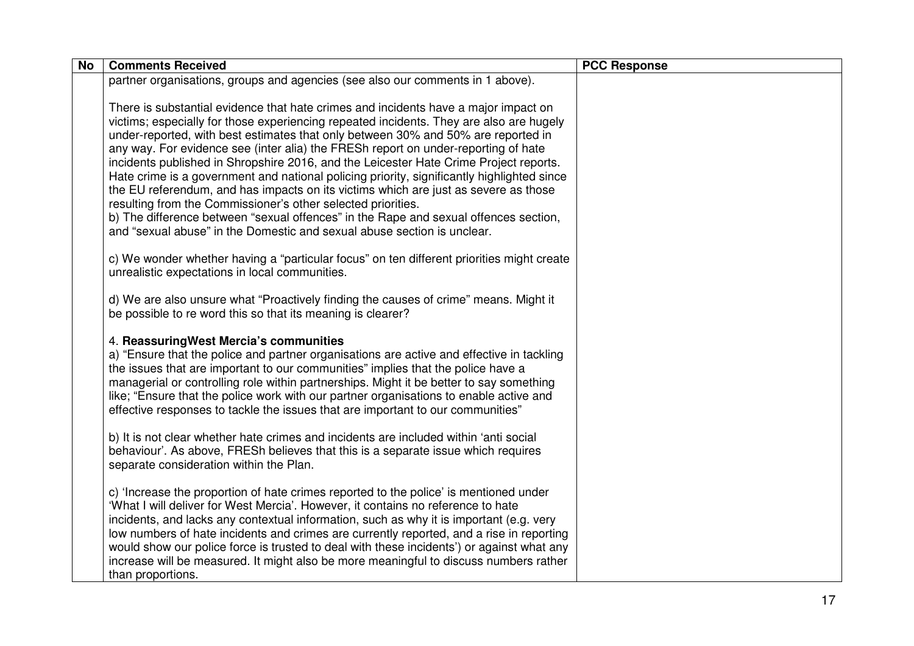| <b>No</b> | <b>Comments Received</b>                                                                                                                                                                                                                                                                                                                                                                                                                                                                                                                                                                                                                                                                                                                                                                                                                                                   | <b>PCC Response</b> |
|-----------|----------------------------------------------------------------------------------------------------------------------------------------------------------------------------------------------------------------------------------------------------------------------------------------------------------------------------------------------------------------------------------------------------------------------------------------------------------------------------------------------------------------------------------------------------------------------------------------------------------------------------------------------------------------------------------------------------------------------------------------------------------------------------------------------------------------------------------------------------------------------------|---------------------|
|           | partner organisations, groups and agencies (see also our comments in 1 above).                                                                                                                                                                                                                                                                                                                                                                                                                                                                                                                                                                                                                                                                                                                                                                                             |                     |
|           | There is substantial evidence that hate crimes and incidents have a major impact on<br>victims; especially for those experiencing repeated incidents. They are also are hugely<br>under-reported, with best estimates that only between 30% and 50% are reported in<br>any way. For evidence see (inter alia) the FRESh report on under-reporting of hate<br>incidents published in Shropshire 2016, and the Leicester Hate Crime Project reports.<br>Hate crime is a government and national policing priority, significantly highlighted since<br>the EU referendum, and has impacts on its victims which are just as severe as those<br>resulting from the Commissioner's other selected priorities.<br>b) The difference between "sexual offences" in the Rape and sexual offences section,<br>and "sexual abuse" in the Domestic and sexual abuse section is unclear. |                     |
|           | c) We wonder whether having a "particular focus" on ten different priorities might create<br>unrealistic expectations in local communities.                                                                                                                                                                                                                                                                                                                                                                                                                                                                                                                                                                                                                                                                                                                                |                     |
|           | d) We are also unsure what "Proactively finding the causes of crime" means. Might it<br>be possible to re word this so that its meaning is clearer?                                                                                                                                                                                                                                                                                                                                                                                                                                                                                                                                                                                                                                                                                                                        |                     |
|           | 4. Reassuring West Mercia's communities<br>a) "Ensure that the police and partner organisations are active and effective in tackling<br>the issues that are important to our communities" implies that the police have a<br>managerial or controlling role within partnerships. Might it be better to say something<br>like; "Ensure that the police work with our partner organisations to enable active and<br>effective responses to tackle the issues that are important to our communities"                                                                                                                                                                                                                                                                                                                                                                           |                     |
|           | b) It is not clear whether hate crimes and incidents are included within 'anti social<br>behaviour'. As above, FRESh believes that this is a separate issue which requires<br>separate consideration within the Plan.                                                                                                                                                                                                                                                                                                                                                                                                                                                                                                                                                                                                                                                      |                     |
|           | c) 'Increase the proportion of hate crimes reported to the police' is mentioned under<br>'What I will deliver for West Mercia'. However, it contains no reference to hate<br>incidents, and lacks any contextual information, such as why it is important (e.g. very<br>low numbers of hate incidents and crimes are currently reported, and a rise in reporting<br>would show our police force is trusted to deal with these incidents') or against what any<br>increase will be measured. It might also be more meaningful to discuss numbers rather<br>than proportions.                                                                                                                                                                                                                                                                                                |                     |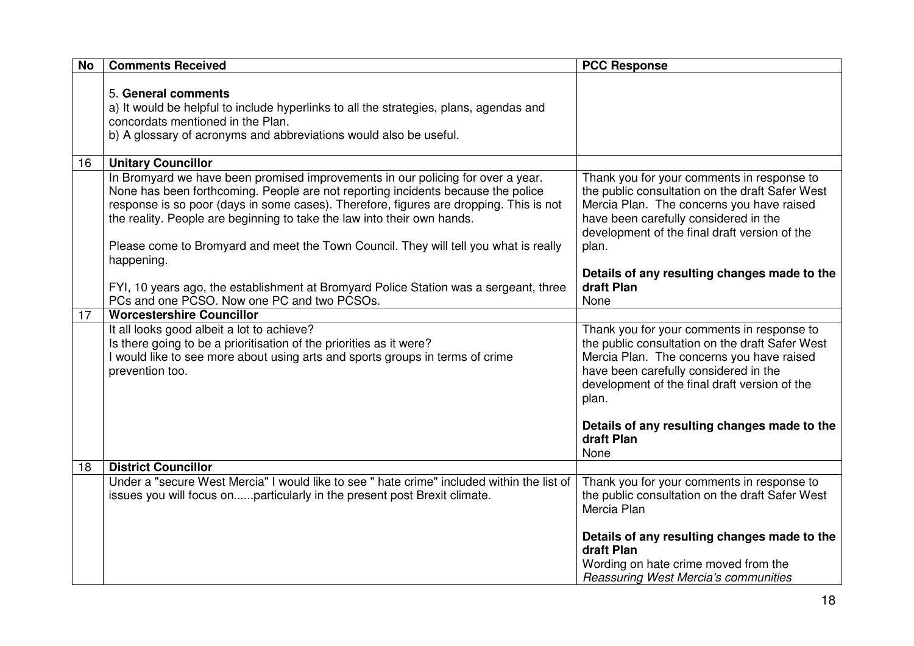| <b>No</b> | <b>Comments Received</b>                                                                                                                                                                                                                                                                                                                                                                                                                       | <b>PCC Response</b>                                                                                                                                                                                                                           |
|-----------|------------------------------------------------------------------------------------------------------------------------------------------------------------------------------------------------------------------------------------------------------------------------------------------------------------------------------------------------------------------------------------------------------------------------------------------------|-----------------------------------------------------------------------------------------------------------------------------------------------------------------------------------------------------------------------------------------------|
|           | 5. General comments<br>a) It would be helpful to include hyperlinks to all the strategies, plans, agendas and<br>concordats mentioned in the Plan.<br>b) A glossary of acronyms and abbreviations would also be useful.                                                                                                                                                                                                                        |                                                                                                                                                                                                                                               |
| 16        | <b>Unitary Councillor</b>                                                                                                                                                                                                                                                                                                                                                                                                                      |                                                                                                                                                                                                                                               |
|           | In Bromyard we have been promised improvements in our policing for over a year.<br>None has been forthcoming. People are not reporting incidents because the police<br>response is so poor (days in some cases). Therefore, figures are dropping. This is not<br>the reality. People are beginning to take the law into their own hands.<br>Please come to Bromyard and meet the Town Council. They will tell you what is really<br>happening. | Thank you for your comments in response to<br>the public consultation on the draft Safer West<br>Mercia Plan. The concerns you have raised<br>have been carefully considered in the<br>development of the final draft version of the<br>plan. |
|           | FYI, 10 years ago, the establishment at Bromyard Police Station was a sergeant, three<br>PCs and one PCSO. Now one PC and two PCSOs.                                                                                                                                                                                                                                                                                                           | Details of any resulting changes made to the<br>draft Plan<br>None                                                                                                                                                                            |
| 17        | <b>Worcestershire Councillor</b>                                                                                                                                                                                                                                                                                                                                                                                                               |                                                                                                                                                                                                                                               |
|           | It all looks good albeit a lot to achieve?<br>Is there going to be a prioritisation of the priorities as it were?<br>I would like to see more about using arts and sports groups in terms of crime<br>prevention too.                                                                                                                                                                                                                          | Thank you for your comments in response to<br>the public consultation on the draft Safer West<br>Mercia Plan. The concerns you have raised<br>have been carefully considered in the<br>development of the final draft version of the<br>plan. |
|           |                                                                                                                                                                                                                                                                                                                                                                                                                                                | Details of any resulting changes made to the<br>draft Plan<br>None                                                                                                                                                                            |
| 18        | <b>District Councillor</b>                                                                                                                                                                                                                                                                                                                                                                                                                     |                                                                                                                                                                                                                                               |
|           | Under a "secure West Mercia" I would like to see " hate crime" included within the list of<br>issues you will focus onparticularly in the present post Brexit climate.                                                                                                                                                                                                                                                                         | Thank you for your comments in response to<br>the public consultation on the draft Safer West<br>Mercia Plan                                                                                                                                  |
|           |                                                                                                                                                                                                                                                                                                                                                                                                                                                | Details of any resulting changes made to the<br>draft Plan<br>Wording on hate crime moved from the<br>Reassuring West Mercia's communities                                                                                                    |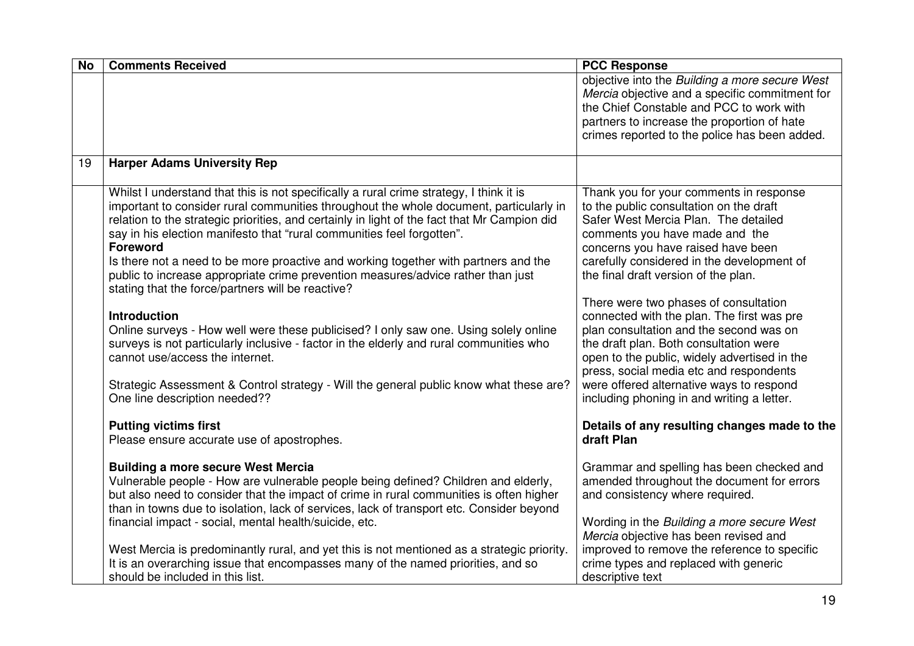| <b>No</b> | <b>Comments Received</b>                                                                                                   | <b>PCC Response</b>                                                                              |
|-----------|----------------------------------------------------------------------------------------------------------------------------|--------------------------------------------------------------------------------------------------|
|           |                                                                                                                            | objective into the Building a more secure West<br>Mercia objective and a specific commitment for |
|           |                                                                                                                            | the Chief Constable and PCC to work with                                                         |
|           |                                                                                                                            | partners to increase the proportion of hate                                                      |
|           |                                                                                                                            | crimes reported to the police has been added.                                                    |
| 19        | <b>Harper Adams University Rep</b>                                                                                         |                                                                                                  |
|           | Whilst I understand that this is not specifically a rural crime strategy, I think it is                                    | Thank you for your comments in response                                                          |
|           | important to consider rural communities throughout the whole document, particularly in                                     | to the public consultation on the draft                                                          |
|           | relation to the strategic priorities, and certainly in light of the fact that Mr Campion did                               | Safer West Mercia Plan. The detailed                                                             |
|           | say in his election manifesto that "rural communities feel forgotten".                                                     | comments you have made and the                                                                   |
|           | <b>Foreword</b><br>Is there not a need to be more proactive and working together with partners and the                     | concerns you have raised have been<br>carefully considered in the development of                 |
|           | public to increase appropriate crime prevention measures/advice rather than just                                           | the final draft version of the plan.                                                             |
|           | stating that the force/partners will be reactive?                                                                          |                                                                                                  |
|           |                                                                                                                            | There were two phases of consultation                                                            |
|           | <b>Introduction</b>                                                                                                        | connected with the plan. The first was pre                                                       |
|           | Online surveys - How well were these publicised? I only saw one. Using solely online                                       | plan consultation and the second was on                                                          |
|           | surveys is not particularly inclusive - factor in the elderly and rural communities who<br>cannot use/access the internet. | the draft plan. Both consultation were<br>open to the public, widely advertised in the           |
|           |                                                                                                                            | press, social media etc and respondents                                                          |
|           | Strategic Assessment & Control strategy - Will the general public know what these are?                                     | were offered alternative ways to respond                                                         |
|           | One line description needed??                                                                                              | including phoning in and writing a letter.                                                       |
|           |                                                                                                                            |                                                                                                  |
|           | <b>Putting victims first</b><br>Please ensure accurate use of apostrophes.                                                 | Details of any resulting changes made to the<br>draft Plan                                       |
|           |                                                                                                                            |                                                                                                  |
|           | <b>Building a more secure West Mercia</b>                                                                                  | Grammar and spelling has been checked and                                                        |
|           | Vulnerable people - How are vulnerable people being defined? Children and elderly,                                         | amended throughout the document for errors                                                       |
|           | but also need to consider that the impact of crime in rural communities is often higher                                    | and consistency where required.                                                                  |
|           | than in towns due to isolation, lack of services, lack of transport etc. Consider beyond                                   |                                                                                                  |
|           | financial impact - social, mental health/suicide, etc.                                                                     | Wording in the Building a more secure West<br>Mercia objective has been revised and              |
|           | West Mercia is predominantly rural, and yet this is not mentioned as a strategic priority.                                 | improved to remove the reference to specific                                                     |
|           | It is an overarching issue that encompasses many of the named priorities, and so                                           | crime types and replaced with generic                                                            |
|           | should be included in this list.                                                                                           | descriptive text                                                                                 |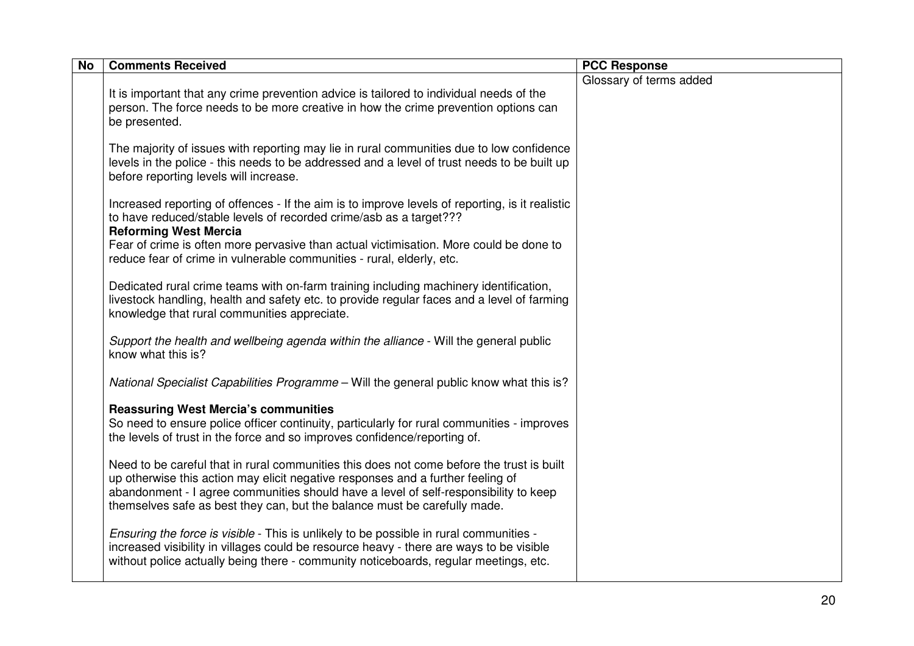| <b>No</b> | <b>Comments Received</b>                                                                                                                                                                                                                                                                                                                          | <b>PCC Response</b>     |
|-----------|---------------------------------------------------------------------------------------------------------------------------------------------------------------------------------------------------------------------------------------------------------------------------------------------------------------------------------------------------|-------------------------|
|           | It is important that any crime prevention advice is tailored to individual needs of the<br>person. The force needs to be more creative in how the crime prevention options can<br>be presented.                                                                                                                                                   | Glossary of terms added |
|           | The majority of issues with reporting may lie in rural communities due to low confidence<br>levels in the police - this needs to be addressed and a level of trust needs to be built up<br>before reporting levels will increase.                                                                                                                 |                         |
|           | Increased reporting of offences - If the aim is to improve levels of reporting, is it realistic<br>to have reduced/stable levels of recorded crime/asb as a target???<br><b>Reforming West Mercia</b>                                                                                                                                             |                         |
|           | Fear of crime is often more pervasive than actual victimisation. More could be done to<br>reduce fear of crime in vulnerable communities - rural, elderly, etc.                                                                                                                                                                                   |                         |
|           | Dedicated rural crime teams with on-farm training including machinery identification,<br>livestock handling, health and safety etc. to provide regular faces and a level of farming<br>knowledge that rural communities appreciate.                                                                                                               |                         |
|           | Support the health and wellbeing agenda within the alliance - Will the general public<br>know what this is?                                                                                                                                                                                                                                       |                         |
|           | National Specialist Capabilities Programme - Will the general public know what this is?                                                                                                                                                                                                                                                           |                         |
|           | <b>Reassuring West Mercia's communities</b><br>So need to ensure police officer continuity, particularly for rural communities - improves<br>the levels of trust in the force and so improves confidence/reporting of.                                                                                                                            |                         |
|           | Need to be careful that in rural communities this does not come before the trust is built<br>up otherwise this action may elicit negative responses and a further feeling of<br>abandonment - I agree communities should have a level of self-responsibility to keep<br>themselves safe as best they can, but the balance must be carefully made. |                         |
|           | Ensuring the force is visible - This is unlikely to be possible in rural communities -<br>increased visibility in villages could be resource heavy - there are ways to be visible<br>without police actually being there - community noticeboards, regular meetings, etc.                                                                         |                         |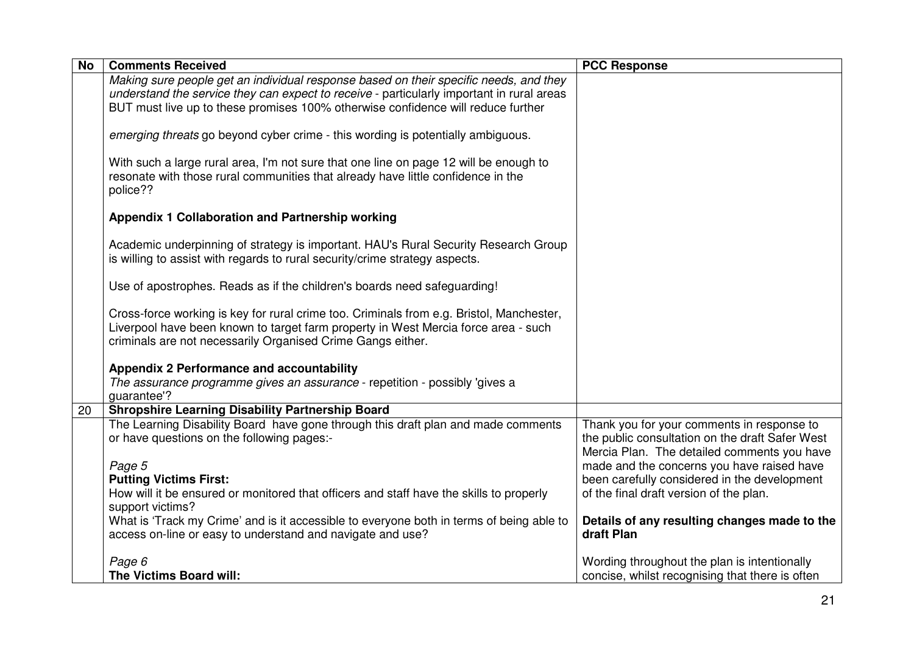| <b>No</b> | <b>Comments Received</b>                                                                                                                                                                                                                      | <b>PCC Response</b>                                                                                                                          |
|-----------|-----------------------------------------------------------------------------------------------------------------------------------------------------------------------------------------------------------------------------------------------|----------------------------------------------------------------------------------------------------------------------------------------------|
|           | Making sure people get an individual response based on their specific needs, and they                                                                                                                                                         |                                                                                                                                              |
|           | understand the service they can expect to receive - particularly important in rural areas                                                                                                                                                     |                                                                                                                                              |
|           | BUT must live up to these promises 100% otherwise confidence will reduce further                                                                                                                                                              |                                                                                                                                              |
|           | emerging threats go beyond cyber crime - this wording is potentially ambiguous.                                                                                                                                                               |                                                                                                                                              |
|           | With such a large rural area, I'm not sure that one line on page 12 will be enough to<br>resonate with those rural communities that already have little confidence in the<br>police??                                                         |                                                                                                                                              |
|           | Appendix 1 Collaboration and Partnership working                                                                                                                                                                                              |                                                                                                                                              |
|           | Academic underpinning of strategy is important. HAU's Rural Security Research Group<br>is willing to assist with regards to rural security/crime strategy aspects.                                                                            |                                                                                                                                              |
|           | Use of apostrophes. Reads as if the children's boards need safeguarding!                                                                                                                                                                      |                                                                                                                                              |
|           | Cross-force working is key for rural crime too. Criminals from e.g. Bristol, Manchester,<br>Liverpool have been known to target farm property in West Mercia force area - such<br>criminals are not necessarily Organised Crime Gangs either. |                                                                                                                                              |
|           | <b>Appendix 2 Performance and accountability</b>                                                                                                                                                                                              |                                                                                                                                              |
|           | The assurance programme gives an assurance - repetition - possibly 'gives a                                                                                                                                                                   |                                                                                                                                              |
|           | quarantee'?                                                                                                                                                                                                                                   |                                                                                                                                              |
| 20        | <b>Shropshire Learning Disability Partnership Board</b>                                                                                                                                                                                       |                                                                                                                                              |
|           | The Learning Disability Board have gone through this draft plan and made comments<br>or have questions on the following pages:-                                                                                                               | Thank you for your comments in response to<br>the public consultation on the draft Safer West<br>Mercia Plan. The detailed comments you have |
|           | Page 5                                                                                                                                                                                                                                        | made and the concerns you have raised have                                                                                                   |
|           | <b>Putting Victims First:</b><br>How will it be ensured or monitored that officers and staff have the skills to properly                                                                                                                      | been carefully considered in the development<br>of the final draft version of the plan.                                                      |
|           | support victims?                                                                                                                                                                                                                              |                                                                                                                                              |
|           | What is 'Track my Crime' and is it accessible to everyone both in terms of being able to                                                                                                                                                      | Details of any resulting changes made to the                                                                                                 |
|           | access on-line or easy to understand and navigate and use?                                                                                                                                                                                    | draft Plan                                                                                                                                   |
|           |                                                                                                                                                                                                                                               |                                                                                                                                              |
|           | Page 6<br>The Victims Board will:                                                                                                                                                                                                             | Wording throughout the plan is intentionally<br>concise, whilst recognising that there is often                                              |
|           |                                                                                                                                                                                                                                               |                                                                                                                                              |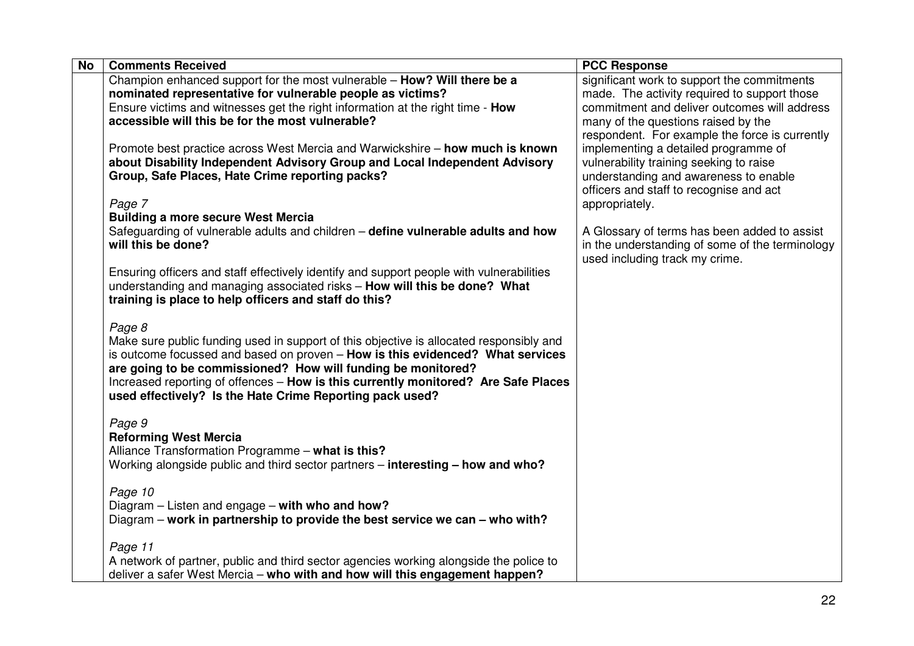| <b>No</b><br><b>Comments Received</b>                                                    | <b>PCC Response</b>                             |
|------------------------------------------------------------------------------------------|-------------------------------------------------|
| Champion enhanced support for the most vulnerable - How? Will there be a                 | significant work to support the commitments     |
| nominated representative for vulnerable people as victims?                               | made. The activity required to support those    |
| Ensure victims and witnesses get the right information at the right time - How           | commitment and deliver outcomes will address    |
| accessible will this be for the most vulnerable?                                         | many of the questions raised by the             |
|                                                                                          | respondent. For example the force is currently  |
| Promote best practice across West Mercia and Warwickshire - how much is known            | implementing a detailed programme of            |
| about Disability Independent Advisory Group and Local Independent Advisory               | vulnerability training seeking to raise         |
| Group, Safe Places, Hate Crime reporting packs?                                          | understanding and awareness to enable           |
|                                                                                          | officers and staff to recognise and act         |
| Page 7                                                                                   | appropriately.                                  |
| <b>Building a more secure West Mercia</b>                                                |                                                 |
| Safeguarding of vulnerable adults and children - define vulnerable adults and how        | A Glossary of terms has been added to assist    |
| will this be done?                                                                       | in the understanding of some of the terminology |
|                                                                                          | used including track my crime.                  |
| Ensuring officers and staff effectively identify and support people with vulnerabilities |                                                 |
| understanding and managing associated risks - How will this be done? What                |                                                 |
| training is place to help officers and staff do this?                                    |                                                 |
|                                                                                          |                                                 |
| Page 8                                                                                   |                                                 |
| Make sure public funding used in support of this objective is allocated responsibly and  |                                                 |
| is outcome focussed and based on proven - How is this evidenced? What services           |                                                 |
| are going to be commissioned? How will funding be monitored?                             |                                                 |
| Increased reporting of offences - How is this currently monitored? Are Safe Places       |                                                 |
| used effectively? Is the Hate Crime Reporting pack used?                                 |                                                 |
|                                                                                          |                                                 |
| Page 9                                                                                   |                                                 |
| <b>Reforming West Mercia</b>                                                             |                                                 |
| Alliance Transformation Programme - what is this?                                        |                                                 |
| Working alongside public and third sector partners - interesting - how and who?          |                                                 |
| Page 10                                                                                  |                                                 |
| Diagram - Listen and engage - with who and how?                                          |                                                 |
| Diagram – work in partnership to provide the best service we can – who with?             |                                                 |
|                                                                                          |                                                 |
| Page 11                                                                                  |                                                 |
| A network of partner, public and third sector agencies working alongside the police to   |                                                 |
| deliver a safer West Mercia – who with and how will this engagement happen?              |                                                 |
|                                                                                          |                                                 |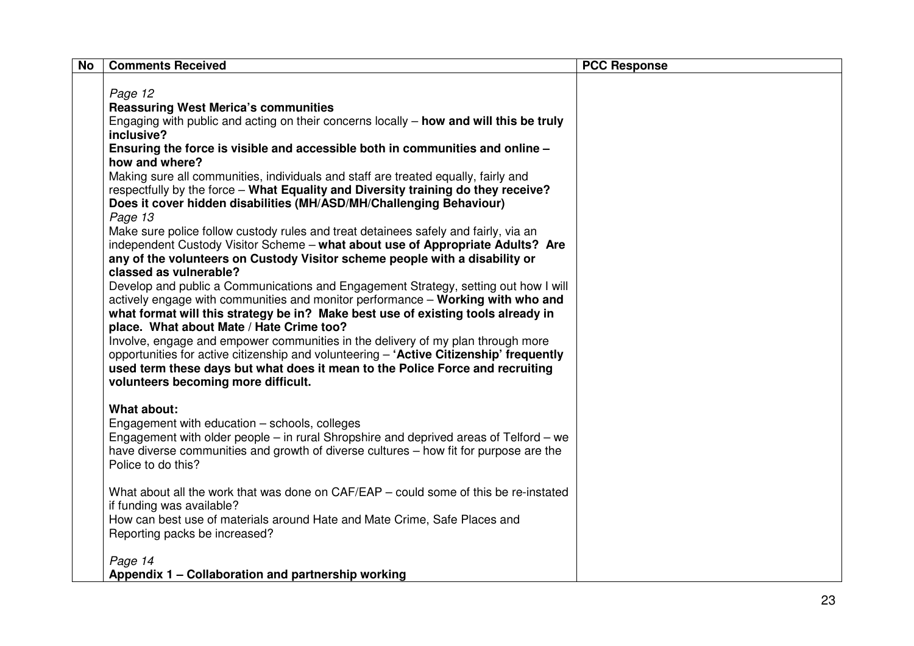| <b>No</b> | <b>Comments Received</b>                                                                        | <b>PCC Response</b> |
|-----------|-------------------------------------------------------------------------------------------------|---------------------|
|           |                                                                                                 |                     |
|           | Page 12                                                                                         |                     |
|           | <b>Reassuring West Merica's communities</b>                                                     |                     |
|           | Engaging with public and acting on their concerns locally – how and will this be truly          |                     |
|           | inclusive?                                                                                      |                     |
|           | Ensuring the force is visible and accessible both in communities and online -<br>how and where? |                     |
|           | Making sure all communities, individuals and staff are treated equally, fairly and              |                     |
|           | respectfully by the force – What Equality and Diversity training do they receive?               |                     |
|           | Does it cover hidden disabilities (MH/ASD/MH/Challenging Behaviour)                             |                     |
|           | Page 13                                                                                         |                     |
|           | Make sure police follow custody rules and treat detainees safely and fairly, via an             |                     |
|           | independent Custody Visitor Scheme - what about use of Appropriate Adults? Are                  |                     |
|           | any of the volunteers on Custody Visitor scheme people with a disability or                     |                     |
|           | classed as vulnerable?                                                                          |                     |
|           | Develop and public a Communications and Engagement Strategy, setting out how I will             |                     |
|           | actively engage with communities and monitor performance - Working with who and                 |                     |
|           | what format will this strategy be in? Make best use of existing tools already in                |                     |
|           | place. What about Mate / Hate Crime too?                                                        |                     |
|           | Involve, engage and empower communities in the delivery of my plan through more                 |                     |
|           | opportunities for active citizenship and volunteering - 'Active Citizenship' frequently         |                     |
|           | used term these days but what does it mean to the Police Force and recruiting                   |                     |
|           | volunteers becoming more difficult.                                                             |                     |
|           | <b>What about:</b>                                                                              |                     |
|           | Engagement with education - schools, colleges                                                   |                     |
|           | Engagement with older people – in rural Shropshire and deprived areas of Telford – we           |                     |
|           | have diverse communities and growth of diverse cultures – how fit for purpose are the           |                     |
|           | Police to do this?                                                                              |                     |
|           |                                                                                                 |                     |
|           | What about all the work that was done on CAF/EAP – could some of this be re-instated            |                     |
|           | if funding was available?                                                                       |                     |
|           | How can best use of materials around Hate and Mate Crime, Safe Places and                       |                     |
|           | Reporting packs be increased?                                                                   |                     |
|           |                                                                                                 |                     |
|           | Page 14                                                                                         |                     |
|           | Appendix 1 - Collaboration and partnership working                                              |                     |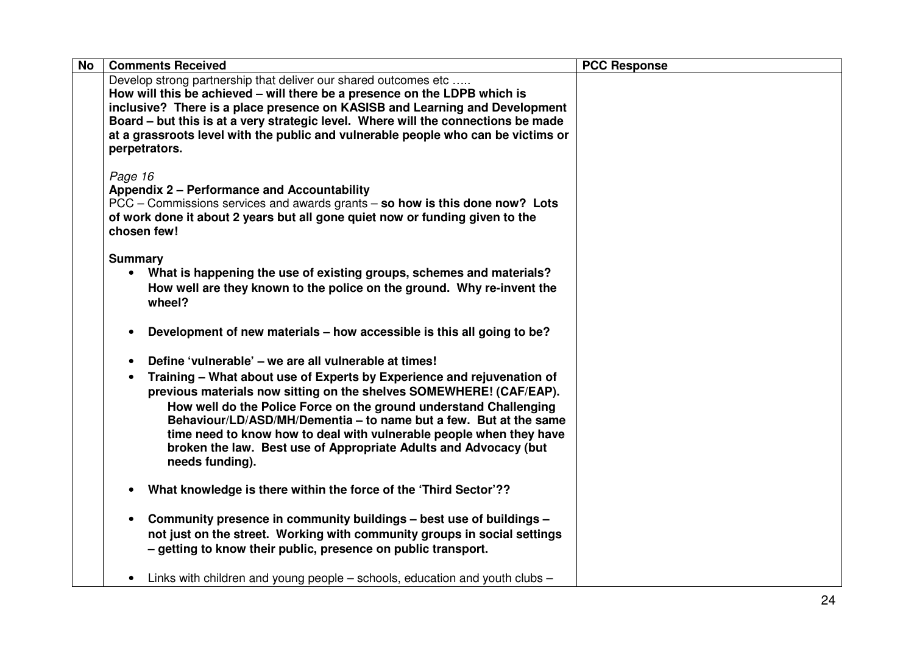| <b>No</b> | <b>Comments Received</b>                                                          | <b>PCC Response</b> |
|-----------|-----------------------------------------------------------------------------------|---------------------|
|           | Develop strong partnership that deliver our shared outcomes etc                   |                     |
|           | How will this be achieved – will there be a presence on the LDPB which is         |                     |
|           | inclusive? There is a place presence on KASISB and Learning and Development       |                     |
|           | Board – but this is at a very strategic level. Where will the connections be made |                     |
|           | at a grassroots level with the public and vulnerable people who can be victims or |                     |
|           | perpetrators.                                                                     |                     |
|           | Page 16                                                                           |                     |
|           | <b>Appendix 2 – Performance and Accountability</b>                                |                     |
|           | PCC – Commissions services and awards grants – so how is this done now? Lots      |                     |
|           | of work done it about 2 years but all gone quiet now or funding given to the      |                     |
|           | chosen few!                                                                       |                     |
|           |                                                                                   |                     |
|           | <b>Summary</b>                                                                    |                     |
|           | What is happening the use of existing groups, schemes and materials?              |                     |
|           | How well are they known to the police on the ground. Why re-invent the            |                     |
|           | wheel?                                                                            |                     |
|           | Development of new materials - how accessible is this all going to be?            |                     |
|           |                                                                                   |                     |
|           | Define 'vulnerable' – we are all vulnerable at times!                             |                     |
|           | Training – What about use of Experts by Experience and rejuvenation of            |                     |
|           | previous materials now sitting on the shelves SOMEWHERE! (CAF/EAP).               |                     |
|           | How well do the Police Force on the ground understand Challenging                 |                     |
|           | Behaviour/LD/ASD/MH/Dementia - to name but a few. But at the same                 |                     |
|           | time need to know how to deal with vulnerable people when they have               |                     |
|           | broken the law. Best use of Appropriate Adults and Advocacy (but                  |                     |
|           | needs funding).                                                                   |                     |
|           |                                                                                   |                     |
|           | What knowledge is there within the force of the 'Third Sector'??                  |                     |
|           | Community presence in community buildings - best use of buildings -               |                     |
|           | not just on the street. Working with community groups in social settings          |                     |
|           | - getting to know their public, presence on public transport.                     |                     |
|           |                                                                                   |                     |
|           | Links with children and young people – schools, education and youth clubs –       |                     |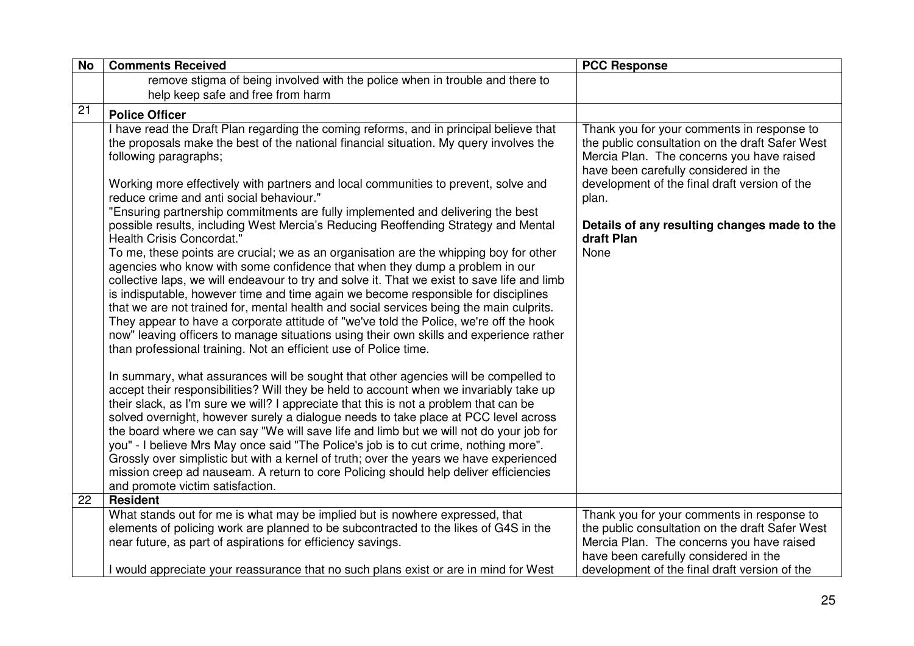| <b>No</b> | <b>Comments Received</b>                                                                                                                                                                                                                                                                                                                                                                                                                                                                                                                                                                                                                                                                                                                                              | <b>PCC Response</b>                                                                                                                                                                                                                  |
|-----------|-----------------------------------------------------------------------------------------------------------------------------------------------------------------------------------------------------------------------------------------------------------------------------------------------------------------------------------------------------------------------------------------------------------------------------------------------------------------------------------------------------------------------------------------------------------------------------------------------------------------------------------------------------------------------------------------------------------------------------------------------------------------------|--------------------------------------------------------------------------------------------------------------------------------------------------------------------------------------------------------------------------------------|
|           | remove stigma of being involved with the police when in trouble and there to                                                                                                                                                                                                                                                                                                                                                                                                                                                                                                                                                                                                                                                                                          |                                                                                                                                                                                                                                      |
|           | help keep safe and free from harm                                                                                                                                                                                                                                                                                                                                                                                                                                                                                                                                                                                                                                                                                                                                     |                                                                                                                                                                                                                                      |
| 21        | <b>Police Officer</b>                                                                                                                                                                                                                                                                                                                                                                                                                                                                                                                                                                                                                                                                                                                                                 |                                                                                                                                                                                                                                      |
|           | I have read the Draft Plan regarding the coming reforms, and in principal believe that<br>the proposals make the best of the national financial situation. My query involves the<br>following paragraphs;<br>Working more effectively with partners and local communities to prevent, solve and                                                                                                                                                                                                                                                                                                                                                                                                                                                                       | Thank you for your comments in response to<br>the public consultation on the draft Safer West<br>Mercia Plan. The concerns you have raised<br>have been carefully considered in the<br>development of the final draft version of the |
|           | reduce crime and anti social behaviour."<br>"Ensuring partnership commitments are fully implemented and delivering the best                                                                                                                                                                                                                                                                                                                                                                                                                                                                                                                                                                                                                                           | plan.                                                                                                                                                                                                                                |
|           | possible results, including West Mercia's Reducing Reoffending Strategy and Mental<br>Health Crisis Concordat."                                                                                                                                                                                                                                                                                                                                                                                                                                                                                                                                                                                                                                                       | Details of any resulting changes made to the<br>draft Plan                                                                                                                                                                           |
|           | To me, these points are crucial; we as an organisation are the whipping boy for other<br>agencies who know with some confidence that when they dump a problem in our<br>collective laps, we will endeavour to try and solve it. That we exist to save life and limb<br>is indisputable, however time and time again we become responsible for disciplines<br>that we are not trained for, mental health and social services being the main culprits.<br>They appear to have a corporate attitude of "we've told the Police, we're off the hook<br>now" leaving officers to manage situations using their own skills and experience rather<br>than professional training. Not an efficient use of Police time.                                                         | None                                                                                                                                                                                                                                 |
|           | In summary, what assurances will be sought that other agencies will be compelled to<br>accept their responsibilities? Will they be held to account when we invariably take up<br>their slack, as I'm sure we will? I appreciate that this is not a problem that can be<br>solved overnight, however surely a dialogue needs to take place at PCC level across<br>the board where we can say "We will save life and limb but we will not do your job for<br>you" - I believe Mrs May once said "The Police's job is to cut crime, nothing more".<br>Grossly over simplistic but with a kernel of truth; over the years we have experienced<br>mission creep ad nauseam. A return to core Policing should help deliver efficiencies<br>and promote victim satisfaction. |                                                                                                                                                                                                                                      |
| 22        | <b>Resident</b>                                                                                                                                                                                                                                                                                                                                                                                                                                                                                                                                                                                                                                                                                                                                                       |                                                                                                                                                                                                                                      |
|           | What stands out for me is what may be implied but is nowhere expressed, that<br>elements of policing work are planned to be subcontracted to the likes of G4S in the                                                                                                                                                                                                                                                                                                                                                                                                                                                                                                                                                                                                  | Thank you for your comments in response to<br>the public consultation on the draft Safer West                                                                                                                                        |
|           | near future, as part of aspirations for efficiency savings.                                                                                                                                                                                                                                                                                                                                                                                                                                                                                                                                                                                                                                                                                                           | Mercia Plan. The concerns you have raised<br>have been carefully considered in the                                                                                                                                                   |
|           | I would appreciate your reassurance that no such plans exist or are in mind for West                                                                                                                                                                                                                                                                                                                                                                                                                                                                                                                                                                                                                                                                                  | development of the final draft version of the                                                                                                                                                                                        |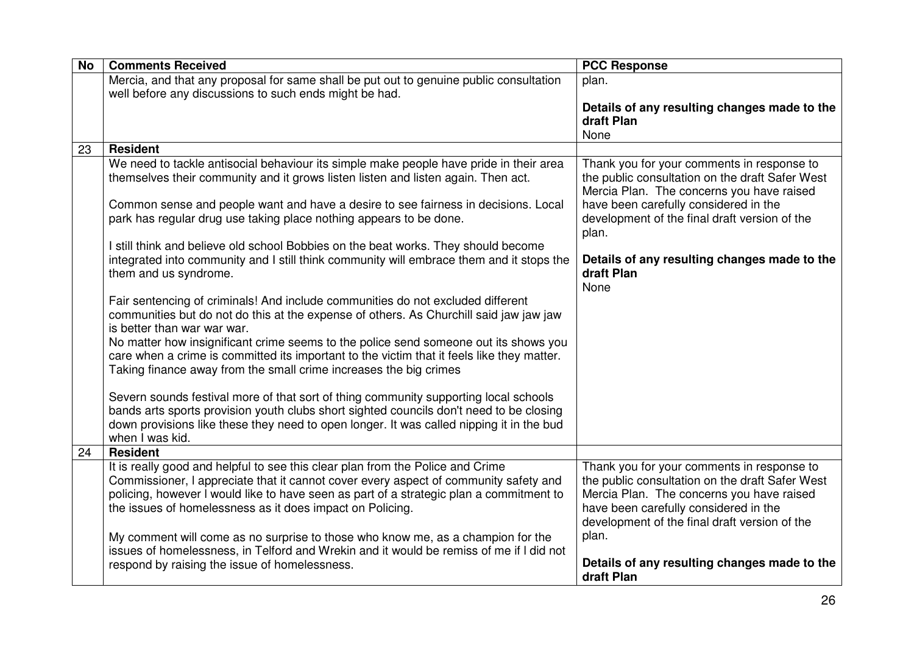| <b>No</b> | <b>Comments Received</b>                                                                                                                                                                               | <b>PCC Response</b>                                                                                                                        |
|-----------|--------------------------------------------------------------------------------------------------------------------------------------------------------------------------------------------------------|--------------------------------------------------------------------------------------------------------------------------------------------|
|           | Mercia, and that any proposal for same shall be put out to genuine public consultation<br>well before any discussions to such ends might be had.                                                       | plan.                                                                                                                                      |
|           |                                                                                                                                                                                                        | Details of any resulting changes made to the                                                                                               |
|           |                                                                                                                                                                                                        | draft Plan                                                                                                                                 |
|           |                                                                                                                                                                                                        | None                                                                                                                                       |
| 23        | <b>Resident</b>                                                                                                                                                                                        |                                                                                                                                            |
|           | We need to tackle antisocial behaviour its simple make people have pride in their area<br>themselves their community and it grows listen listen and listen again. Then act.                            | Thank you for your comments in response to<br>the public consultation on the draft Safer West<br>Mercia Plan. The concerns you have raised |
|           | Common sense and people want and have a desire to see fairness in decisions. Local                                                                                                                     | have been carefully considered in the                                                                                                      |
|           | park has regular drug use taking place nothing appears to be done.                                                                                                                                     | development of the final draft version of the<br>plan.                                                                                     |
|           | I still think and believe old school Bobbies on the beat works. They should become                                                                                                                     |                                                                                                                                            |
|           | integrated into community and I still think community will embrace them and it stops the<br>them and us syndrome.                                                                                      | Details of any resulting changes made to the<br>draft Plan                                                                                 |
|           |                                                                                                                                                                                                        | None                                                                                                                                       |
|           | Fair sentencing of criminals! And include communities do not excluded different<br>communities but do not do this at the expense of others. As Churchill said jaw jaw jaw                              |                                                                                                                                            |
|           | is better than war war war.<br>No matter how insignificant crime seems to the police send someone out its shows you                                                                                    |                                                                                                                                            |
|           | care when a crime is committed its important to the victim that it feels like they matter.<br>Taking finance away from the small crime increases the big crimes                                        |                                                                                                                                            |
|           | Severn sounds festival more of that sort of thing community supporting local schools                                                                                                                   |                                                                                                                                            |
|           | bands arts sports provision youth clubs short sighted councils don't need to be closing<br>down provisions like these they need to open longer. It was called nipping it in the bud<br>when I was kid. |                                                                                                                                            |
| 24        | <b>Resident</b>                                                                                                                                                                                        |                                                                                                                                            |
|           | It is really good and helpful to see this clear plan from the Police and Crime                                                                                                                         | Thank you for your comments in response to                                                                                                 |
|           | Commissioner, I appreciate that it cannot cover every aspect of community safety and                                                                                                                   | the public consultation on the draft Safer West                                                                                            |
|           | policing, however I would like to have seen as part of a strategic plan a commitment to                                                                                                                | Mercia Plan. The concerns you have raised                                                                                                  |
|           | the issues of homelessness as it does impact on Policing.                                                                                                                                              | have been carefully considered in the<br>development of the final draft version of the                                                     |
|           | My comment will come as no surprise to those who know me, as a champion for the                                                                                                                        | plan.                                                                                                                                      |
|           | issues of homelessness, in Telford and Wrekin and it would be remiss of me if I did not                                                                                                                |                                                                                                                                            |
|           | respond by raising the issue of homelessness.                                                                                                                                                          | Details of any resulting changes made to the<br>draft Plan                                                                                 |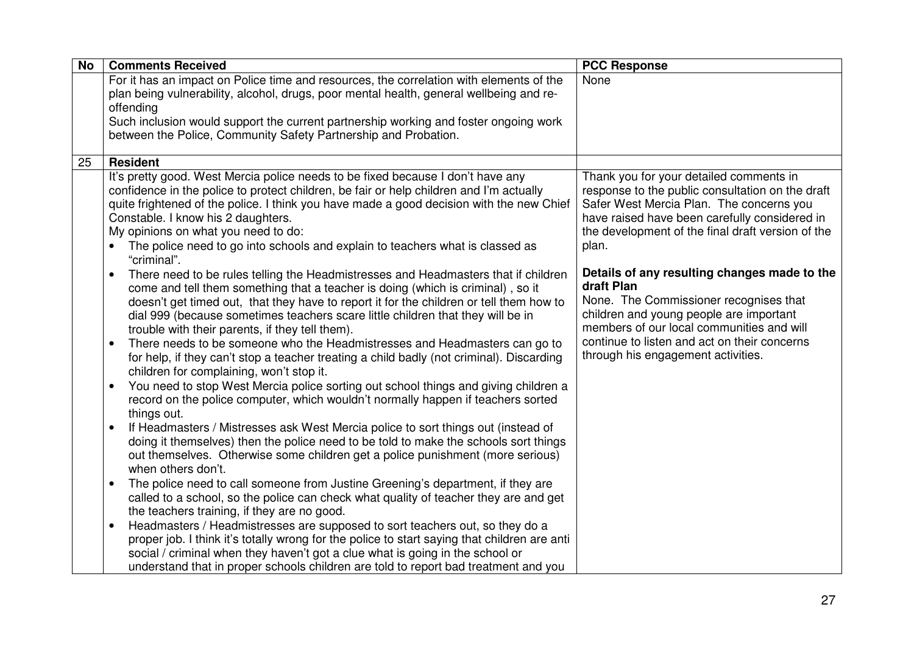| <b>No</b> | <b>Comments Received</b>                                                                                                                                                                                                                                                                                                                                                                                                                                                                                                                                                                                                                                                                                                                                                                                                                                                                                                                                                                                                                                                                                                                                                                                                                                                                                                                                                                                              | <b>PCC Response</b>                                                                                                                                                                                                                                                                |
|-----------|-----------------------------------------------------------------------------------------------------------------------------------------------------------------------------------------------------------------------------------------------------------------------------------------------------------------------------------------------------------------------------------------------------------------------------------------------------------------------------------------------------------------------------------------------------------------------------------------------------------------------------------------------------------------------------------------------------------------------------------------------------------------------------------------------------------------------------------------------------------------------------------------------------------------------------------------------------------------------------------------------------------------------------------------------------------------------------------------------------------------------------------------------------------------------------------------------------------------------------------------------------------------------------------------------------------------------------------------------------------------------------------------------------------------------|------------------------------------------------------------------------------------------------------------------------------------------------------------------------------------------------------------------------------------------------------------------------------------|
|           | For it has an impact on Police time and resources, the correlation with elements of the<br>plan being vulnerability, alcohol, drugs, poor mental health, general wellbeing and re-<br>offending<br>Such inclusion would support the current partnership working and foster ongoing work<br>between the Police, Community Safety Partnership and Probation.                                                                                                                                                                                                                                                                                                                                                                                                                                                                                                                                                                                                                                                                                                                                                                                                                                                                                                                                                                                                                                                            | None                                                                                                                                                                                                                                                                               |
| 25        | <b>Resident</b>                                                                                                                                                                                                                                                                                                                                                                                                                                                                                                                                                                                                                                                                                                                                                                                                                                                                                                                                                                                                                                                                                                                                                                                                                                                                                                                                                                                                       |                                                                                                                                                                                                                                                                                    |
|           | It's pretty good. West Mercia police needs to be fixed because I don't have any<br>confidence in the police to protect children, be fair or help children and I'm actually<br>quite frightened of the police. I think you have made a good decision with the new Chief<br>Constable. I know his 2 daughters.<br>My opinions on what you need to do:<br>The police need to go into schools and explain to teachers what is classed as                                                                                                                                                                                                                                                                                                                                                                                                                                                                                                                                                                                                                                                                                                                                                                                                                                                                                                                                                                                  | Thank you for your detailed comments in<br>response to the public consultation on the draft<br>Safer West Mercia Plan. The concerns you<br>have raised have been carefully considered in<br>the development of the final draft version of the<br>plan.                             |
|           | "criminal".<br>There need to be rules telling the Headmistresses and Headmasters that if children<br>$\bullet$<br>come and tell them something that a teacher is doing (which is criminal), so it<br>doesn't get timed out, that they have to report it for the children or tell them how to<br>dial 999 (because sometimes teachers scare little children that they will be in<br>trouble with their parents, if they tell them).<br>There needs to be someone who the Headmistresses and Headmasters can go to<br>$\bullet$<br>for help, if they can't stop a teacher treating a child badly (not criminal). Discarding<br>children for complaining, won't stop it.<br>You need to stop West Mercia police sorting out school things and giving children a<br>$\bullet$<br>record on the police computer, which wouldn't normally happen if teachers sorted<br>things out.<br>If Headmasters / Mistresses ask West Mercia police to sort things out (instead of<br>$\bullet$<br>doing it themselves) then the police need to be told to make the schools sort things<br>out themselves. Otherwise some children get a police punishment (more serious)<br>when others don't.<br>The police need to call someone from Justine Greening's department, if they are<br>$\bullet$<br>called to a school, so the police can check what quality of teacher they are and get<br>the teachers training, if they are no good. | Details of any resulting changes made to the<br>draft Plan<br>None. The Commissioner recognises that<br>children and young people are important<br>members of our local communities and will<br>continue to listen and act on their concerns<br>through his engagement activities. |
|           | Headmasters / Headmistresses are supposed to sort teachers out, so they do a<br>$\bullet$<br>proper job. I think it's totally wrong for the police to start saying that children are anti<br>social / criminal when they haven't got a clue what is going in the school or<br>understand that in proper schools children are told to report bad treatment and you                                                                                                                                                                                                                                                                                                                                                                                                                                                                                                                                                                                                                                                                                                                                                                                                                                                                                                                                                                                                                                                     |                                                                                                                                                                                                                                                                                    |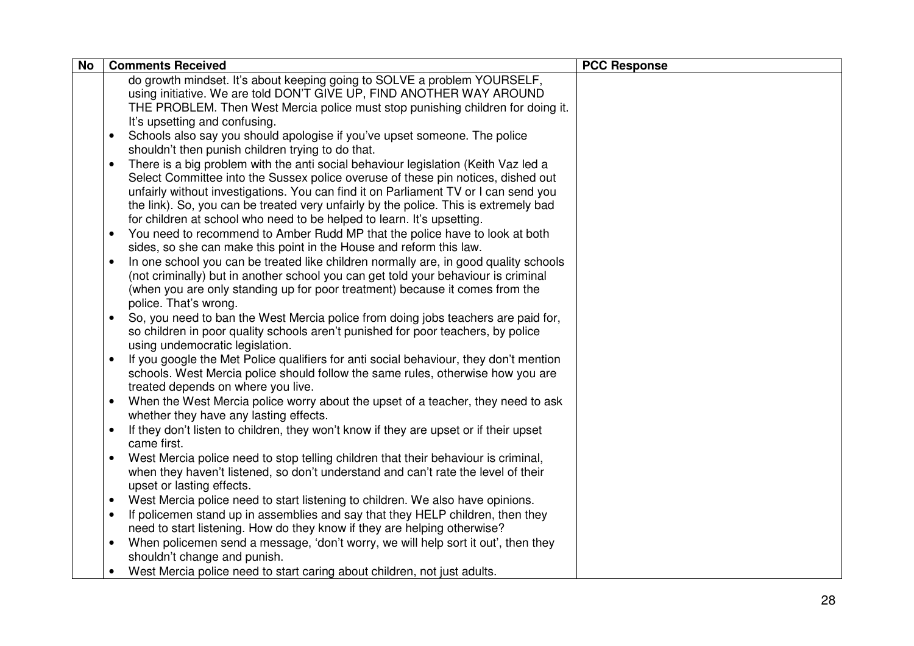| <b>No</b> | <b>Comments Received</b>                                                                                                                                       | <b>PCC Response</b> |
|-----------|----------------------------------------------------------------------------------------------------------------------------------------------------------------|---------------------|
|           | do growth mindset. It's about keeping going to SOLVE a problem YOURSELF,                                                                                       |                     |
|           | using initiative. We are told DON'T GIVE UP, FIND ANOTHER WAY AROUND                                                                                           |                     |
|           | THE PROBLEM. Then West Mercia police must stop punishing children for doing it.                                                                                |                     |
|           | It's upsetting and confusing.                                                                                                                                  |                     |
|           | Schools also say you should apologise if you've upset someone. The police<br>$\bullet$                                                                         |                     |
|           | shouldn't then punish children trying to do that.                                                                                                              |                     |
|           | There is a big problem with the anti social behaviour legislation (Keith Vaz led a<br>$\bullet$                                                                |                     |
|           | Select Committee into the Sussex police overuse of these pin notices, dished out                                                                               |                     |
|           | unfairly without investigations. You can find it on Parliament TV or I can send you                                                                            |                     |
|           | the link). So, you can be treated very unfairly by the police. This is extremely bad<br>for children at school who need to be helped to learn. It's upsetting. |                     |
|           | You need to recommend to Amber Rudd MP that the police have to look at both<br>$\bullet$                                                                       |                     |
|           | sides, so she can make this point in the House and reform this law.                                                                                            |                     |
|           | In one school you can be treated like children normally are, in good quality schools<br>$\bullet$                                                              |                     |
|           | (not criminally) but in another school you can get told your behaviour is criminal                                                                             |                     |
|           | (when you are only standing up for poor treatment) because it comes from the                                                                                   |                     |
|           | police. That's wrong.                                                                                                                                          |                     |
|           | So, you need to ban the West Mercia police from doing jobs teachers are paid for,<br>$\bullet$                                                                 |                     |
|           | so children in poor quality schools aren't punished for poor teachers, by police                                                                               |                     |
|           | using undemocratic legislation.                                                                                                                                |                     |
|           | If you google the Met Police qualifiers for anti social behaviour, they don't mention<br>$\bullet$                                                             |                     |
|           | schools. West Mercia police should follow the same rules, otherwise how you are                                                                                |                     |
|           | treated depends on where you live.                                                                                                                             |                     |
|           | When the West Mercia police worry about the upset of a teacher, they need to ask<br>$\bullet$                                                                  |                     |
|           | whether they have any lasting effects.                                                                                                                         |                     |
|           | If they don't listen to children, they won't know if they are upset or if their upset                                                                          |                     |
|           | came first.                                                                                                                                                    |                     |
|           | West Mercia police need to stop telling children that their behaviour is criminal,                                                                             |                     |
|           | when they haven't listened, so don't understand and can't rate the level of their<br>upset or lasting effects.                                                 |                     |
|           | West Mercia police need to start listening to children. We also have opinions.<br>$\bullet$                                                                    |                     |
|           | If policemen stand up in assemblies and say that they HELP children, then they                                                                                 |                     |
|           | need to start listening. How do they know if they are helping otherwise?                                                                                       |                     |
|           | When policemen send a message, 'don't worry, we will help sort it out', then they                                                                              |                     |
|           | shouldn't change and punish.                                                                                                                                   |                     |
|           | West Mercia police need to start caring about children, not just adults.<br>$\bullet$                                                                          |                     |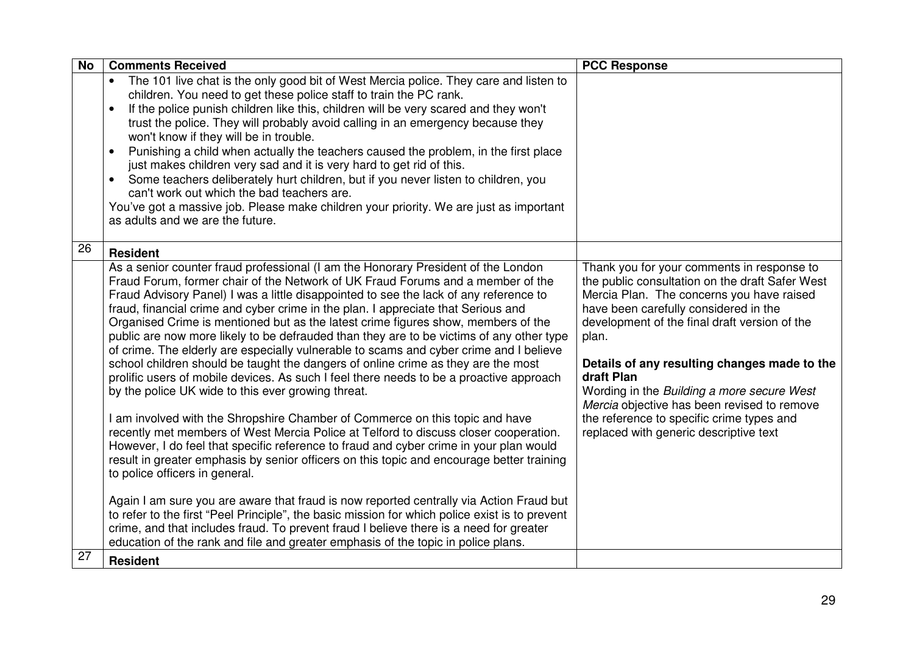| <b>No</b> | <b>Comments Received</b>                                                                                                                                                                                                                                                                                                                                                                                                                                                                                                                                                                                                                                                                                                                                                                                                                                                                                                                                                                                                                                                                                                                                                                                                                                                                                                                                                                                                                                                                                                                                                                                                                         | <b>PCC Response</b>                                                                                                                                                                                                                                                                                                                                                                                                                                                                             |
|-----------|--------------------------------------------------------------------------------------------------------------------------------------------------------------------------------------------------------------------------------------------------------------------------------------------------------------------------------------------------------------------------------------------------------------------------------------------------------------------------------------------------------------------------------------------------------------------------------------------------------------------------------------------------------------------------------------------------------------------------------------------------------------------------------------------------------------------------------------------------------------------------------------------------------------------------------------------------------------------------------------------------------------------------------------------------------------------------------------------------------------------------------------------------------------------------------------------------------------------------------------------------------------------------------------------------------------------------------------------------------------------------------------------------------------------------------------------------------------------------------------------------------------------------------------------------------------------------------------------------------------------------------------------------|-------------------------------------------------------------------------------------------------------------------------------------------------------------------------------------------------------------------------------------------------------------------------------------------------------------------------------------------------------------------------------------------------------------------------------------------------------------------------------------------------|
|           | The 101 live chat is the only good bit of West Mercia police. They care and listen to<br>$\bullet$<br>children. You need to get these police staff to train the PC rank.<br>If the police punish children like this, children will be very scared and they won't<br>trust the police. They will probably avoid calling in an emergency because they<br>won't know if they will be in trouble.<br>Punishing a child when actually the teachers caused the problem, in the first place<br>just makes children very sad and it is very hard to get rid of this.<br>Some teachers deliberately hurt children, but if you never listen to children, you<br>can't work out which the bad teachers are.<br>You've got a massive job. Please make children your priority. We are just as important<br>as adults and we are the future.                                                                                                                                                                                                                                                                                                                                                                                                                                                                                                                                                                                                                                                                                                                                                                                                                   |                                                                                                                                                                                                                                                                                                                                                                                                                                                                                                 |
| 26        | <b>Resident</b>                                                                                                                                                                                                                                                                                                                                                                                                                                                                                                                                                                                                                                                                                                                                                                                                                                                                                                                                                                                                                                                                                                                                                                                                                                                                                                                                                                                                                                                                                                                                                                                                                                  |                                                                                                                                                                                                                                                                                                                                                                                                                                                                                                 |
|           | As a senior counter fraud professional (I am the Honorary President of the London<br>Fraud Forum, former chair of the Network of UK Fraud Forums and a member of the<br>Fraud Advisory Panel) I was a little disappointed to see the lack of any reference to<br>fraud, financial crime and cyber crime in the plan. I appreciate that Serious and<br>Organised Crime is mentioned but as the latest crime figures show, members of the<br>public are now more likely to be defrauded than they are to be victims of any other type<br>of crime. The elderly are especially vulnerable to scams and cyber crime and I believe<br>school children should be taught the dangers of online crime as they are the most<br>prolific users of mobile devices. As such I feel there needs to be a proactive approach<br>by the police UK wide to this ever growing threat.<br>I am involved with the Shropshire Chamber of Commerce on this topic and have<br>recently met members of West Mercia Police at Telford to discuss closer cooperation.<br>However, I do feel that specific reference to fraud and cyber crime in your plan would<br>result in greater emphasis by senior officers on this topic and encourage better training<br>to police officers in general.<br>Again I am sure you are aware that fraud is now reported centrally via Action Fraud but<br>to refer to the first "Peel Principle", the basic mission for which police exist is to prevent<br>crime, and that includes fraud. To prevent fraud I believe there is a need for greater<br>education of the rank and file and greater emphasis of the topic in police plans. | Thank you for your comments in response to<br>the public consultation on the draft Safer West<br>Mercia Plan. The concerns you have raised<br>have been carefully considered in the<br>development of the final draft version of the<br>plan.<br>Details of any resulting changes made to the<br>draft Plan<br>Wording in the Building a more secure West<br>Mercia objective has been revised to remove<br>the reference to specific crime types and<br>replaced with generic descriptive text |
| 27        | <b>Resident</b>                                                                                                                                                                                                                                                                                                                                                                                                                                                                                                                                                                                                                                                                                                                                                                                                                                                                                                                                                                                                                                                                                                                                                                                                                                                                                                                                                                                                                                                                                                                                                                                                                                  |                                                                                                                                                                                                                                                                                                                                                                                                                                                                                                 |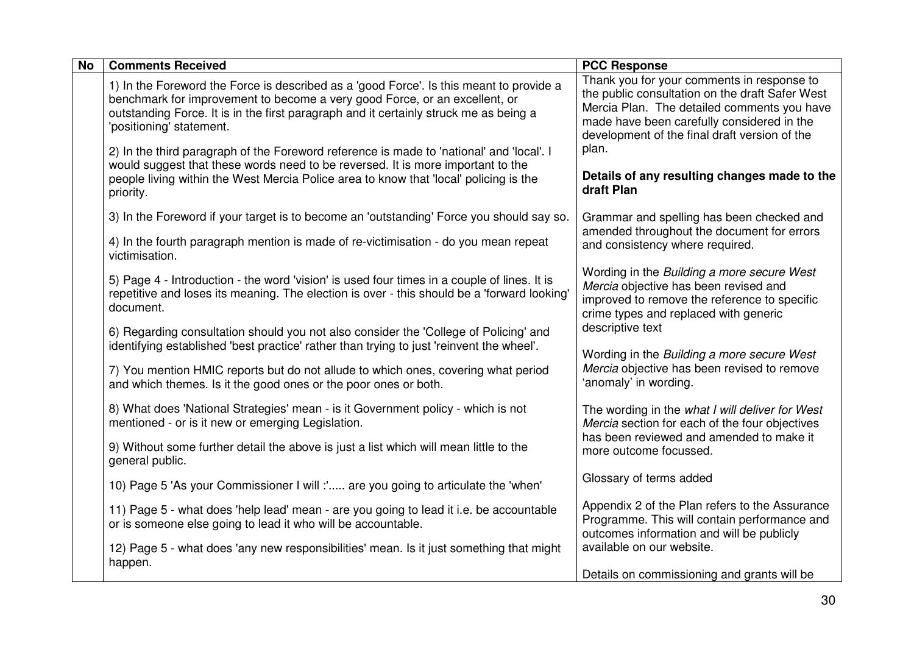| <b>No</b> | <b>Comments Received</b>                                                                                                                                                                                                                                                                   | <b>PCC Response</b>                                                                                                                                                                                                                         |
|-----------|--------------------------------------------------------------------------------------------------------------------------------------------------------------------------------------------------------------------------------------------------------------------------------------------|---------------------------------------------------------------------------------------------------------------------------------------------------------------------------------------------------------------------------------------------|
|           | 1) In the Foreword the Force is described as a 'good Force'. Is this meant to provide a<br>benchmark for improvement to become a very good Force, or an excellent, or<br>outstanding Force. It is in the first paragraph and it certainly struck me as being a<br>'positioning' statement. | Thank you for your comments in response to<br>the public consultation on the draft Safer West<br>Mercia Plan. The detailed comments you have<br>made have been carefully considered in the<br>development of the final draft version of the |
|           | 2) In the third paragraph of the Foreword reference is made to 'national' and 'local'. I<br>would suggest that these words need to be reversed. It is more important to the<br>people living within the West Mercia Police area to know that 'local' policing is the<br>priority.          | plan.<br>Details of any resulting changes made to the<br>draft Plan                                                                                                                                                                         |
|           | 3) In the Foreword if your target is to become an 'outstanding' Force you should say so.                                                                                                                                                                                                   | Grammar and spelling has been checked and<br>amended throughout the document for errors                                                                                                                                                     |
|           | 4) In the fourth paragraph mention is made of re-victimisation - do you mean repeat<br>victimisation.                                                                                                                                                                                      | and consistency where required.                                                                                                                                                                                                             |
|           | 5) Page 4 - Introduction - the word 'vision' is used four times in a couple of lines. It is<br>repetitive and loses its meaning. The election is over - this should be a 'forward looking'<br>document.                                                                                    | Wording in the Building a more secure West<br>Mercia objective has been revised and<br>improved to remove the reference to specific<br>crime types and replaced with generic                                                                |
|           | 6) Regarding consultation should you not also consider the 'College of Policing' and<br>identifying established 'best practice' rather than trying to just 'reinvent the wheel'.                                                                                                           | descriptive text                                                                                                                                                                                                                            |
|           | 7) You mention HMIC reports but do not allude to which ones, covering what period<br>and which themes. Is it the good ones or the poor ones or both.                                                                                                                                       | Wording in the Building a more secure West<br>Mercia objective has been revised to remove<br>'anomaly' in wording.                                                                                                                          |
|           | 8) What does 'National Strategies' mean - is it Government policy - which is not<br>mentioned - or is it new or emerging Legislation.                                                                                                                                                      | The wording in the what I will deliver for West<br>Mercia section for each of the four objectives                                                                                                                                           |
|           | 9) Without some further detail the above is just a list which will mean little to the<br>general public.                                                                                                                                                                                   | has been reviewed and amended to make it<br>more outcome focussed.                                                                                                                                                                          |
|           | 10) Page 5 'As your Commissioner I will :' are you going to articulate the 'when'                                                                                                                                                                                                          | Glossary of terms added                                                                                                                                                                                                                     |
|           | 11) Page 5 - what does 'help lead' mean - are you going to lead it i.e. be accountable<br>or is someone else going to lead it who will be accountable.                                                                                                                                     | Appendix 2 of the Plan refers to the Assurance<br>Programme. This will contain performance and<br>outcomes information and will be publicly                                                                                                 |
|           | 12) Page 5 - what does 'any new responsibilities' mean. Is it just something that might<br>happen.                                                                                                                                                                                         | available on our website.                                                                                                                                                                                                                   |
|           |                                                                                                                                                                                                                                                                                            | Details on commissioning and grants will be                                                                                                                                                                                                 |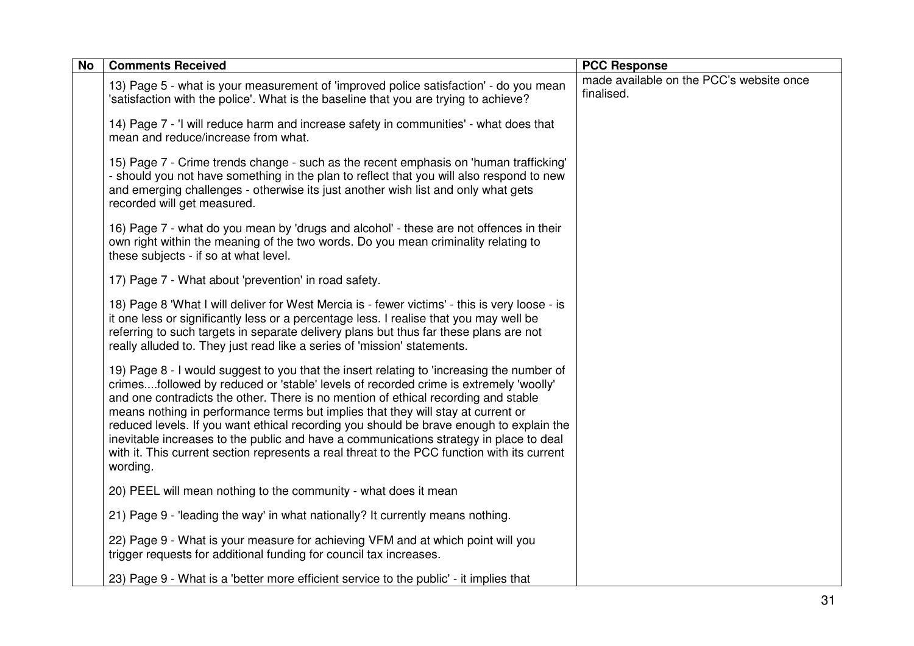| <b>No</b> | <b>Comments Received</b>                                                                                                                                                                                                                                                                                                                                                                                                                                                                                                                                                                                                                                    | <b>PCC Response</b>                                    |
|-----------|-------------------------------------------------------------------------------------------------------------------------------------------------------------------------------------------------------------------------------------------------------------------------------------------------------------------------------------------------------------------------------------------------------------------------------------------------------------------------------------------------------------------------------------------------------------------------------------------------------------------------------------------------------------|--------------------------------------------------------|
|           | 13) Page 5 - what is your measurement of 'improved police satisfaction' - do you mean<br>'satisfaction with the police'. What is the baseline that you are trying to achieve?                                                                                                                                                                                                                                                                                                                                                                                                                                                                               | made available on the PCC's website once<br>finalised. |
|           | 14) Page 7 - 'I will reduce harm and increase safety in communities' - what does that<br>mean and reduce/increase from what.                                                                                                                                                                                                                                                                                                                                                                                                                                                                                                                                |                                                        |
|           | 15) Page 7 - Crime trends change - such as the recent emphasis on 'human trafficking'<br>- should you not have something in the plan to reflect that you will also respond to new<br>and emerging challenges - otherwise its just another wish list and only what gets<br>recorded will get measured.                                                                                                                                                                                                                                                                                                                                                       |                                                        |
|           | 16) Page 7 - what do you mean by 'drugs and alcohol' - these are not offences in their<br>own right within the meaning of the two words. Do you mean criminality relating to<br>these subjects - if so at what level.                                                                                                                                                                                                                                                                                                                                                                                                                                       |                                                        |
|           | 17) Page 7 - What about 'prevention' in road safety.                                                                                                                                                                                                                                                                                                                                                                                                                                                                                                                                                                                                        |                                                        |
|           | 18) Page 8 'What I will deliver for West Mercia is - fewer victims' - this is very loose - is<br>it one less or significantly less or a percentage less. I realise that you may well be<br>referring to such targets in separate delivery plans but thus far these plans are not<br>really alluded to. They just read like a series of 'mission' statements.                                                                                                                                                                                                                                                                                                |                                                        |
|           | 19) Page 8 - I would suggest to you that the insert relating to 'increasing the number of<br>crimesfollowed by reduced or 'stable' levels of recorded crime is extremely 'woolly'<br>and one contradicts the other. There is no mention of ethical recording and stable<br>means nothing in performance terms but implies that they will stay at current or<br>reduced levels. If you want ethical recording you should be brave enough to explain the<br>inevitable increases to the public and have a communications strategy in place to deal<br>with it. This current section represents a real threat to the PCC function with its current<br>wording. |                                                        |
|           | 20) PEEL will mean nothing to the community - what does it mean                                                                                                                                                                                                                                                                                                                                                                                                                                                                                                                                                                                             |                                                        |
|           | 21) Page 9 - 'leading the way' in what nationally? It currently means nothing.                                                                                                                                                                                                                                                                                                                                                                                                                                                                                                                                                                              |                                                        |
|           | 22) Page 9 - What is your measure for achieving VFM and at which point will you<br>trigger requests for additional funding for council tax increases.                                                                                                                                                                                                                                                                                                                                                                                                                                                                                                       |                                                        |
|           | 23) Page 9 - What is a 'better more efficient service to the public' - it implies that                                                                                                                                                                                                                                                                                                                                                                                                                                                                                                                                                                      |                                                        |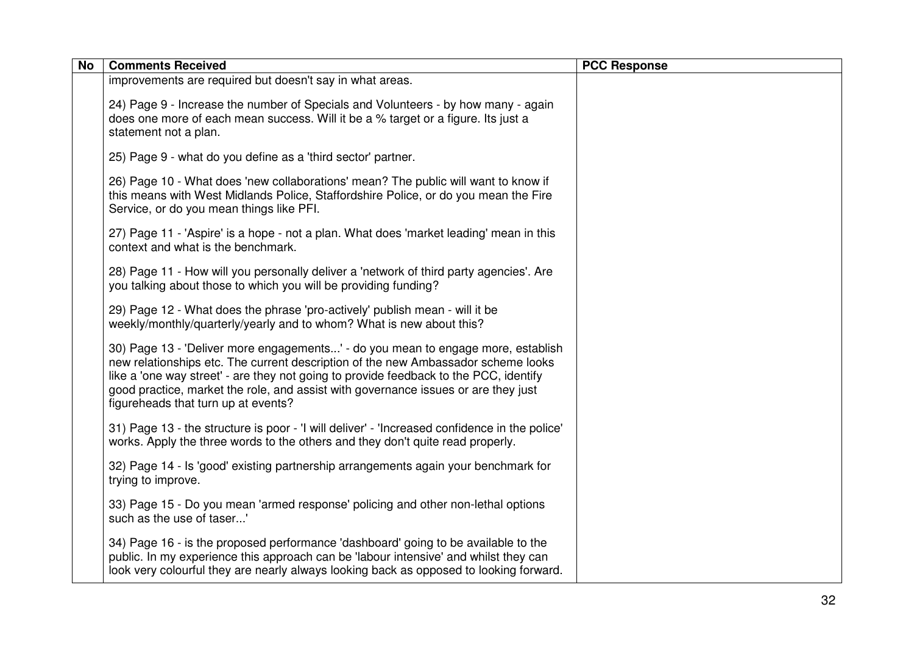| <b>No</b> | <b>Comments Received</b>                                                                                                                                                                                                                                                                                                                                                                    | <b>PCC Response</b> |
|-----------|---------------------------------------------------------------------------------------------------------------------------------------------------------------------------------------------------------------------------------------------------------------------------------------------------------------------------------------------------------------------------------------------|---------------------|
|           | improvements are required but doesn't say in what areas.                                                                                                                                                                                                                                                                                                                                    |                     |
|           | 24) Page 9 - Increase the number of Specials and Volunteers - by how many - again<br>does one more of each mean success. Will it be a % target or a figure. Its just a<br>statement not a plan.                                                                                                                                                                                             |                     |
|           | 25) Page 9 - what do you define as a 'third sector' partner.                                                                                                                                                                                                                                                                                                                                |                     |
|           | 26) Page 10 - What does 'new collaborations' mean? The public will want to know if<br>this means with West Midlands Police, Staffordshire Police, or do you mean the Fire<br>Service, or do you mean things like PFI.                                                                                                                                                                       |                     |
|           | 27) Page 11 - 'Aspire' is a hope - not a plan. What does 'market leading' mean in this<br>context and what is the benchmark.                                                                                                                                                                                                                                                                |                     |
|           | 28) Page 11 - How will you personally deliver a 'network of third party agencies'. Are<br>you talking about those to which you will be providing funding?                                                                                                                                                                                                                                   |                     |
|           | 29) Page 12 - What does the phrase 'pro-actively' publish mean - will it be<br>weekly/monthly/quarterly/yearly and to whom? What is new about this?                                                                                                                                                                                                                                         |                     |
|           | 30) Page 13 - 'Deliver more engagements' - do you mean to engage more, establish<br>new relationships etc. The current description of the new Ambassador scheme looks<br>like a 'one way street' - are they not going to provide feedback to the PCC, identify<br>good practice, market the role, and assist with governance issues or are they just<br>figureheads that turn up at events? |                     |
|           | 31) Page 13 - the structure is poor - 'I will deliver' - 'Increased confidence in the police'<br>works. Apply the three words to the others and they don't quite read properly.                                                                                                                                                                                                             |                     |
|           | 32) Page 14 - Is 'good' existing partnership arrangements again your benchmark for<br>trying to improve.                                                                                                                                                                                                                                                                                    |                     |
|           | 33) Page 15 - Do you mean 'armed response' policing and other non-lethal options<br>such as the use of taser'                                                                                                                                                                                                                                                                               |                     |
|           | 34) Page 16 - is the proposed performance 'dashboard' going to be available to the<br>public. In my experience this approach can be 'labour intensive' and whilst they can<br>look very colourful they are nearly always looking back as opposed to looking forward.                                                                                                                        |                     |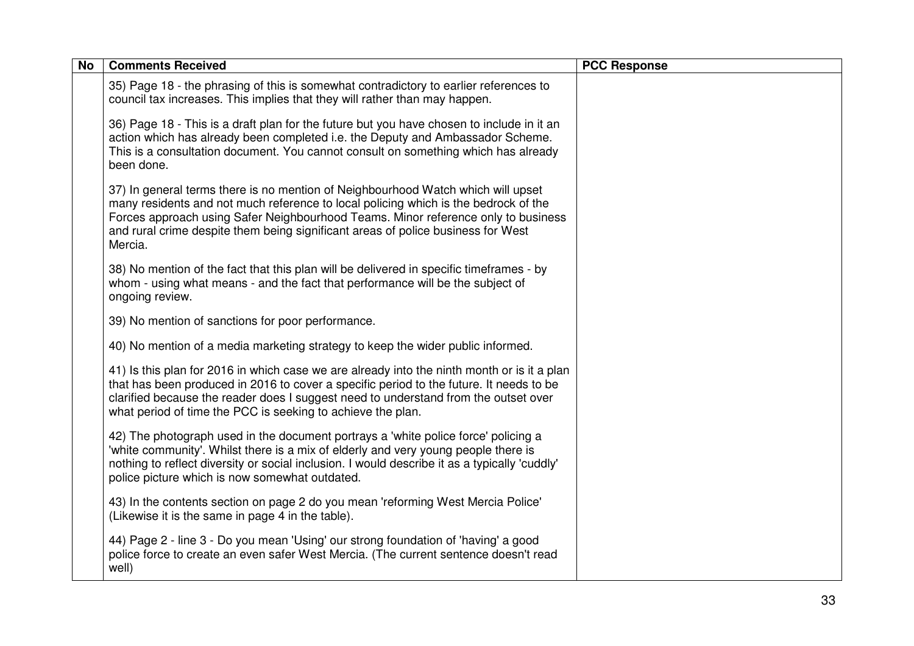| <b>No</b> | <b>Comments Received</b>                                                                                                                                                                                                                                                                                                                                    | <b>PCC Response</b> |
|-----------|-------------------------------------------------------------------------------------------------------------------------------------------------------------------------------------------------------------------------------------------------------------------------------------------------------------------------------------------------------------|---------------------|
|           | 35) Page 18 - the phrasing of this is somewhat contradictory to earlier references to<br>council tax increases. This implies that they will rather than may happen.                                                                                                                                                                                         |                     |
|           | 36) Page 18 - This is a draft plan for the future but you have chosen to include in it an<br>action which has already been completed i.e. the Deputy and Ambassador Scheme.<br>This is a consultation document. You cannot consult on something which has already<br>been done.                                                                             |                     |
|           | 37) In general terms there is no mention of Neighbourhood Watch which will upset<br>many residents and not much reference to local policing which is the bedrock of the<br>Forces approach using Safer Neighbourhood Teams. Minor reference only to business<br>and rural crime despite them being significant areas of police business for West<br>Mercia. |                     |
|           | 38) No mention of the fact that this plan will be delivered in specific timeframes - by<br>whom - using what means - and the fact that performance will be the subject of<br>ongoing review.                                                                                                                                                                |                     |
|           | 39) No mention of sanctions for poor performance.                                                                                                                                                                                                                                                                                                           |                     |
|           | 40) No mention of a media marketing strategy to keep the wider public informed.                                                                                                                                                                                                                                                                             |                     |
|           | 41) Is this plan for 2016 in which case we are already into the ninth month or is it a plan<br>that has been produced in 2016 to cover a specific period to the future. It needs to be<br>clarified because the reader does I suggest need to understand from the outset over<br>what period of time the PCC is seeking to achieve the plan.                |                     |
|           | 42) The photograph used in the document portrays a 'white police force' policing a<br>'white community'. Whilst there is a mix of elderly and very young people there is<br>nothing to reflect diversity or social inclusion. I would describe it as a typically 'cuddly'<br>police picture which is now somewhat outdated.                                 |                     |
|           | 43) In the contents section on page 2 do you mean 'reforming West Mercia Police'<br>(Likewise it is the same in page 4 in the table).                                                                                                                                                                                                                       |                     |
|           | 44) Page 2 - line 3 - Do you mean 'Using' our strong foundation of 'having' a good<br>police force to create an even safer West Mercia. (The current sentence doesn't read<br>well)                                                                                                                                                                         |                     |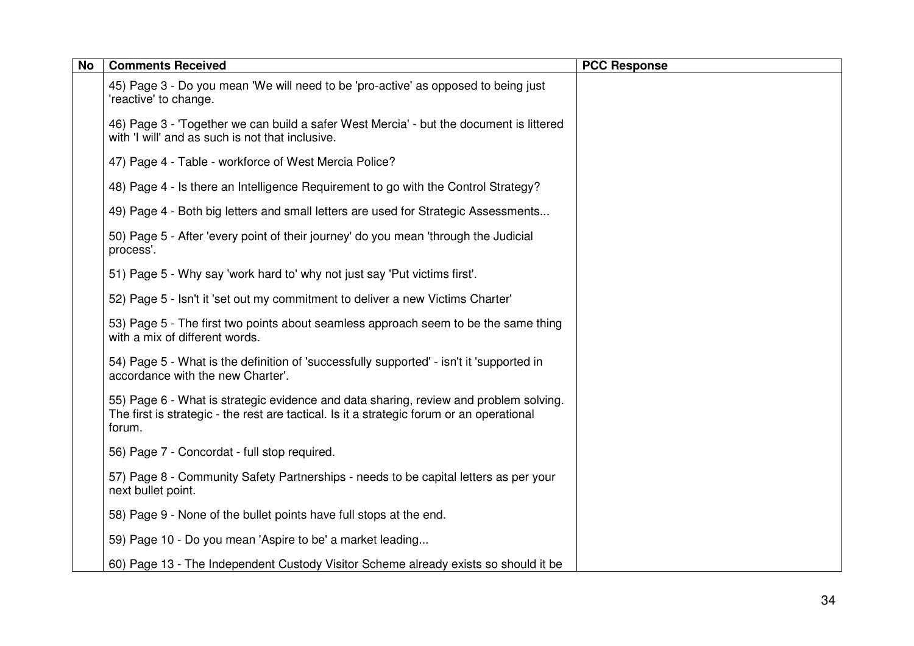| <b>No</b> | <b>Comments Received</b>                                                                                                                                                                     | <b>PCC Response</b> |
|-----------|----------------------------------------------------------------------------------------------------------------------------------------------------------------------------------------------|---------------------|
|           | 45) Page 3 - Do you mean 'We will need to be 'pro-active' as opposed to being just<br>'reactive' to change.                                                                                  |                     |
|           | 46) Page 3 - 'Together we can build a safer West Mercia' - but the document is littered<br>with 'I will' and as such is not that inclusive.                                                  |                     |
|           | 47) Page 4 - Table - workforce of West Mercia Police?                                                                                                                                        |                     |
|           | 48) Page 4 - Is there an Intelligence Requirement to go with the Control Strategy?                                                                                                           |                     |
|           | 49) Page 4 - Both big letters and small letters are used for Strategic Assessments                                                                                                           |                     |
|           | 50) Page 5 - After 'every point of their journey' do you mean 'through the Judicial<br>process'.                                                                                             |                     |
|           | 51) Page 5 - Why say 'work hard to' why not just say 'Put victims first'.                                                                                                                    |                     |
|           | 52) Page 5 - Isn't it 'set out my commitment to deliver a new Victims Charter'                                                                                                               |                     |
|           | 53) Page 5 - The first two points about seamless approach seem to be the same thing<br>with a mix of different words.                                                                        |                     |
|           | 54) Page 5 - What is the definition of 'successfully supported' - isn't it 'supported in<br>accordance with the new Charter'.                                                                |                     |
|           | 55) Page 6 - What is strategic evidence and data sharing, review and problem solving.<br>The first is strategic - the rest are tactical. Is it a strategic forum or an operational<br>forum. |                     |
|           | 56) Page 7 - Concordat - full stop required.                                                                                                                                                 |                     |
|           | 57) Page 8 - Community Safety Partnerships - needs to be capital letters as per your<br>next bullet point.                                                                                   |                     |
|           | 58) Page 9 - None of the bullet points have full stops at the end.                                                                                                                           |                     |
|           | 59) Page 10 - Do you mean 'Aspire to be' a market leading                                                                                                                                    |                     |
|           | 60) Page 13 - The Independent Custody Visitor Scheme already exists so should it be                                                                                                          |                     |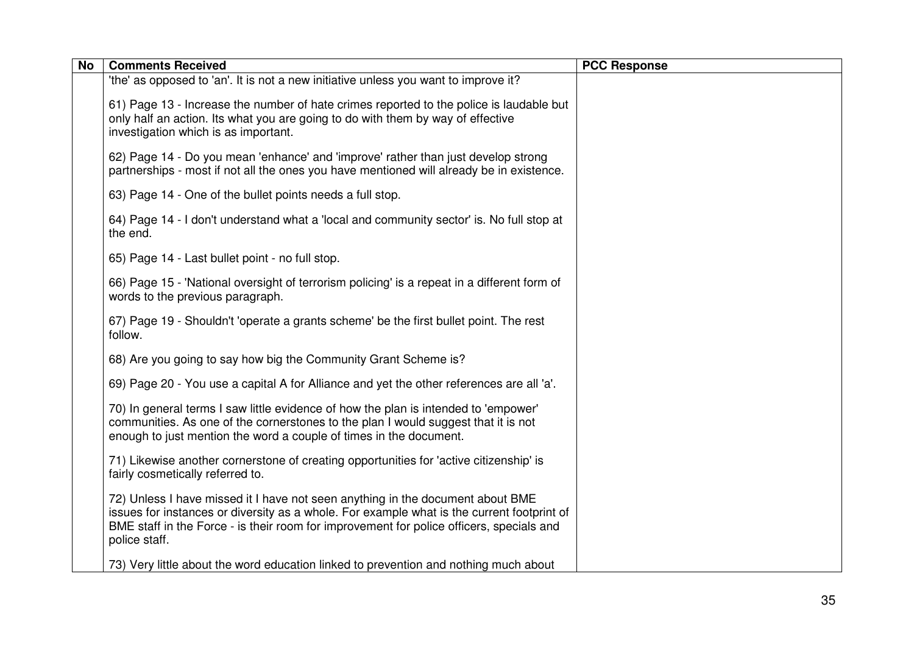| <b>No</b> | <b>Comments Received</b>                                                                                                                                                                                                                                                                  | <b>PCC Response</b> |
|-----------|-------------------------------------------------------------------------------------------------------------------------------------------------------------------------------------------------------------------------------------------------------------------------------------------|---------------------|
|           | 'the' as opposed to 'an'. It is not a new initiative unless you want to improve it?                                                                                                                                                                                                       |                     |
|           | 61) Page 13 - Increase the number of hate crimes reported to the police is laudable but<br>only half an action. Its what you are going to do with them by way of effective<br>investigation which is as important.                                                                        |                     |
|           | 62) Page 14 - Do you mean 'enhance' and 'improve' rather than just develop strong<br>partnerships - most if not all the ones you have mentioned will already be in existence.                                                                                                             |                     |
|           | 63) Page 14 - One of the bullet points needs a full stop.                                                                                                                                                                                                                                 |                     |
|           | 64) Page 14 - I don't understand what a 'local and community sector' is. No full stop at<br>the end.                                                                                                                                                                                      |                     |
|           | 65) Page 14 - Last bullet point - no full stop.                                                                                                                                                                                                                                           |                     |
|           | 66) Page 15 - 'National oversight of terrorism policing' is a repeat in a different form of<br>words to the previous paragraph.                                                                                                                                                           |                     |
|           | 67) Page 19 - Shouldn't 'operate a grants scheme' be the first bullet point. The rest<br>follow.                                                                                                                                                                                          |                     |
|           | 68) Are you going to say how big the Community Grant Scheme is?                                                                                                                                                                                                                           |                     |
|           | 69) Page 20 - You use a capital A for Alliance and yet the other references are all 'a'.                                                                                                                                                                                                  |                     |
|           | 70) In general terms I saw little evidence of how the plan is intended to 'empower'<br>communities. As one of the cornerstones to the plan I would suggest that it is not<br>enough to just mention the word a couple of times in the document.                                           |                     |
|           | 71) Likewise another cornerstone of creating opportunities for 'active citizenship' is<br>fairly cosmetically referred to.                                                                                                                                                                |                     |
|           | 72) Unless I have missed it I have not seen anything in the document about BME<br>issues for instances or diversity as a whole. For example what is the current footprint of<br>BME staff in the Force - is their room for improvement for police officers, specials and<br>police staff. |                     |
|           | 73) Very little about the word education linked to prevention and nothing much about                                                                                                                                                                                                      |                     |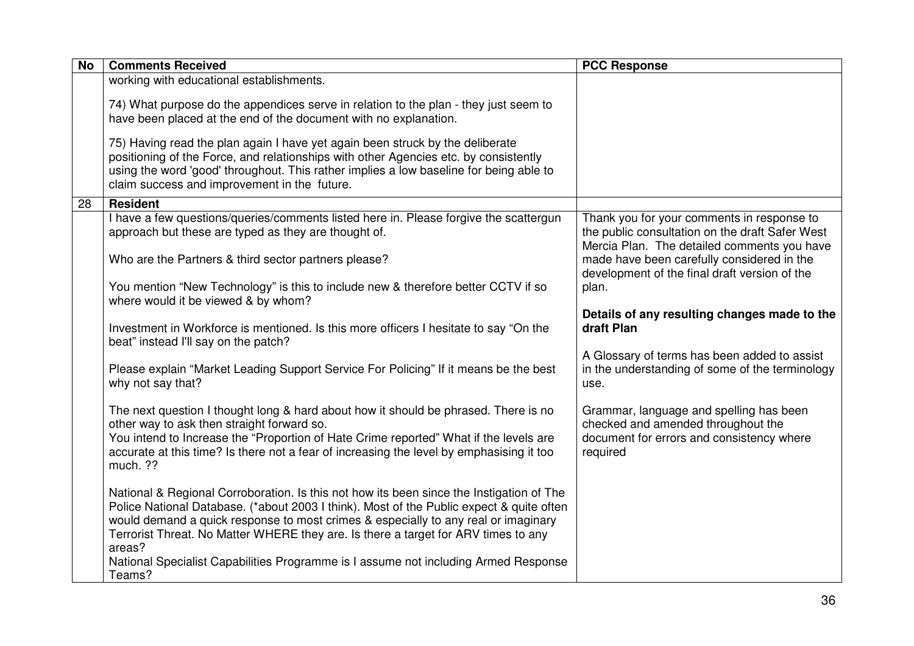| <b>No</b> | <b>Comments Received</b>                                                                                                                                                                                                                                                                                                                                                   | <b>PCC Response</b>                                                                                                                          |
|-----------|----------------------------------------------------------------------------------------------------------------------------------------------------------------------------------------------------------------------------------------------------------------------------------------------------------------------------------------------------------------------------|----------------------------------------------------------------------------------------------------------------------------------------------|
|           | working with educational establishments.                                                                                                                                                                                                                                                                                                                                   |                                                                                                                                              |
|           | 74) What purpose do the appendices serve in relation to the plan - they just seem to<br>have been placed at the end of the document with no explanation.                                                                                                                                                                                                                   |                                                                                                                                              |
|           | 75) Having read the plan again I have yet again been struck by the deliberate<br>positioning of the Force, and relationships with other Agencies etc. by consistently<br>using the word 'good' throughout. This rather implies a low baseline for being able to<br>claim success and improvement in the future.                                                            |                                                                                                                                              |
| 28        | <b>Resident</b>                                                                                                                                                                                                                                                                                                                                                            |                                                                                                                                              |
|           | I have a few questions/queries/comments listed here in. Please forgive the scattergun<br>approach but these are typed as they are thought of.                                                                                                                                                                                                                              | Thank you for your comments in response to<br>the public consultation on the draft Safer West<br>Mercia Plan. The detailed comments you have |
|           | Who are the Partners & third sector partners please?                                                                                                                                                                                                                                                                                                                       | made have been carefully considered in the<br>development of the final draft version of the                                                  |
|           | You mention "New Technology" is this to include new & therefore better CCTV if so<br>where would it be viewed & by whom?                                                                                                                                                                                                                                                   | plan.                                                                                                                                        |
|           | Investment in Workforce is mentioned. Is this more officers I hesitate to say "On the<br>beat" instead I'll say on the patch?                                                                                                                                                                                                                                              | Details of any resulting changes made to the<br>draft Plan                                                                                   |
|           | Please explain "Market Leading Support Service For Policing" If it means be the best<br>why not say that?                                                                                                                                                                                                                                                                  | A Glossary of terms has been added to assist<br>in the understanding of some of the terminology<br>use.                                      |
|           | The next question I thought long & hard about how it should be phrased. There is no<br>other way to ask then straight forward so.<br>You intend to Increase the "Proportion of Hate Crime reported" What if the levels are<br>accurate at this time? Is there not a fear of increasing the level by emphasising it too<br>much. ??                                         | Grammar, language and spelling has been<br>checked and amended throughout the<br>document for errors and consistency where<br>required       |
|           | National & Regional Corroboration. Is this not how its been since the Instigation of The<br>Police National Database. (*about 2003 I think). Most of the Public expect & quite often<br>would demand a quick response to most crimes & especially to any real or imaginary<br>Terrorist Threat. No Matter WHERE they are. Is there a target for ARV times to any<br>areas? |                                                                                                                                              |
|           | National Specialist Capabilities Programme is I assume not including Armed Response<br>Teams?                                                                                                                                                                                                                                                                              |                                                                                                                                              |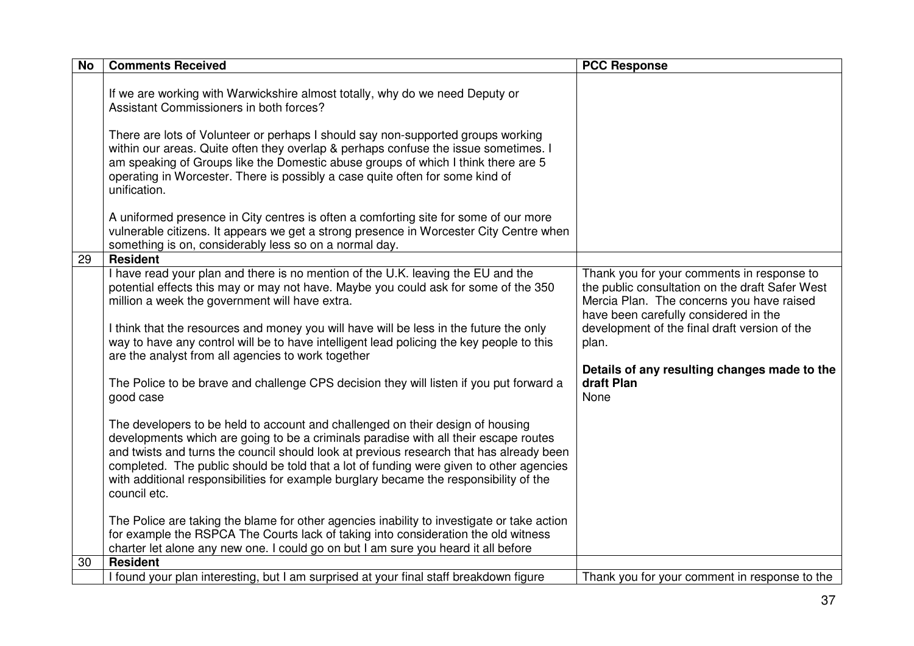| <b>No</b> | <b>Comments Received</b>                                                                                                                                                                                                                                                                                                                                                                                                                                                                                                                                                                                                                                                                                                                                                                                                                                                                                                                                                                                                                                                   | <b>PCC Response</b>                                                                                                                                                                                                                                                                                                 |
|-----------|----------------------------------------------------------------------------------------------------------------------------------------------------------------------------------------------------------------------------------------------------------------------------------------------------------------------------------------------------------------------------------------------------------------------------------------------------------------------------------------------------------------------------------------------------------------------------------------------------------------------------------------------------------------------------------------------------------------------------------------------------------------------------------------------------------------------------------------------------------------------------------------------------------------------------------------------------------------------------------------------------------------------------------------------------------------------------|---------------------------------------------------------------------------------------------------------------------------------------------------------------------------------------------------------------------------------------------------------------------------------------------------------------------|
|           | If we are working with Warwickshire almost totally, why do we need Deputy or<br>Assistant Commissioners in both forces?<br>There are lots of Volunteer or perhaps I should say non-supported groups working<br>within our areas. Quite often they overlap & perhaps confuse the issue sometimes. I<br>am speaking of Groups like the Domestic abuse groups of which I think there are 5<br>operating in Worcester. There is possibly a case quite often for some kind of<br>unification.                                                                                                                                                                                                                                                                                                                                                                                                                                                                                                                                                                                   |                                                                                                                                                                                                                                                                                                                     |
|           | A uniformed presence in City centres is often a comforting site for some of our more<br>vulnerable citizens. It appears we get a strong presence in Worcester City Centre when<br>something is on, considerably less so on a normal day.                                                                                                                                                                                                                                                                                                                                                                                                                                                                                                                                                                                                                                                                                                                                                                                                                                   |                                                                                                                                                                                                                                                                                                                     |
| 29        | <b>Resident</b><br>I have read your plan and there is no mention of the U.K. leaving the EU and the<br>potential effects this may or may not have. Maybe you could ask for some of the 350<br>million a week the government will have extra.<br>I think that the resources and money you will have will be less in the future the only<br>way to have any control will be to have intelligent lead policing the key people to this<br>are the analyst from all agencies to work together<br>The Police to be brave and challenge CPS decision they will listen if you put forward a<br>good case<br>The developers to be held to account and challenged on their design of housing<br>developments which are going to be a criminals paradise with all their escape routes<br>and twists and turns the council should look at previous research that has already been<br>completed. The public should be told that a lot of funding were given to other agencies<br>with additional responsibilities for example burglary became the responsibility of the<br>council etc. | Thank you for your comments in response to<br>the public consultation on the draft Safer West<br>Mercia Plan. The concerns you have raised<br>have been carefully considered in the<br>development of the final draft version of the<br>plan.<br>Details of any resulting changes made to the<br>draft Plan<br>None |
|           | The Police are taking the blame for other agencies inability to investigate or take action<br>for example the RSPCA The Courts lack of taking into consideration the old witness<br>charter let alone any new one. I could go on but I am sure you heard it all before                                                                                                                                                                                                                                                                                                                                                                                                                                                                                                                                                                                                                                                                                                                                                                                                     |                                                                                                                                                                                                                                                                                                                     |
| 30        | <b>Resident</b>                                                                                                                                                                                                                                                                                                                                                                                                                                                                                                                                                                                                                                                                                                                                                                                                                                                                                                                                                                                                                                                            |                                                                                                                                                                                                                                                                                                                     |
|           | I found your plan interesting, but I am surprised at your final staff breakdown figure                                                                                                                                                                                                                                                                                                                                                                                                                                                                                                                                                                                                                                                                                                                                                                                                                                                                                                                                                                                     | Thank you for your comment in response to the                                                                                                                                                                                                                                                                       |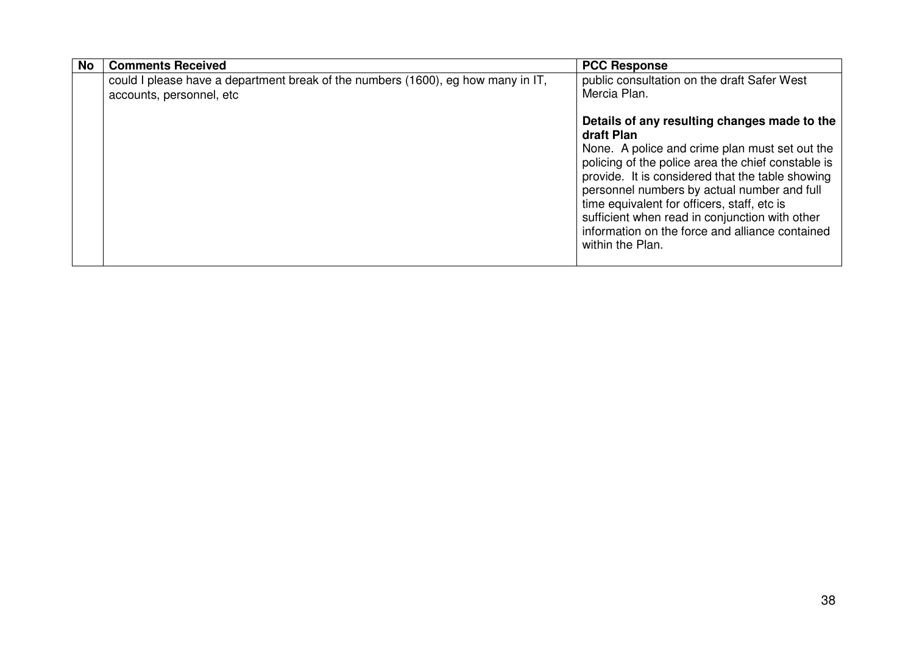| No | <b>Comments Received</b>                                                                                     | <b>PCC Response</b>                                                                                                                                                                                                                                                                                                                                                                                                                           |
|----|--------------------------------------------------------------------------------------------------------------|-----------------------------------------------------------------------------------------------------------------------------------------------------------------------------------------------------------------------------------------------------------------------------------------------------------------------------------------------------------------------------------------------------------------------------------------------|
|    | could I please have a department break of the numbers (1600), eg how many in IT,<br>accounts, personnel, etc | public consultation on the draft Safer West<br>Mercia Plan.                                                                                                                                                                                                                                                                                                                                                                                   |
|    |                                                                                                              | Details of any resulting changes made to the<br>draft Plan<br>None. A police and crime plan must set out the<br>policing of the police area the chief constable is<br>provide. It is considered that the table showing<br>personnel numbers by actual number and full<br>time equivalent for officers, staff, etc is<br>sufficient when read in conjunction with other<br>information on the force and alliance contained<br>within the Plan. |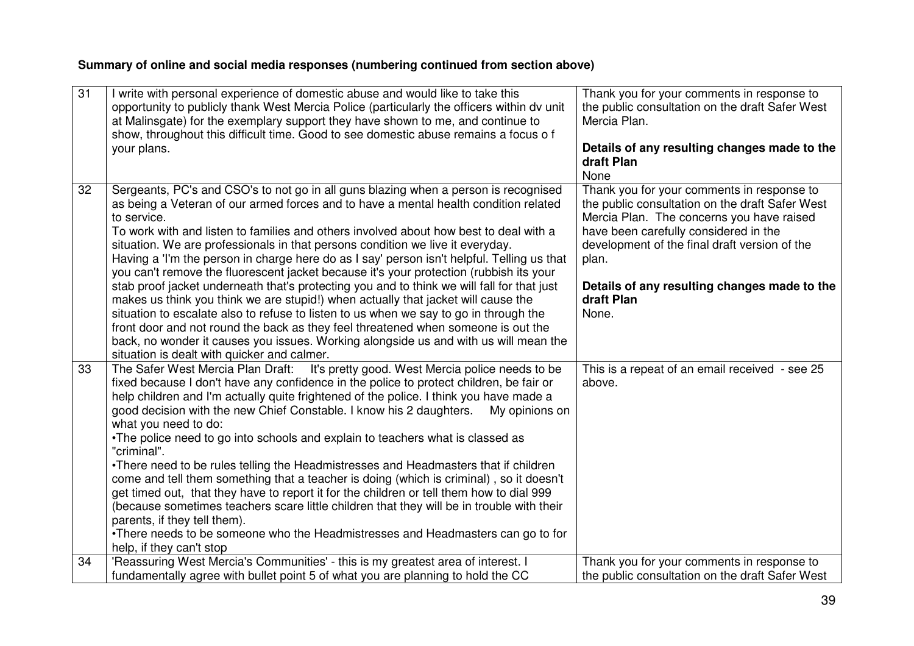## **Summary of online and social media responses (numbering continued from section above)**

| $\overline{31}$ | write with personal experience of domestic abuse and would like to take this<br>opportunity to publicly thank West Mercia Police (particularly the officers within dv unit<br>at Malinsgate) for the exemplary support they have shown to me, and continue to<br>show, throughout this difficult time. Good to see domestic abuse remains a focus o f<br>your plans.                                                                                                                                                                                                                                                                                                                                                                                                                                                                                                                                                                                                                                                                                                  | Thank you for your comments in response to<br>the public consultation on the draft Safer West<br>Mercia Plan.<br>Details of any resulting changes made to the<br>draft Plan<br>None                                                                                                                                  |
|-----------------|-----------------------------------------------------------------------------------------------------------------------------------------------------------------------------------------------------------------------------------------------------------------------------------------------------------------------------------------------------------------------------------------------------------------------------------------------------------------------------------------------------------------------------------------------------------------------------------------------------------------------------------------------------------------------------------------------------------------------------------------------------------------------------------------------------------------------------------------------------------------------------------------------------------------------------------------------------------------------------------------------------------------------------------------------------------------------|----------------------------------------------------------------------------------------------------------------------------------------------------------------------------------------------------------------------------------------------------------------------------------------------------------------------|
| 32              | Sergeants, PC's and CSO's to not go in all guns blazing when a person is recognised<br>as being a Veteran of our armed forces and to have a mental health condition related<br>to service.<br>To work with and listen to families and others involved about how best to deal with a<br>situation. We are professionals in that persons condition we live it everyday.<br>Having a 'I'm the person in charge here do as I say' person isn't helpful. Telling us that<br>you can't remove the fluorescent jacket because it's your protection (rubbish its your<br>stab proof jacket underneath that's protecting you and to think we will fall for that just<br>makes us think you think we are stupid!) when actually that jacket will cause the<br>situation to escalate also to refuse to listen to us when we say to go in through the<br>front door and not round the back as they feel threatened when someone is out the<br>back, no wonder it causes you issues. Working alongside us and with us will mean the<br>situation is dealt with quicker and calmer. | Thank you for your comments in response to<br>the public consultation on the draft Safer West<br>Mercia Plan. The concerns you have raised<br>have been carefully considered in the<br>development of the final draft version of the<br>plan.<br>Details of any resulting changes made to the<br>draft Plan<br>None. |
| 33              | It's pretty good. West Mercia police needs to be<br>The Safer West Mercia Plan Draft:<br>fixed because I don't have any confidence in the police to protect children, be fair or<br>help children and I'm actually quite frightened of the police. I think you have made a<br>good decision with the new Chief Constable. I know his 2 daughters.<br>My opinions on<br>what you need to do:<br>•The police need to go into schools and explain to teachers what is classed as<br>"criminal".<br>•There need to be rules telling the Headmistresses and Headmasters that if children<br>come and tell them something that a teacher is doing (which is criminal), so it doesn't<br>get timed out, that they have to report it for the children or tell them how to dial 999<br>(because sometimes teachers scare little children that they will be in trouble with their<br>parents, if they tell them).<br>•There needs to be someone who the Headmistresses and Headmasters can go to for<br>help, if they can't stop                                                | This is a repeat of an email received - see 25<br>above.                                                                                                                                                                                                                                                             |
| 34              | 'Reassuring West Mercia's Communities' - this is my greatest area of interest. I<br>fundamentally agree with bullet point 5 of what you are planning to hold the CC                                                                                                                                                                                                                                                                                                                                                                                                                                                                                                                                                                                                                                                                                                                                                                                                                                                                                                   | Thank you for your comments in response to<br>the public consultation on the draft Safer West                                                                                                                                                                                                                        |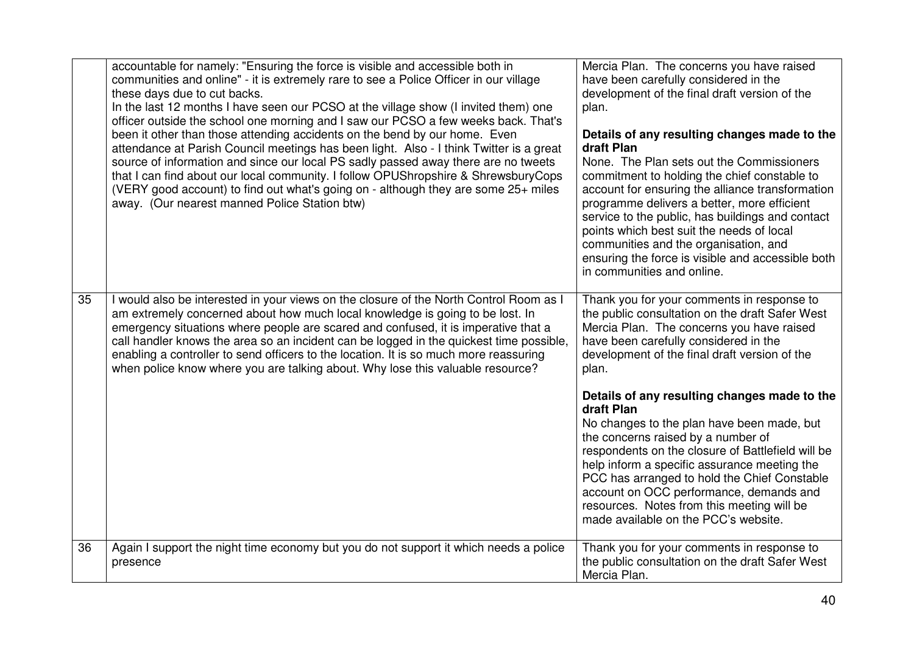|    | accountable for namely: "Ensuring the force is visible and accessible both in<br>communities and online" - it is extremely rare to see a Police Officer in our village<br>these days due to cut backs.<br>In the last 12 months I have seen our PCSO at the village show (I invited them) one<br>officer outside the school one morning and I saw our PCSO a few weeks back. That's<br>been it other than those attending accidents on the bend by our home. Even<br>attendance at Parish Council meetings has been light. Also - I think Twitter is a great<br>source of information and since our local PS sadly passed away there are no tweets<br>that I can find about our local community. I follow OPUShropshire & ShrewsburyCops<br>(VERY good account) to find out what's going on - although they are some 25+ miles<br>away. (Our nearest manned Police Station btw) | Mercia Plan. The concerns you have raised<br>have been carefully considered in the<br>development of the final draft version of the<br>plan.<br>Details of any resulting changes made to the<br>draft Plan<br>None. The Plan sets out the Commissioners<br>commitment to holding the chief constable to<br>account for ensuring the alliance transformation<br>programme delivers a better, more efficient<br>service to the public, has buildings and contact<br>points which best suit the needs of local<br>communities and the organisation, and<br>ensuring the force is visible and accessible both<br>in communities and online. |
|----|---------------------------------------------------------------------------------------------------------------------------------------------------------------------------------------------------------------------------------------------------------------------------------------------------------------------------------------------------------------------------------------------------------------------------------------------------------------------------------------------------------------------------------------------------------------------------------------------------------------------------------------------------------------------------------------------------------------------------------------------------------------------------------------------------------------------------------------------------------------------------------|-----------------------------------------------------------------------------------------------------------------------------------------------------------------------------------------------------------------------------------------------------------------------------------------------------------------------------------------------------------------------------------------------------------------------------------------------------------------------------------------------------------------------------------------------------------------------------------------------------------------------------------------|
| 35 | I would also be interested in your views on the closure of the North Control Room as I<br>am extremely concerned about how much local knowledge is going to be lost. In<br>emergency situations where people are scared and confused, it is imperative that a<br>call handler knows the area so an incident can be logged in the quickest time possible,<br>enabling a controller to send officers to the location. It is so much more reassuring<br>when police know where you are talking about. Why lose this valuable resource?                                                                                                                                                                                                                                                                                                                                             | Thank you for your comments in response to<br>the public consultation on the draft Safer West<br>Mercia Plan. The concerns you have raised<br>have been carefully considered in the<br>development of the final draft version of the<br>plan.                                                                                                                                                                                                                                                                                                                                                                                           |
|    |                                                                                                                                                                                                                                                                                                                                                                                                                                                                                                                                                                                                                                                                                                                                                                                                                                                                                 | Details of any resulting changes made to the<br>draft Plan<br>No changes to the plan have been made, but<br>the concerns raised by a number of<br>respondents on the closure of Battlefield will be<br>help inform a specific assurance meeting the<br>PCC has arranged to hold the Chief Constable<br>account on OCC performance, demands and<br>resources. Notes from this meeting will be<br>made available on the PCC's website.                                                                                                                                                                                                    |
| 36 | Again I support the night time economy but you do not support it which needs a police<br>presence                                                                                                                                                                                                                                                                                                                                                                                                                                                                                                                                                                                                                                                                                                                                                                               | Thank you for your comments in response to<br>the public consultation on the draft Safer West<br>Mercia Plan.                                                                                                                                                                                                                                                                                                                                                                                                                                                                                                                           |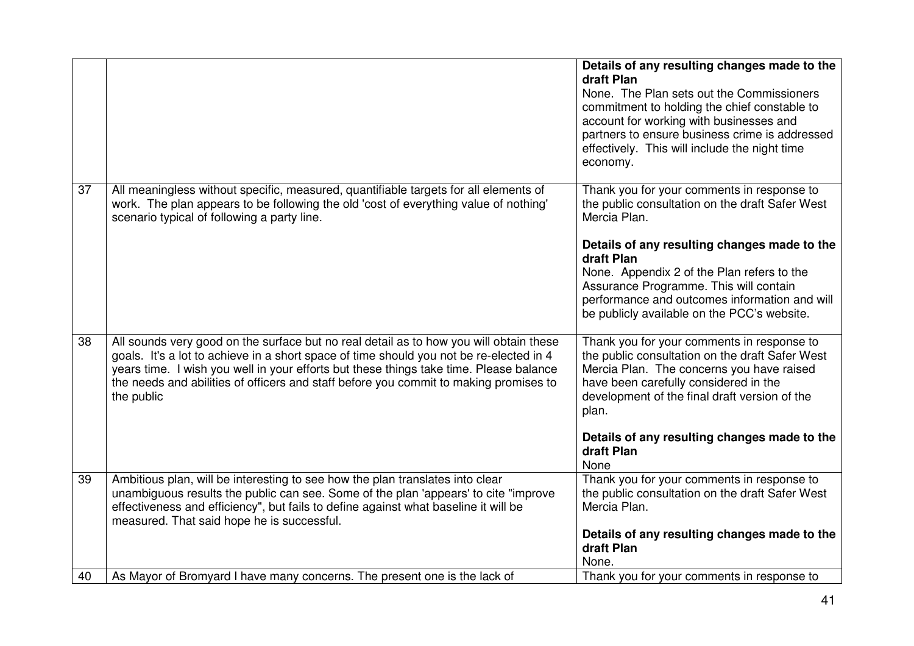|    |                                                                                                                                                                                                                                                                                                                                                                                    | Details of any resulting changes made to the<br>draft Plan<br>None. The Plan sets out the Commissioners<br>commitment to holding the chief constable to<br>account for working with businesses and<br>partners to ensure business crime is addressed<br>effectively. This will include the night time<br>economy.                                                   |
|----|------------------------------------------------------------------------------------------------------------------------------------------------------------------------------------------------------------------------------------------------------------------------------------------------------------------------------------------------------------------------------------|---------------------------------------------------------------------------------------------------------------------------------------------------------------------------------------------------------------------------------------------------------------------------------------------------------------------------------------------------------------------|
| 37 | All meaningless without specific, measured, quantifiable targets for all elements of<br>work. The plan appears to be following the old 'cost of everything value of nothing'<br>scenario typical of following a party line.                                                                                                                                                        | Thank you for your comments in response to<br>the public consultation on the draft Safer West<br>Mercia Plan.<br>Details of any resulting changes made to the<br>draft Plan<br>None. Appendix 2 of the Plan refers to the<br>Assurance Programme. This will contain<br>performance and outcomes information and will<br>be publicly available on the PCC's website. |
| 38 | All sounds very good on the surface but no real detail as to how you will obtain these<br>goals. It's a lot to achieve in a short space of time should you not be re-elected in 4<br>years time. I wish you well in your efforts but these things take time. Please balance<br>the needs and abilities of officers and staff before you commit to making promises to<br>the public | Thank you for your comments in response to<br>the public consultation on the draft Safer West<br>Mercia Plan. The concerns you have raised<br>have been carefully considered in the<br>development of the final draft version of the<br>plan.<br>Details of any resulting changes made to the<br>draft Plan<br>None                                                 |
| 39 | Ambitious plan, will be interesting to see how the plan translates into clear<br>unambiguous results the public can see. Some of the plan 'appears' to cite "improve<br>effectiveness and efficiency", but fails to define against what baseline it will be<br>measured. That said hope he is successful.                                                                          | Thank you for your comments in response to<br>the public consultation on the draft Safer West<br>Mercia Plan.<br>Details of any resulting changes made to the<br>draft Plan                                                                                                                                                                                         |
| 40 | As Mayor of Bromyard I have many concerns. The present one is the lack of                                                                                                                                                                                                                                                                                                          | None.<br>Thank you for your comments in response to                                                                                                                                                                                                                                                                                                                 |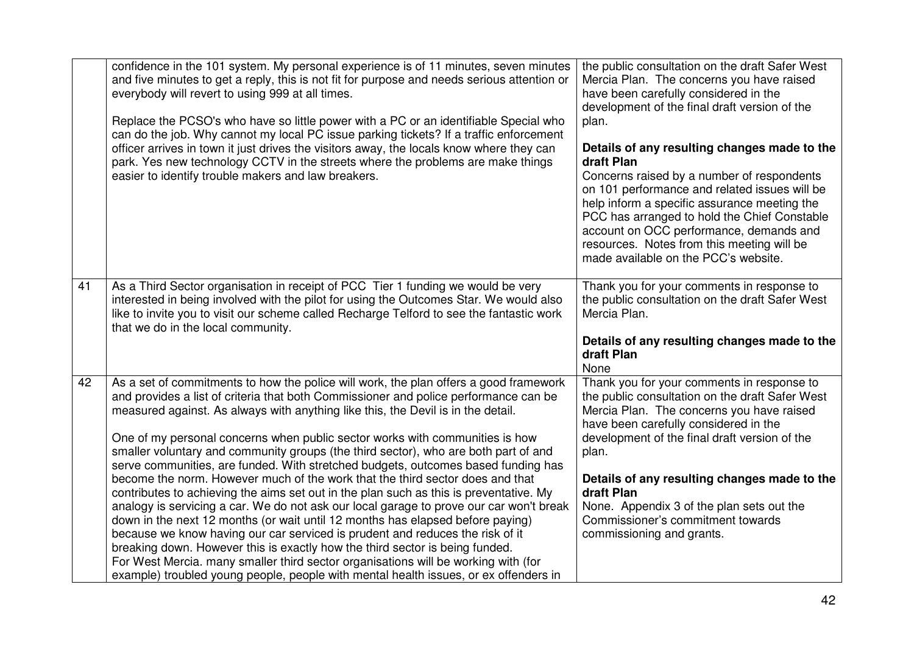|    | confidence in the 101 system. My personal experience is of 11 minutes, seven minutes<br>and five minutes to get a reply, this is not fit for purpose and needs serious attention or<br>everybody will revert to using 999 at all times.<br>Replace the PCSO's who have so little power with a PC or an identifiable Special who<br>can do the job. Why cannot my local PC issue parking tickets? If a traffic enforcement<br>officer arrives in town it just drives the visitors away, the locals know where they can<br>park. Yes new technology CCTV in the streets where the problems are make things<br>easier to identify trouble makers and law breakers.                                                                                                                                                                                                                                                                                                                                                                                                                                                                                                                                                                      | the public consultation on the draft Safer West<br>Mercia Plan. The concerns you have raised<br>have been carefully considered in the<br>development of the final draft version of the<br>plan.<br>Details of any resulting changes made to the<br>draft Plan<br>Concerns raised by a number of respondents<br>on 101 performance and related issues will be<br>help inform a specific assurance meeting the<br>PCC has arranged to hold the Chief Constable<br>account on OCC performance, demands and<br>resources. Notes from this meeting will be<br>made available on the PCC's website. |
|----|--------------------------------------------------------------------------------------------------------------------------------------------------------------------------------------------------------------------------------------------------------------------------------------------------------------------------------------------------------------------------------------------------------------------------------------------------------------------------------------------------------------------------------------------------------------------------------------------------------------------------------------------------------------------------------------------------------------------------------------------------------------------------------------------------------------------------------------------------------------------------------------------------------------------------------------------------------------------------------------------------------------------------------------------------------------------------------------------------------------------------------------------------------------------------------------------------------------------------------------|-----------------------------------------------------------------------------------------------------------------------------------------------------------------------------------------------------------------------------------------------------------------------------------------------------------------------------------------------------------------------------------------------------------------------------------------------------------------------------------------------------------------------------------------------------------------------------------------------|
| 41 | As a Third Sector organisation in receipt of PCC Tier 1 funding we would be very<br>interested in being involved with the pilot for using the Outcomes Star. We would also<br>like to invite you to visit our scheme called Recharge Telford to see the fantastic work<br>that we do in the local community.                                                                                                                                                                                                                                                                                                                                                                                                                                                                                                                                                                                                                                                                                                                                                                                                                                                                                                                         | Thank you for your comments in response to<br>the public consultation on the draft Safer West<br>Mercia Plan.<br>Details of any resulting changes made to the<br>draft Plan                                                                                                                                                                                                                                                                                                                                                                                                                   |
| 42 | As a set of commitments to how the police will work, the plan offers a good framework<br>and provides a list of criteria that both Commissioner and police performance can be<br>measured against. As always with anything like this, the Devil is in the detail.<br>One of my personal concerns when public sector works with communities is how<br>smaller voluntary and community groups (the third sector), who are both part of and<br>serve communities, are funded. With stretched budgets, outcomes based funding has<br>become the norm. However much of the work that the third sector does and that<br>contributes to achieving the aims set out in the plan such as this is preventative. My<br>analogy is servicing a car. We do not ask our local garage to prove our car won't break<br>down in the next 12 months (or wait until 12 months has elapsed before paying)<br>because we know having our car serviced is prudent and reduces the risk of it<br>breaking down. However this is exactly how the third sector is being funded.<br>For West Mercia. many smaller third sector organisations will be working with (for<br>example) troubled young people, people with mental health issues, or ex offenders in | None<br>Thank you for your comments in response to<br>the public consultation on the draft Safer West<br>Mercia Plan. The concerns you have raised<br>have been carefully considered in the<br>development of the final draft version of the<br>plan.<br>Details of any resulting changes made to the<br>draft Plan<br>None. Appendix 3 of the plan sets out the<br>Commissioner's commitment towards<br>commissioning and grants.                                                                                                                                                            |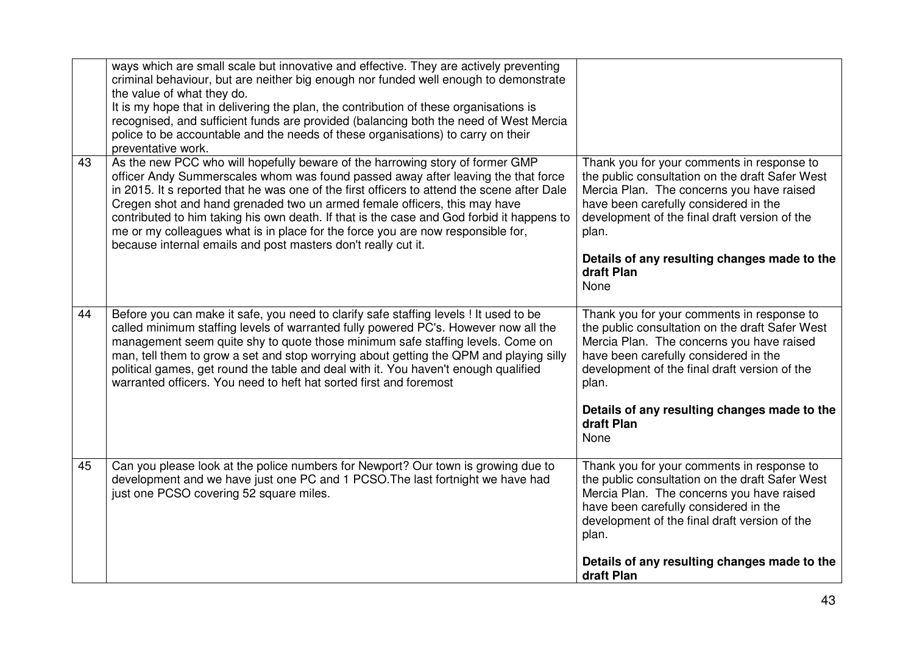|    | ways which are small scale but innovative and effective. They are actively preventing<br>criminal behaviour, but are neither big enough nor funded well enough to demonstrate<br>the value of what they do.<br>It is my hope that in delivering the plan, the contribution of these organisations is<br>recognised, and sufficient funds are provided (balancing both the need of West Mercia<br>police to be accountable and the needs of these organisations) to carry on their<br>preventative work.                                                                                         |                                                                                                                                                                                                                                                                                                                     |
|----|-------------------------------------------------------------------------------------------------------------------------------------------------------------------------------------------------------------------------------------------------------------------------------------------------------------------------------------------------------------------------------------------------------------------------------------------------------------------------------------------------------------------------------------------------------------------------------------------------|---------------------------------------------------------------------------------------------------------------------------------------------------------------------------------------------------------------------------------------------------------------------------------------------------------------------|
| 43 | As the new PCC who will hopefully beware of the harrowing story of former GMP<br>officer Andy Summerscales whom was found passed away after leaving the that force<br>in 2015. It s reported that he was one of the first officers to attend the scene after Dale<br>Cregen shot and hand grenaded two un armed female officers, this may have<br>contributed to him taking his own death. If that is the case and God forbid it happens to<br>me or my colleagues what is in place for the force you are now responsible for,<br>because internal emails and post masters don't really cut it. | Thank you for your comments in response to<br>the public consultation on the draft Safer West<br>Mercia Plan. The concerns you have raised<br>have been carefully considered in the<br>development of the final draft version of the<br>plan.<br>Details of any resulting changes made to the<br>draft Plan<br>None |
| 44 | Before you can make it safe, you need to clarify safe staffing levels ! It used to be<br>called minimum staffing levels of warranted fully powered PC's. However now all the<br>management seem quite shy to quote those minimum safe staffing levels. Come on<br>man, tell them to grow a set and stop worrying about getting the QPM and playing silly<br>political games, get round the table and deal with it. You haven't enough qualified<br>warranted officers. You need to heft hat sorted first and foremost                                                                           | Thank you for your comments in response to<br>the public consultation on the draft Safer West<br>Mercia Plan. The concerns you have raised<br>have been carefully considered in the<br>development of the final draft version of the<br>plan.<br>Details of any resulting changes made to the<br>draft Plan         |
| 45 |                                                                                                                                                                                                                                                                                                                                                                                                                                                                                                                                                                                                 | None                                                                                                                                                                                                                                                                                                                |
|    | Can you please look at the police numbers for Newport? Our town is growing due to<br>development and we have just one PC and 1 PCSO. The last fortnight we have had<br>just one PCSO covering 52 square miles.                                                                                                                                                                                                                                                                                                                                                                                  | Thank you for your comments in response to<br>the public consultation on the draft Safer West<br>Mercia Plan. The concerns you have raised<br>have been carefully considered in the<br>development of the final draft version of the<br>plan.                                                                       |
|    |                                                                                                                                                                                                                                                                                                                                                                                                                                                                                                                                                                                                 | Details of any resulting changes made to the<br>draft Plan                                                                                                                                                                                                                                                          |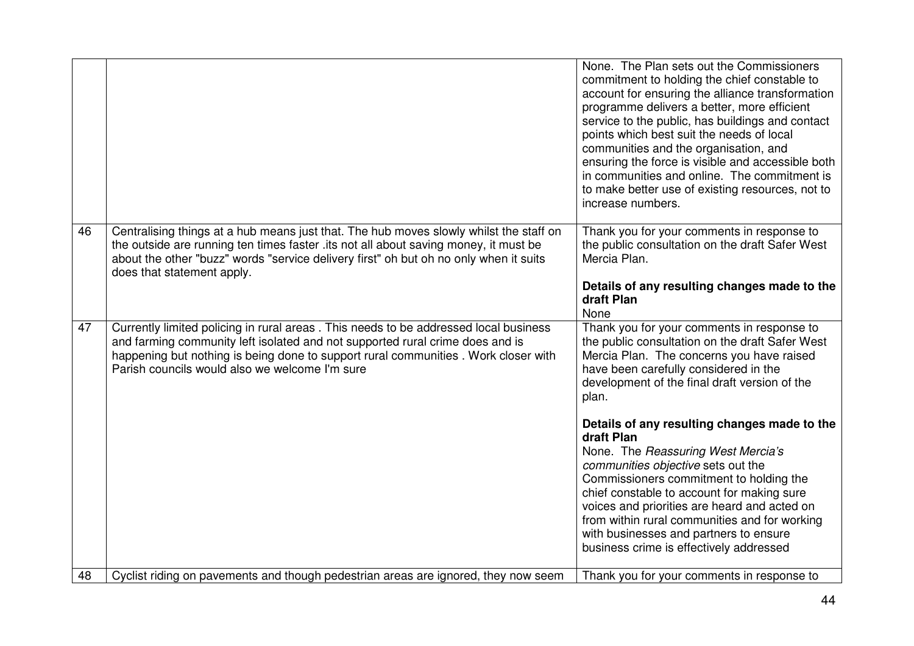|    |                                                                                                                                                                                                                                                                                                               | None. The Plan sets out the Commissioners<br>commitment to holding the chief constable to<br>account for ensuring the alliance transformation<br>programme delivers a better, more efficient<br>service to the public, has buildings and contact<br>points which best suit the needs of local<br>communities and the organisation, and<br>ensuring the force is visible and accessible both<br>in communities and online. The commitment is<br>to make better use of existing resources, not to<br>increase numbers.                                                                                                                                                   |
|----|---------------------------------------------------------------------------------------------------------------------------------------------------------------------------------------------------------------------------------------------------------------------------------------------------------------|------------------------------------------------------------------------------------------------------------------------------------------------------------------------------------------------------------------------------------------------------------------------------------------------------------------------------------------------------------------------------------------------------------------------------------------------------------------------------------------------------------------------------------------------------------------------------------------------------------------------------------------------------------------------|
| 46 | Centralising things at a hub means just that. The hub moves slowly whilst the staff on<br>the outside are running ten times faster .its not all about saving money, it must be<br>about the other "buzz" words "service delivery first" oh but oh no only when it suits<br>does that statement apply.         | Thank you for your comments in response to<br>the public consultation on the draft Safer West<br>Mercia Plan.<br>Details of any resulting changes made to the<br>draft Plan<br>None                                                                                                                                                                                                                                                                                                                                                                                                                                                                                    |
| 47 | Currently limited policing in rural areas. This needs to be addressed local business<br>and farming community left isolated and not supported rural crime does and is<br>happening but nothing is being done to support rural communities. Work closer with<br>Parish councils would also we welcome I'm sure | Thank you for your comments in response to<br>the public consultation on the draft Safer West<br>Mercia Plan. The concerns you have raised<br>have been carefully considered in the<br>development of the final draft version of the<br>plan.<br>Details of any resulting changes made to the<br>draft Plan<br>None. The Reassuring West Mercia's<br>communities objective sets out the<br>Commissioners commitment to holding the<br>chief constable to account for making sure<br>voices and priorities are heard and acted on<br>from within rural communities and for working<br>with businesses and partners to ensure<br>business crime is effectively addressed |
| 48 | Cyclist riding on pavements and though pedestrian areas are ignored, they now seem                                                                                                                                                                                                                            | Thank you for your comments in response to                                                                                                                                                                                                                                                                                                                                                                                                                                                                                                                                                                                                                             |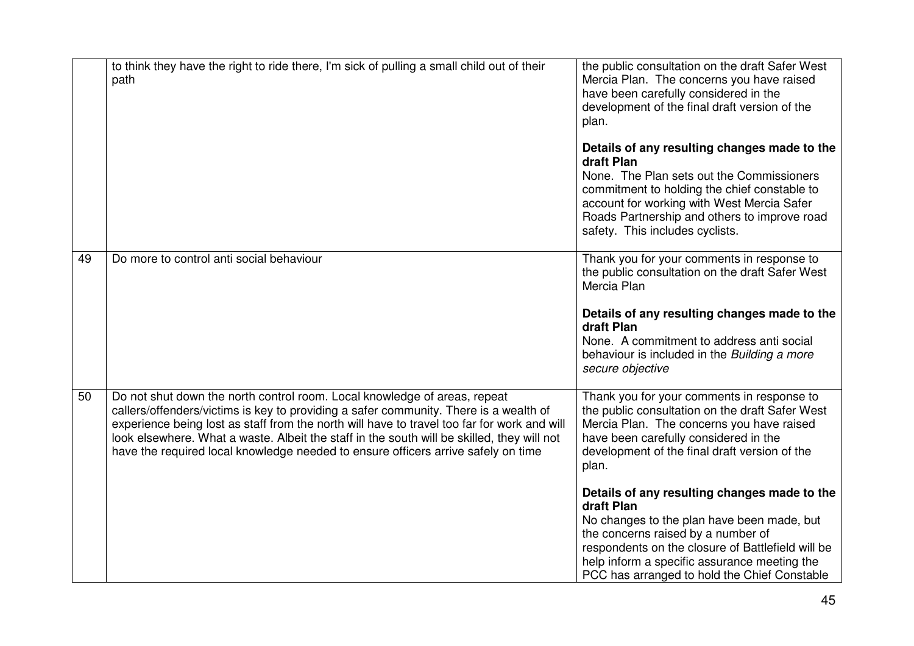|    | to think they have the right to ride there, I'm sick of pulling a small child out of their<br>path                                                                                                                                                                                                                                                                                                                                                   | the public consultation on the draft Safer West<br>Mercia Plan. The concerns you have raised<br>have been carefully considered in the<br>development of the final draft version of the<br>plan.<br>Details of any resulting changes made to the<br>draft Plan<br>None. The Plan sets out the Commissioners<br>commitment to holding the chief constable to<br>account for working with West Mercia Safer<br>Roads Partnership and others to improve road<br>safety. This includes cyclists.                                                          |
|----|------------------------------------------------------------------------------------------------------------------------------------------------------------------------------------------------------------------------------------------------------------------------------------------------------------------------------------------------------------------------------------------------------------------------------------------------------|------------------------------------------------------------------------------------------------------------------------------------------------------------------------------------------------------------------------------------------------------------------------------------------------------------------------------------------------------------------------------------------------------------------------------------------------------------------------------------------------------------------------------------------------------|
| 49 | Do more to control anti social behaviour                                                                                                                                                                                                                                                                                                                                                                                                             | Thank you for your comments in response to<br>the public consultation on the draft Safer West<br>Mercia Plan<br>Details of any resulting changes made to the<br>draft Plan<br>None. A commitment to address anti social<br>behaviour is included in the Building a more<br>secure objective                                                                                                                                                                                                                                                          |
| 50 | Do not shut down the north control room. Local knowledge of areas, repeat<br>callers/offenders/victims is key to providing a safer community. There is a wealth of<br>experience being lost as staff from the north will have to travel too far for work and will<br>look elsewhere. What a waste. Albeit the staff in the south will be skilled, they will not<br>have the required local knowledge needed to ensure officers arrive safely on time | Thank you for your comments in response to<br>the public consultation on the draft Safer West<br>Mercia Plan. The concerns you have raised<br>have been carefully considered in the<br>development of the final draft version of the<br>plan.<br>Details of any resulting changes made to the<br>draft Plan<br>No changes to the plan have been made, but<br>the concerns raised by a number of<br>respondents on the closure of Battlefield will be<br>help inform a specific assurance meeting the<br>PCC has arranged to hold the Chief Constable |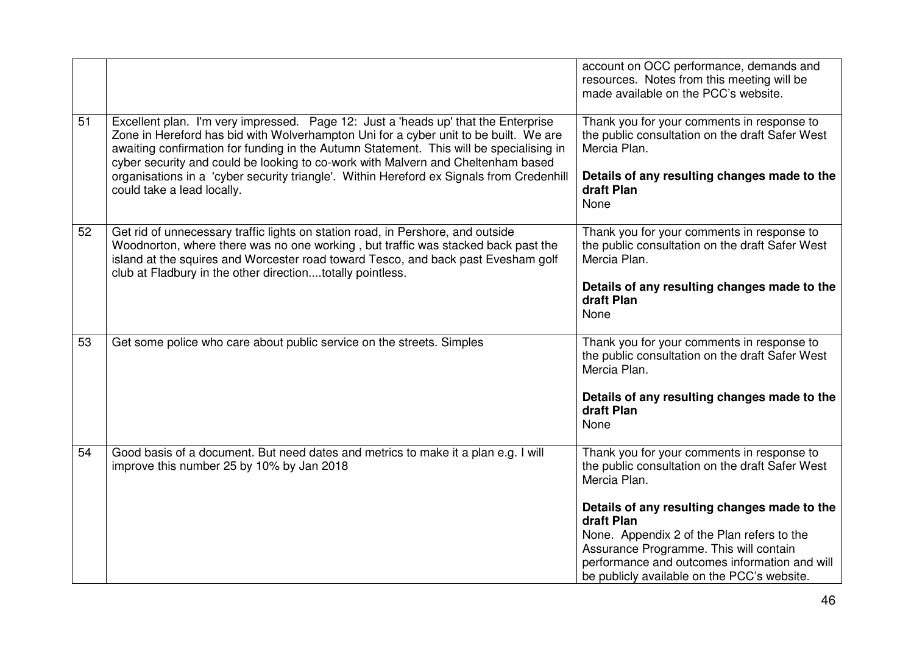|    |                                                                                                                                                                                                                                                                                                                                                           | account on OCC performance, demands and<br>resources. Notes from this meeting will be<br>made available on the PCC's website.          |
|----|-----------------------------------------------------------------------------------------------------------------------------------------------------------------------------------------------------------------------------------------------------------------------------------------------------------------------------------------------------------|----------------------------------------------------------------------------------------------------------------------------------------|
| 51 | Excellent plan. I'm very impressed. Page 12: Just a 'heads up' that the Enterprise<br>Zone in Hereford has bid with Wolverhampton Uni for a cyber unit to be built. We are<br>awaiting confirmation for funding in the Autumn Statement. This will be specialising in<br>cyber security and could be looking to co-work with Malvern and Cheltenham based | Thank you for your comments in response to<br>the public consultation on the draft Safer West<br>Mercia Plan.                          |
|    | organisations in a 'cyber security triangle'. Within Hereford ex Signals from Credenhill<br>could take a lead locally.                                                                                                                                                                                                                                    | Details of any resulting changes made to the<br>draft Plan<br>None                                                                     |
| 52 | Get rid of unnecessary traffic lights on station road, in Pershore, and outside<br>Woodnorton, where there was no one working, but traffic was stacked back past the<br>island at the squires and Worcester road toward Tesco, and back past Evesham golf<br>club at Fladbury in the other directiontotally pointless.                                    | Thank you for your comments in response to<br>the public consultation on the draft Safer West<br>Mercia Plan.                          |
|    |                                                                                                                                                                                                                                                                                                                                                           | Details of any resulting changes made to the<br>draft Plan<br>None                                                                     |
| 53 | Get some police who care about public service on the streets. Simples                                                                                                                                                                                                                                                                                     | Thank you for your comments in response to<br>the public consultation on the draft Safer West<br>Mercia Plan.                          |
|    |                                                                                                                                                                                                                                                                                                                                                           | Details of any resulting changes made to the<br>draft Plan<br>None                                                                     |
| 54 | Good basis of a document. But need dates and metrics to make it a plan e.g. I will<br>improve this number 25 by 10% by Jan 2018                                                                                                                                                                                                                           | Thank you for your comments in response to<br>the public consultation on the draft Safer West<br>Mercia Plan.                          |
|    |                                                                                                                                                                                                                                                                                                                                                           | Details of any resulting changes made to the<br>draft Plan<br>None. Appendix 2 of the Plan refers to the                               |
|    |                                                                                                                                                                                                                                                                                                                                                           | Assurance Programme. This will contain<br>performance and outcomes information and will<br>be publicly available on the PCC's website. |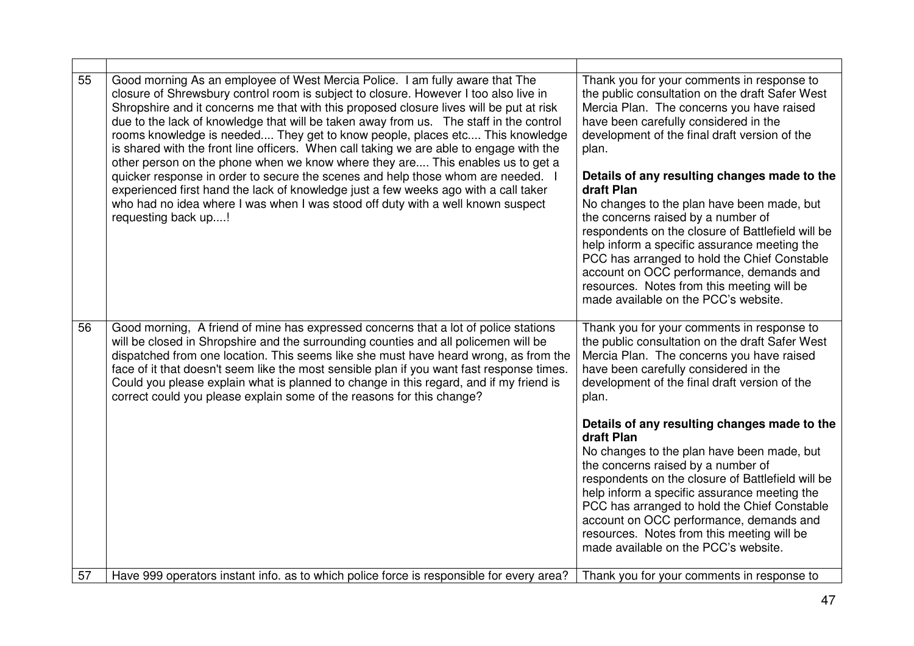| 55 | Good morning As an employee of West Mercia Police. I am fully aware that The<br>closure of Shrewsbury control room is subject to closure. However I too also live in<br>Shropshire and it concerns me that with this proposed closure lives will be put at risk<br>due to the lack of knowledge that will be taken away from us. The staff in the control<br>rooms knowledge is needed They get to know people, places etc This knowledge<br>is shared with the front line officers. When call taking we are able to engage with the<br>other person on the phone when we know where they are This enables us to get a<br>quicker response in order to secure the scenes and help those whom are needed. I<br>experienced first hand the lack of knowledge just a few weeks ago with a call taker<br>who had no idea where I was when I was stood off duty with a well known suspect<br>requesting back up! | Thank you for your comments in response to<br>the public consultation on the draft Safer West<br>Mercia Plan. The concerns you have raised<br>have been carefully considered in the<br>development of the final draft version of the<br>plan.<br>Details of any resulting changes made to the<br>draft Plan<br>No changes to the plan have been made, but<br>the concerns raised by a number of<br>respondents on the closure of Battlefield will be<br>help inform a specific assurance meeting the<br>PCC has arranged to hold the Chief Constable<br>account on OCC performance, demands and<br>resources. Notes from this meeting will be<br>made available on the PCC's website. |
|----|-------------------------------------------------------------------------------------------------------------------------------------------------------------------------------------------------------------------------------------------------------------------------------------------------------------------------------------------------------------------------------------------------------------------------------------------------------------------------------------------------------------------------------------------------------------------------------------------------------------------------------------------------------------------------------------------------------------------------------------------------------------------------------------------------------------------------------------------------------------------------------------------------------------|---------------------------------------------------------------------------------------------------------------------------------------------------------------------------------------------------------------------------------------------------------------------------------------------------------------------------------------------------------------------------------------------------------------------------------------------------------------------------------------------------------------------------------------------------------------------------------------------------------------------------------------------------------------------------------------|
| 56 | Good morning, A friend of mine has expressed concerns that a lot of police stations<br>will be closed in Shropshire and the surrounding counties and all policemen will be<br>dispatched from one location. This seems like she must have heard wrong, as from the<br>face of it that doesn't seem like the most sensible plan if you want fast response times.<br>Could you please explain what is planned to change in this regard, and if my friend is<br>correct could you please explain some of the reasons for this change?                                                                                                                                                                                                                                                                                                                                                                          | Thank you for your comments in response to<br>the public consultation on the draft Safer West<br>Mercia Plan. The concerns you have raised<br>have been carefully considered in the<br>development of the final draft version of the<br>plan.                                                                                                                                                                                                                                                                                                                                                                                                                                         |
|    |                                                                                                                                                                                                                                                                                                                                                                                                                                                                                                                                                                                                                                                                                                                                                                                                                                                                                                             | Details of any resulting changes made to the<br>draft Plan                                                                                                                                                                                                                                                                                                                                                                                                                                                                                                                                                                                                                            |
|    |                                                                                                                                                                                                                                                                                                                                                                                                                                                                                                                                                                                                                                                                                                                                                                                                                                                                                                             | No changes to the plan have been made, but<br>the concerns raised by a number of                                                                                                                                                                                                                                                                                                                                                                                                                                                                                                                                                                                                      |
|    |                                                                                                                                                                                                                                                                                                                                                                                                                                                                                                                                                                                                                                                                                                                                                                                                                                                                                                             | respondents on the closure of Battlefield will be<br>help inform a specific assurance meeting the                                                                                                                                                                                                                                                                                                                                                                                                                                                                                                                                                                                     |
|    |                                                                                                                                                                                                                                                                                                                                                                                                                                                                                                                                                                                                                                                                                                                                                                                                                                                                                                             | PCC has arranged to hold the Chief Constable<br>account on OCC performance, demands and                                                                                                                                                                                                                                                                                                                                                                                                                                                                                                                                                                                               |
|    |                                                                                                                                                                                                                                                                                                                                                                                                                                                                                                                                                                                                                                                                                                                                                                                                                                                                                                             | resources. Notes from this meeting will be<br>made available on the PCC's website.                                                                                                                                                                                                                                                                                                                                                                                                                                                                                                                                                                                                    |
| 57 | Have 999 operators instant info. as to which police force is responsible for every area?                                                                                                                                                                                                                                                                                                                                                                                                                                                                                                                                                                                                                                                                                                                                                                                                                    | Thank you for your comments in response to                                                                                                                                                                                                                                                                                                                                                                                                                                                                                                                                                                                                                                            |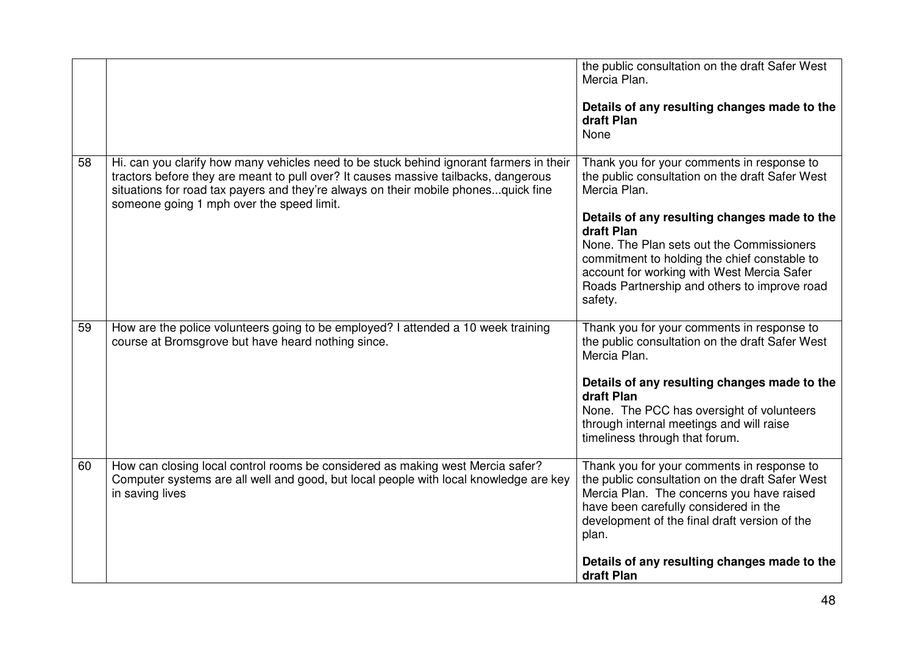|    |                                                                                                                                                                                                                                                                                                                   | the public consultation on the draft Safer West<br>Mercia Plan.<br>Details of any resulting changes made to the<br>draft Plan<br>None                                                                                                                                                                                                                                             |
|----|-------------------------------------------------------------------------------------------------------------------------------------------------------------------------------------------------------------------------------------------------------------------------------------------------------------------|-----------------------------------------------------------------------------------------------------------------------------------------------------------------------------------------------------------------------------------------------------------------------------------------------------------------------------------------------------------------------------------|
| 58 | Hi. can you clarify how many vehicles need to be stuck behind ignorant farmers in their<br>tractors before they are meant to pull over? It causes massive tailbacks, dangerous<br>situations for road tax payers and they're always on their mobile phonesquick fine<br>someone going 1 mph over the speed limit. | Thank you for your comments in response to<br>the public consultation on the draft Safer West<br>Mercia Plan.<br>Details of any resulting changes made to the<br>draft Plan<br>None. The Plan sets out the Commissioners<br>commitment to holding the chief constable to<br>account for working with West Mercia Safer<br>Roads Partnership and others to improve road<br>safety. |
| 59 | How are the police volunteers going to be employed? I attended a 10 week training<br>course at Bromsgrove but have heard nothing since.                                                                                                                                                                           | Thank you for your comments in response to<br>the public consultation on the draft Safer West<br>Mercia Plan.<br>Details of any resulting changes made to the<br>draft Plan<br>None. The PCC has oversight of volunteers<br>through internal meetings and will raise<br>timeliness through that forum.                                                                            |
| 60 | How can closing local control rooms be considered as making west Mercia safer?<br>Computer systems are all well and good, but local people with local knowledge are key<br>in saving lives                                                                                                                        | Thank you for your comments in response to<br>the public consultation on the draft Safer West<br>Mercia Plan. The concerns you have raised<br>have been carefully considered in the<br>development of the final draft version of the<br>plan.<br>Details of any resulting changes made to the<br>draft Plan                                                                       |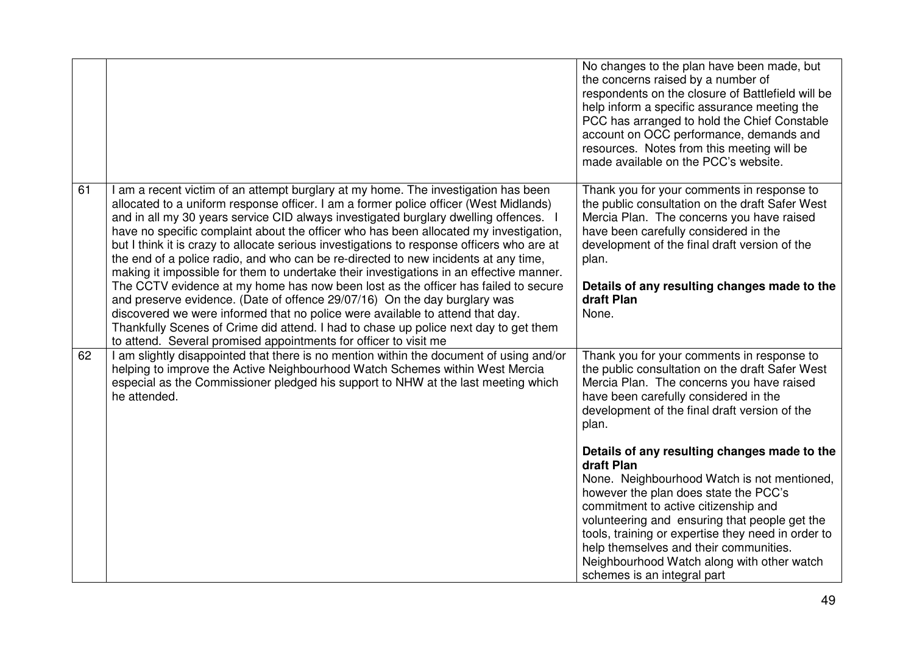|    |                                                                                                                                                                                                                                                                                                                                                                                                                                                                                                                                                                                                                                                                                                                                                                                                                                                                                                                                                                                                                                                              | No changes to the plan have been made, but<br>the concerns raised by a number of<br>respondents on the closure of Battlefield will be<br>help inform a specific assurance meeting the<br>PCC has arranged to hold the Chief Constable<br>account on OCC performance, demands and<br>resources. Notes from this meeting will be<br>made available on the PCC's website.                                                   |
|----|--------------------------------------------------------------------------------------------------------------------------------------------------------------------------------------------------------------------------------------------------------------------------------------------------------------------------------------------------------------------------------------------------------------------------------------------------------------------------------------------------------------------------------------------------------------------------------------------------------------------------------------------------------------------------------------------------------------------------------------------------------------------------------------------------------------------------------------------------------------------------------------------------------------------------------------------------------------------------------------------------------------------------------------------------------------|--------------------------------------------------------------------------------------------------------------------------------------------------------------------------------------------------------------------------------------------------------------------------------------------------------------------------------------------------------------------------------------------------------------------------|
| 61 | I am a recent victim of an attempt burglary at my home. The investigation has been<br>allocated to a uniform response officer. I am a former police officer (West Midlands)<br>and in all my 30 years service CID always investigated burglary dwelling offences. I<br>have no specific complaint about the officer who has been allocated my investigation,<br>but I think it is crazy to allocate serious investigations to response officers who are at<br>the end of a police radio, and who can be re-directed to new incidents at any time,<br>making it impossible for them to undertake their investigations in an effective manner.<br>The CCTV evidence at my home has now been lost as the officer has failed to secure<br>and preserve evidence. (Date of offence 29/07/16) On the day burglary was<br>discovered we were informed that no police were available to attend that day.<br>Thankfully Scenes of Crime did attend. I had to chase up police next day to get them<br>to attend. Several promised appointments for officer to visit me | Thank you for your comments in response to<br>the public consultation on the draft Safer West<br>Mercia Plan. The concerns you have raised<br>have been carefully considered in the<br>development of the final draft version of the<br>plan.<br>Details of any resulting changes made to the<br>draft Plan<br>None.                                                                                                     |
| 62 | I am slightly disappointed that there is no mention within the document of using and/or<br>helping to improve the Active Neighbourhood Watch Schemes within West Mercia<br>especial as the Commissioner pledged his support to NHW at the last meeting which<br>he attended.                                                                                                                                                                                                                                                                                                                                                                                                                                                                                                                                                                                                                                                                                                                                                                                 | Thank you for your comments in response to<br>the public consultation on the draft Safer West<br>Mercia Plan. The concerns you have raised<br>have been carefully considered in the<br>development of the final draft version of the<br>plan.                                                                                                                                                                            |
|    |                                                                                                                                                                                                                                                                                                                                                                                                                                                                                                                                                                                                                                                                                                                                                                                                                                                                                                                                                                                                                                                              | Details of any resulting changes made to the<br>draft Plan<br>None. Neighbourhood Watch is not mentioned,<br>however the plan does state the PCC's<br>commitment to active citizenship and<br>volunteering and ensuring that people get the<br>tools, training or expertise they need in order to<br>help themselves and their communities.<br>Neighbourhood Watch along with other watch<br>schemes is an integral part |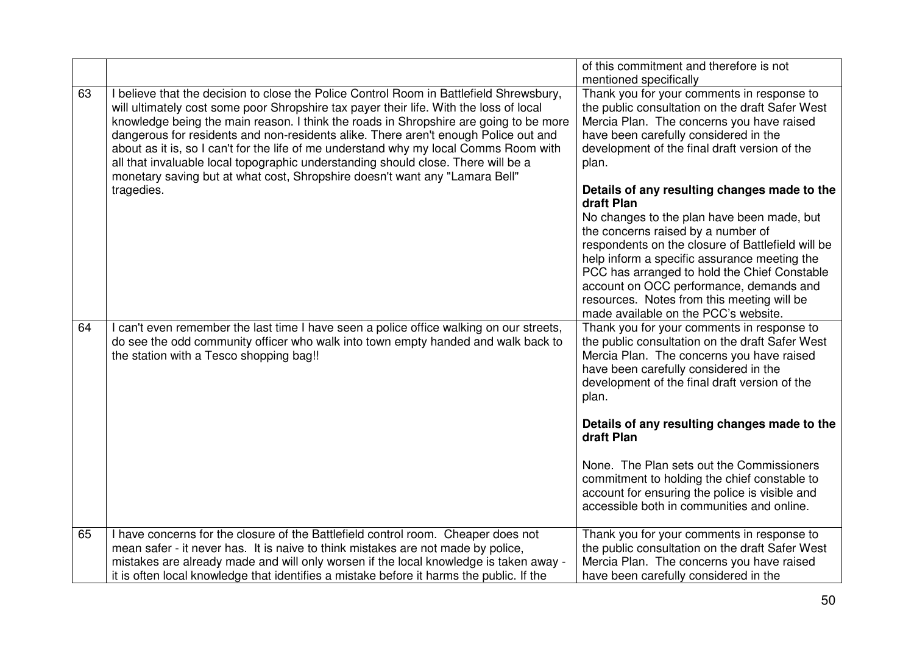|    |                                                                                                                                                                                                                                                                                                                                                                                                                                                                                                                                                                                                                                | of this commitment and therefore is not<br>mentioned specifically                                                                                                                                                                                                                                                                                                                                                                    |
|----|--------------------------------------------------------------------------------------------------------------------------------------------------------------------------------------------------------------------------------------------------------------------------------------------------------------------------------------------------------------------------------------------------------------------------------------------------------------------------------------------------------------------------------------------------------------------------------------------------------------------------------|--------------------------------------------------------------------------------------------------------------------------------------------------------------------------------------------------------------------------------------------------------------------------------------------------------------------------------------------------------------------------------------------------------------------------------------|
| 63 | I believe that the decision to close the Police Control Room in Battlefield Shrewsbury,<br>will ultimately cost some poor Shropshire tax payer their life. With the loss of local<br>knowledge being the main reason. I think the roads in Shropshire are going to be more<br>dangerous for residents and non-residents alike. There aren't enough Police out and<br>about as it is, so I can't for the life of me understand why my local Comms Room with<br>all that invaluable local topographic understanding should close. There will be a<br>monetary saving but at what cost, Shropshire doesn't want any "Lamara Bell" | Thank you for your comments in response to<br>the public consultation on the draft Safer West<br>Mercia Plan. The concerns you have raised<br>have been carefully considered in the<br>development of the final draft version of the<br>plan.                                                                                                                                                                                        |
|    | tragedies.                                                                                                                                                                                                                                                                                                                                                                                                                                                                                                                                                                                                                     | Details of any resulting changes made to the<br>draft Plan<br>No changes to the plan have been made, but<br>the concerns raised by a number of<br>respondents on the closure of Battlefield will be<br>help inform a specific assurance meeting the<br>PCC has arranged to hold the Chief Constable<br>account on OCC performance, demands and<br>resources. Notes from this meeting will be<br>made available on the PCC's website. |
| 64 | I can't even remember the last time I have seen a police office walking on our streets,<br>do see the odd community officer who walk into town empty handed and walk back to<br>the station with a Tesco shopping bag!!                                                                                                                                                                                                                                                                                                                                                                                                        | Thank you for your comments in response to<br>the public consultation on the draft Safer West<br>Mercia Plan. The concerns you have raised<br>have been carefully considered in the<br>development of the final draft version of the<br>plan.                                                                                                                                                                                        |
|    |                                                                                                                                                                                                                                                                                                                                                                                                                                                                                                                                                                                                                                | Details of any resulting changes made to the<br>draft Plan                                                                                                                                                                                                                                                                                                                                                                           |
|    |                                                                                                                                                                                                                                                                                                                                                                                                                                                                                                                                                                                                                                | None. The Plan sets out the Commissioners<br>commitment to holding the chief constable to<br>account for ensuring the police is visible and<br>accessible both in communities and online.                                                                                                                                                                                                                                            |
| 65 | I have concerns for the closure of the Battlefield control room. Cheaper does not<br>mean safer - it never has. It is naive to think mistakes are not made by police,<br>mistakes are already made and will only worsen if the local knowledge is taken away -<br>it is often local knowledge that identifies a mistake before it harms the public. If the                                                                                                                                                                                                                                                                     | Thank you for your comments in response to<br>the public consultation on the draft Safer West<br>Mercia Plan. The concerns you have raised<br>have been carefully considered in the                                                                                                                                                                                                                                                  |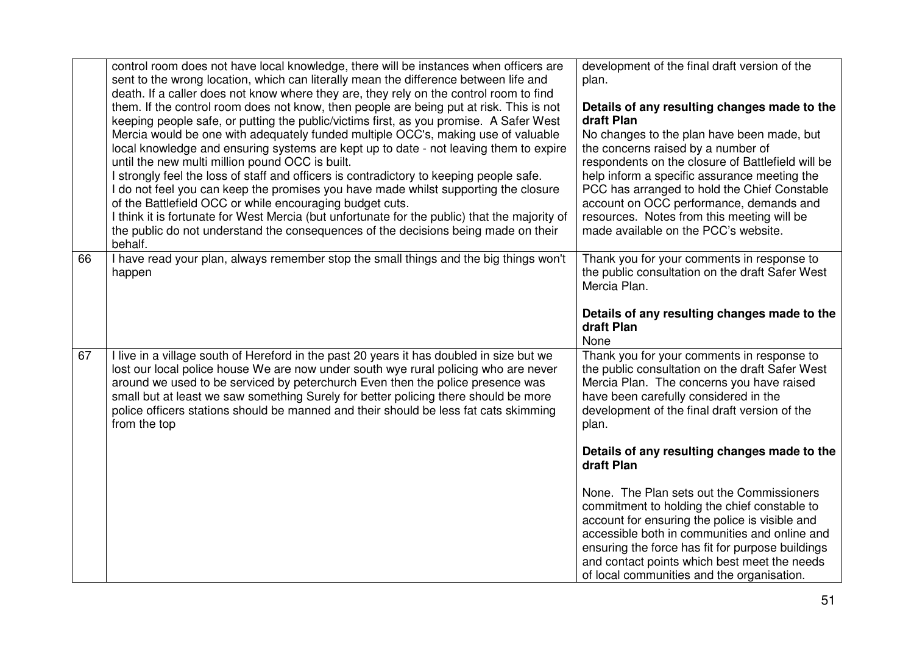|    | control room does not have local knowledge, there will be instances when officers are<br>sent to the wrong location, which can literally mean the difference between life and<br>death. If a caller does not know where they are, they rely on the control room to find<br>them. If the control room does not know, then people are being put at risk. This is not<br>keeping people safe, or putting the public/victims first, as you promise. A Safer West<br>Mercia would be one with adequately funded multiple OCC's, making use of valuable<br>local knowledge and ensuring systems are kept up to date - not leaving them to expire<br>until the new multi million pound OCC is built.<br>I strongly feel the loss of staff and officers is contradictory to keeping people safe.<br>I do not feel you can keep the promises you have made whilst supporting the closure<br>of the Battlefield OCC or while encouraging budget cuts.<br>I think it is fortunate for West Mercia (but unfortunate for the public) that the majority of<br>the public do not understand the consequences of the decisions being made on their<br>behalf. | development of the final draft version of the<br>plan.<br>Details of any resulting changes made to the<br>draft Plan<br>No changes to the plan have been made, but<br>the concerns raised by a number of<br>respondents on the closure of Battlefield will be<br>help inform a specific assurance meeting the<br>PCC has arranged to hold the Chief Constable<br>account on OCC performance, demands and<br>resources. Notes from this meeting will be<br>made available on the PCC's website. |
|----|-----------------------------------------------------------------------------------------------------------------------------------------------------------------------------------------------------------------------------------------------------------------------------------------------------------------------------------------------------------------------------------------------------------------------------------------------------------------------------------------------------------------------------------------------------------------------------------------------------------------------------------------------------------------------------------------------------------------------------------------------------------------------------------------------------------------------------------------------------------------------------------------------------------------------------------------------------------------------------------------------------------------------------------------------------------------------------------------------------------------------------------------------|------------------------------------------------------------------------------------------------------------------------------------------------------------------------------------------------------------------------------------------------------------------------------------------------------------------------------------------------------------------------------------------------------------------------------------------------------------------------------------------------|
| 66 | I have read your plan, always remember stop the small things and the big things won't<br>happen                                                                                                                                                                                                                                                                                                                                                                                                                                                                                                                                                                                                                                                                                                                                                                                                                                                                                                                                                                                                                                               | Thank you for your comments in response to<br>the public consultation on the draft Safer West<br>Mercia Plan.<br>Details of any resulting changes made to the<br>draft Plan<br>None                                                                                                                                                                                                                                                                                                            |
| 67 | I live in a village south of Hereford in the past 20 years it has doubled in size but we<br>lost our local police house We are now under south wye rural policing who are never<br>around we used to be serviced by peterchurch Even then the police presence was<br>small but at least we saw something Surely for better policing there should be more<br>police officers stations should be manned and their should be less fat cats skimming<br>from the top                                                                                                                                                                                                                                                                                                                                                                                                                                                                                                                                                                                                                                                                              | Thank you for your comments in response to<br>the public consultation on the draft Safer West<br>Mercia Plan. The concerns you have raised<br>have been carefully considered in the<br>development of the final draft version of the<br>plan.                                                                                                                                                                                                                                                  |
|    |                                                                                                                                                                                                                                                                                                                                                                                                                                                                                                                                                                                                                                                                                                                                                                                                                                                                                                                                                                                                                                                                                                                                               | Details of any resulting changes made to the<br>draft Plan                                                                                                                                                                                                                                                                                                                                                                                                                                     |
|    |                                                                                                                                                                                                                                                                                                                                                                                                                                                                                                                                                                                                                                                                                                                                                                                                                                                                                                                                                                                                                                                                                                                                               | None. The Plan sets out the Commissioners<br>commitment to holding the chief constable to<br>account for ensuring the police is visible and<br>accessible both in communities and online and<br>ensuring the force has fit for purpose buildings<br>and contact points which best meet the needs<br>of local communities and the organisation.                                                                                                                                                 |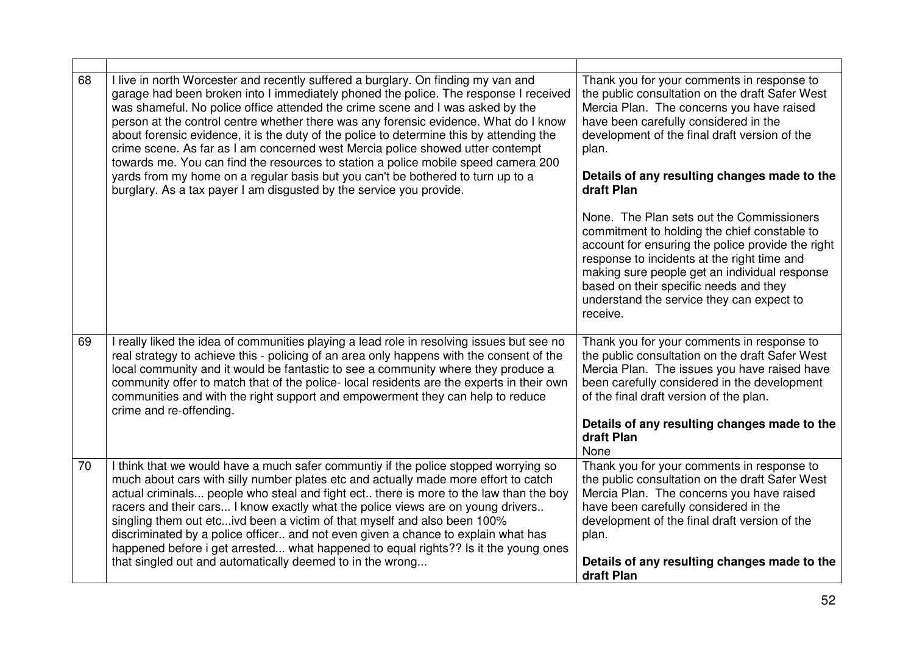| 68 | I live in north Worcester and recently suffered a burglary. On finding my van and<br>garage had been broken into I immediately phoned the police. The response I received<br>was shameful. No police office attended the crime scene and I was asked by the<br>person at the control centre whether there was any forensic evidence. What do I know<br>about forensic evidence, it is the duty of the police to determine this by attending the<br>crime scene. As far as I am concerned west Mercia police showed utter contempt<br>towards me. You can find the resources to station a police mobile speed camera 200<br>yards from my home on a regular basis but you can't be bothered to turn up to a<br>burglary. As a tax payer I am disgusted by the service you provide. | Thank you for your comments in response to<br>the public consultation on the draft Safer West<br>Mercia Plan. The concerns you have raised<br>have been carefully considered in the<br>development of the final draft version of the<br>plan.<br>Details of any resulting changes made to the<br>draft Plan                                       |
|----|-----------------------------------------------------------------------------------------------------------------------------------------------------------------------------------------------------------------------------------------------------------------------------------------------------------------------------------------------------------------------------------------------------------------------------------------------------------------------------------------------------------------------------------------------------------------------------------------------------------------------------------------------------------------------------------------------------------------------------------------------------------------------------------|---------------------------------------------------------------------------------------------------------------------------------------------------------------------------------------------------------------------------------------------------------------------------------------------------------------------------------------------------|
|    |                                                                                                                                                                                                                                                                                                                                                                                                                                                                                                                                                                                                                                                                                                                                                                                   | None. The Plan sets out the Commissioners<br>commitment to holding the chief constable to<br>account for ensuring the police provide the right<br>response to incidents at the right time and<br>making sure people get an individual response<br>based on their specific needs and they<br>understand the service they can expect to<br>receive. |
| 69 | I really liked the idea of communities playing a lead role in resolving issues but see no<br>real strategy to achieve this - policing of an area only happens with the consent of the<br>local community and it would be fantastic to see a community where they produce a<br>community offer to match that of the police- local residents are the experts in their own<br>communities and with the right support and empowerment they can help to reduce<br>crime and re-offending.                                                                                                                                                                                                                                                                                              | Thank you for your comments in response to<br>the public consultation on the draft Safer West<br>Mercia Plan. The issues you have raised have<br>been carefully considered in the development<br>of the final draft version of the plan.<br>Details of any resulting changes made to the<br>draft Plan<br>None                                    |
| 70 | I think that we would have a much safer communtiy if the police stopped worrying so<br>much about cars with silly number plates etc and actually made more effort to catch<br>actual criminals people who steal and fight ect there is more to the law than the boy<br>racers and their cars I know exactly what the police views are on young drivers<br>singling them out etcivd been a victim of that myself and also been 100%<br>discriminated by a police officer and not even given a chance to explain what has<br>happened before i get arrested what happened to equal rights?? Is it the young ones<br>that singled out and automatically deemed to in the wrong                                                                                                       | Thank you for your comments in response to<br>the public consultation on the draft Safer West<br>Mercia Plan. The concerns you have raised<br>have been carefully considered in the<br>development of the final draft version of the<br>plan.<br>Details of any resulting changes made to the<br>draft Plan                                       |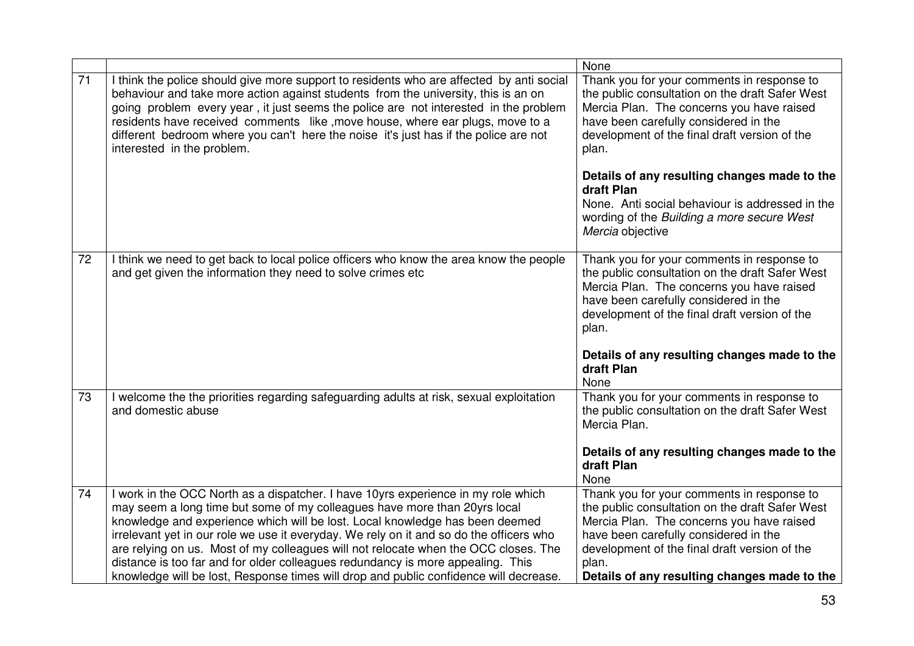|                 |                                                                                                                                                                                                                                                                                                                                                                                                                                                                                                                                                                                                              | None                                                                                                                                                                                                                                                                                                                |
|-----------------|--------------------------------------------------------------------------------------------------------------------------------------------------------------------------------------------------------------------------------------------------------------------------------------------------------------------------------------------------------------------------------------------------------------------------------------------------------------------------------------------------------------------------------------------------------------------------------------------------------------|---------------------------------------------------------------------------------------------------------------------------------------------------------------------------------------------------------------------------------------------------------------------------------------------------------------------|
| 71              | I think the police should give more support to residents who are affected by anti social<br>behaviour and take more action against students from the university, this is an on<br>going problem every year, it just seems the police are not interested in the problem<br>residents have received comments like, move house, where ear plugs, move to a<br>different bedroom where you can't here the noise it's just has if the police are not<br>interested in the problem.                                                                                                                                | Thank you for your comments in response to<br>the public consultation on the draft Safer West<br>Mercia Plan. The concerns you have raised<br>have been carefully considered in the<br>development of the final draft version of the<br>plan.                                                                       |
|                 |                                                                                                                                                                                                                                                                                                                                                                                                                                                                                                                                                                                                              | Details of any resulting changes made to the<br>draft Plan<br>None. Anti social behaviour is addressed in the<br>wording of the Building a more secure West<br>Mercia objective                                                                                                                                     |
| 72              | I think we need to get back to local police officers who know the area know the people<br>and get given the information they need to solve crimes etc                                                                                                                                                                                                                                                                                                                                                                                                                                                        | Thank you for your comments in response to<br>the public consultation on the draft Safer West<br>Mercia Plan. The concerns you have raised<br>have been carefully considered in the<br>development of the final draft version of the<br>plan.<br>Details of any resulting changes made to the<br>draft Plan<br>None |
| 73              | I welcome the the priorities regarding safeguarding adults at risk, sexual exploitation<br>and domestic abuse                                                                                                                                                                                                                                                                                                                                                                                                                                                                                                | Thank you for your comments in response to<br>the public consultation on the draft Safer West<br>Mercia Plan.<br>Details of any resulting changes made to the<br>draft Plan<br>None                                                                                                                                 |
| $\overline{74}$ | I work in the OCC North as a dispatcher. I have 10yrs experience in my role which<br>may seem a long time but some of my colleagues have more than 20yrs local<br>knowledge and experience which will be lost. Local knowledge has been deemed<br>irrelevant yet in our role we use it everyday. We rely on it and so do the officers who<br>are relying on us. Most of my colleagues will not relocate when the OCC closes. The<br>distance is too far and for older colleagues redundancy is more appealing. This<br>knowledge will be lost, Response times will drop and public confidence will decrease. | Thank you for your comments in response to<br>the public consultation on the draft Safer West<br>Mercia Plan. The concerns you have raised<br>have been carefully considered in the<br>development of the final draft version of the<br>plan.<br>Details of any resulting changes made to the                       |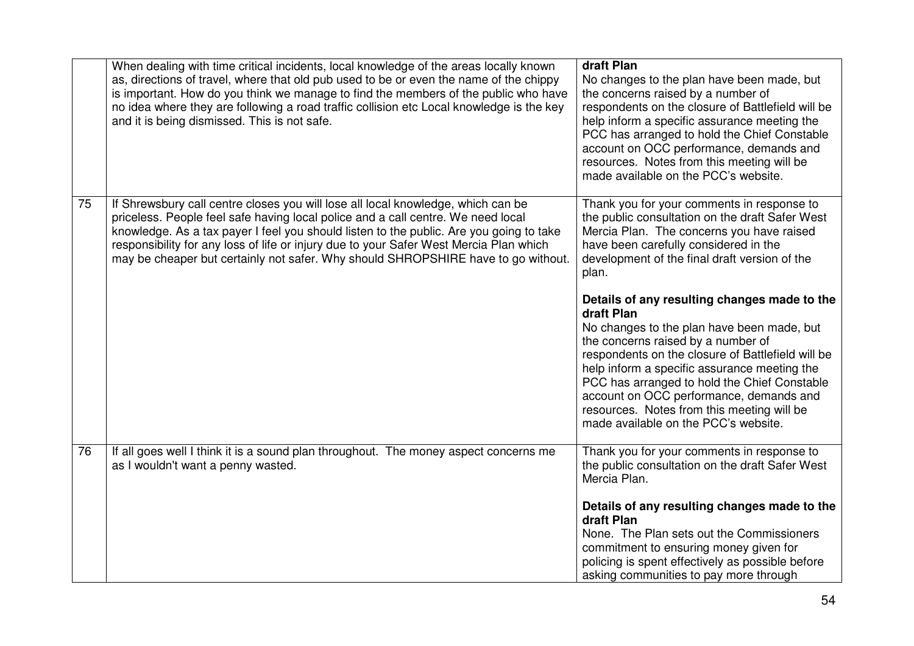|    | When dealing with time critical incidents, local knowledge of the areas locally known<br>as, directions of travel, where that old pub used to be or even the name of the chippy<br>is important. How do you think we manage to find the members of the public who have<br>no idea where they are following a road traffic collision etc Local knowledge is the key<br>and it is being dismissed. This is not safe.                             | draft Plan<br>No changes to the plan have been made, but<br>the concerns raised by a number of<br>respondents on the closure of Battlefield will be<br>help inform a specific assurance meeting the<br>PCC has arranged to hold the Chief Constable<br>account on OCC performance, demands and<br>resources. Notes from this meeting will be<br>made available on the PCC's website.                                                                 |
|----|------------------------------------------------------------------------------------------------------------------------------------------------------------------------------------------------------------------------------------------------------------------------------------------------------------------------------------------------------------------------------------------------------------------------------------------------|------------------------------------------------------------------------------------------------------------------------------------------------------------------------------------------------------------------------------------------------------------------------------------------------------------------------------------------------------------------------------------------------------------------------------------------------------|
| 75 | If Shrewsbury call centre closes you will lose all local knowledge, which can be<br>priceless. People feel safe having local police and a call centre. We need local<br>knowledge. As a tax payer I feel you should listen to the public. Are you going to take<br>responsibility for any loss of life or injury due to your Safer West Mercia Plan which<br>may be cheaper but certainly not safer. Why should SHROPSHIRE have to go without. | Thank you for your comments in response to<br>the public consultation on the draft Safer West<br>Mercia Plan. The concerns you have raised<br>have been carefully considered in the<br>development of the final draft version of the<br>plan.<br>Details of any resulting changes made to the<br>draft Plan<br>No changes to the plan have been made, but<br>the concerns raised by a number of<br>respondents on the closure of Battlefield will be |
|    |                                                                                                                                                                                                                                                                                                                                                                                                                                                | help inform a specific assurance meeting the<br>PCC has arranged to hold the Chief Constable<br>account on OCC performance, demands and<br>resources. Notes from this meeting will be<br>made available on the PCC's website.                                                                                                                                                                                                                        |
| 76 | If all goes well I think it is a sound plan throughout. The money aspect concerns me<br>as I wouldn't want a penny wasted.                                                                                                                                                                                                                                                                                                                     | Thank you for your comments in response to<br>the public consultation on the draft Safer West<br>Mercia Plan.                                                                                                                                                                                                                                                                                                                                        |
|    |                                                                                                                                                                                                                                                                                                                                                                                                                                                | Details of any resulting changes made to the<br>draft Plan<br>None. The Plan sets out the Commissioners<br>commitment to ensuring money given for<br>policing is spent effectively as possible before<br>asking communities to pay more through                                                                                                                                                                                                      |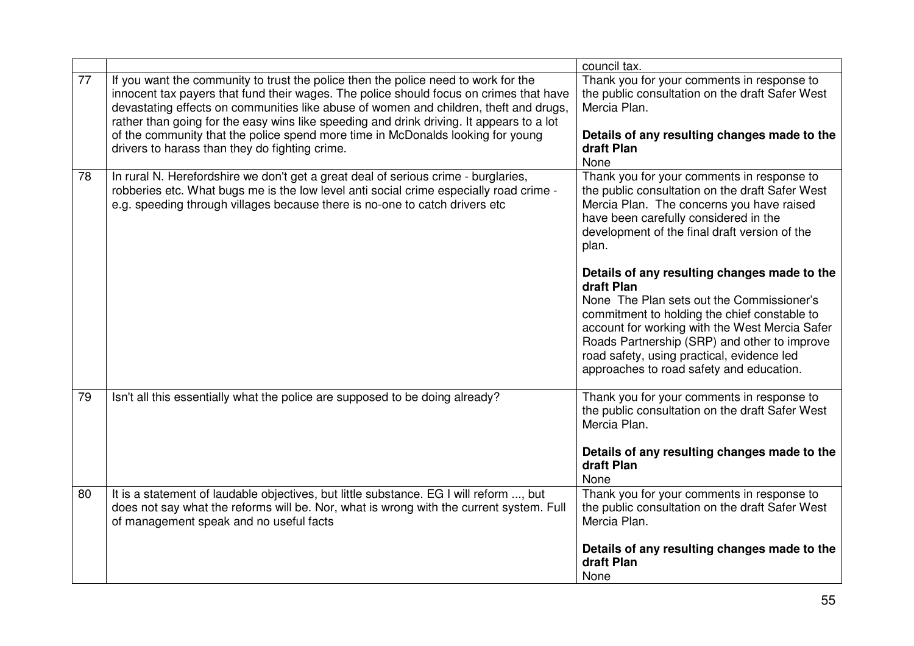|    |                                                                                                                                                                                                                                                                                                                                                                                                                                                                                                        | council tax.                                                                                                                                                                                                                                                                                                                                        |
|----|--------------------------------------------------------------------------------------------------------------------------------------------------------------------------------------------------------------------------------------------------------------------------------------------------------------------------------------------------------------------------------------------------------------------------------------------------------------------------------------------------------|-----------------------------------------------------------------------------------------------------------------------------------------------------------------------------------------------------------------------------------------------------------------------------------------------------------------------------------------------------|
| 77 | If you want the community to trust the police then the police need to work for the<br>innocent tax payers that fund their wages. The police should focus on crimes that have<br>devastating effects on communities like abuse of women and children, theft and drugs,<br>rather than going for the easy wins like speeding and drink driving. It appears to a lot<br>of the community that the police spend more time in McDonalds looking for young<br>drivers to harass than they do fighting crime. | Thank you for your comments in response to<br>the public consultation on the draft Safer West<br>Mercia Plan.<br>Details of any resulting changes made to the<br>draft Plan<br>None                                                                                                                                                                 |
| 78 | In rural N. Herefordshire we don't get a great deal of serious crime - burglaries,<br>robberies etc. What bugs me is the low level anti social crime especially road crime -<br>e.g. speeding through villages because there is no-one to catch drivers etc                                                                                                                                                                                                                                            | Thank you for your comments in response to<br>the public consultation on the draft Safer West<br>Mercia Plan. The concerns you have raised<br>have been carefully considered in the<br>development of the final draft version of the<br>plan.                                                                                                       |
|    |                                                                                                                                                                                                                                                                                                                                                                                                                                                                                                        | Details of any resulting changes made to the<br>draft Plan<br>None The Plan sets out the Commissioner's<br>commitment to holding the chief constable to<br>account for working with the West Mercia Safer<br>Roads Partnership (SRP) and other to improve<br>road safety, using practical, evidence led<br>approaches to road safety and education. |
| 79 | Isn't all this essentially what the police are supposed to be doing already?                                                                                                                                                                                                                                                                                                                                                                                                                           | Thank you for your comments in response to<br>the public consultation on the draft Safer West<br>Mercia Plan.                                                                                                                                                                                                                                       |
|    |                                                                                                                                                                                                                                                                                                                                                                                                                                                                                                        | Details of any resulting changes made to the<br>draft Plan<br>None                                                                                                                                                                                                                                                                                  |
| 80 | It is a statement of laudable objectives, but little substance. EG I will reform , but<br>does not say what the reforms will be. Nor, what is wrong with the current system. Full<br>of management speak and no useful facts                                                                                                                                                                                                                                                                           | Thank you for your comments in response to<br>the public consultation on the draft Safer West<br>Mercia Plan.                                                                                                                                                                                                                                       |
|    |                                                                                                                                                                                                                                                                                                                                                                                                                                                                                                        | Details of any resulting changes made to the<br>draft Plan<br>None                                                                                                                                                                                                                                                                                  |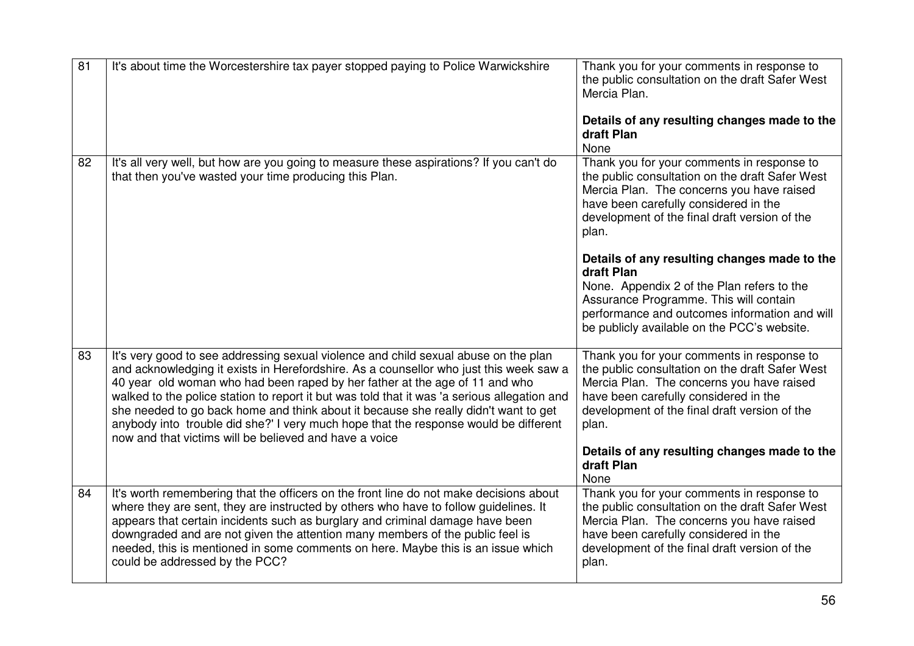| $\overline{81}$ | It's about time the Worcestershire tax payer stopped paying to Police Warwickshire                                                                                                                                                                                                                                                                                                                                                                                                                                                                                                                    | Thank you for your comments in response to<br>the public consultation on the draft Safer West<br>Mercia Plan.<br>Details of any resulting changes made to the<br>draft Plan<br>None                                                                |
|-----------------|-------------------------------------------------------------------------------------------------------------------------------------------------------------------------------------------------------------------------------------------------------------------------------------------------------------------------------------------------------------------------------------------------------------------------------------------------------------------------------------------------------------------------------------------------------------------------------------------------------|----------------------------------------------------------------------------------------------------------------------------------------------------------------------------------------------------------------------------------------------------|
| 82              | It's all very well, but how are you going to measure these aspirations? If you can't do<br>that then you've wasted your time producing this Plan.                                                                                                                                                                                                                                                                                                                                                                                                                                                     | Thank you for your comments in response to<br>the public consultation on the draft Safer West<br>Mercia Plan. The concerns you have raised<br>have been carefully considered in the<br>development of the final draft version of the<br>plan.      |
|                 |                                                                                                                                                                                                                                                                                                                                                                                                                                                                                                                                                                                                       | Details of any resulting changes made to the<br>draft Plan<br>None. Appendix 2 of the Plan refers to the<br>Assurance Programme. This will contain<br>performance and outcomes information and will<br>be publicly available on the PCC's website. |
| 83              | It's very good to see addressing sexual violence and child sexual abuse on the plan<br>and acknowledging it exists in Herefordshire. As a counsellor who just this week saw a<br>40 year old woman who had been raped by her father at the age of 11 and who<br>walked to the police station to report it but was told that it was 'a serious allegation and<br>she needed to go back home and think about it because she really didn't want to get<br>anybody into trouble did she?' I very much hope that the response would be different<br>now and that victims will be believed and have a voice | Thank you for your comments in response to<br>the public consultation on the draft Safer West<br>Mercia Plan. The concerns you have raised<br>have been carefully considered in the<br>development of the final draft version of the<br>plan.      |
|                 |                                                                                                                                                                                                                                                                                                                                                                                                                                                                                                                                                                                                       | Details of any resulting changes made to the<br>draft Plan<br>None                                                                                                                                                                                 |
| 84              | It's worth remembering that the officers on the front line do not make decisions about<br>where they are sent, they are instructed by others who have to follow guidelines. It<br>appears that certain incidents such as burglary and criminal damage have been<br>downgraded and are not given the attention many members of the public feel is<br>needed, this is mentioned in some comments on here. Maybe this is an issue which<br>could be addressed by the PCC?                                                                                                                                | Thank you for your comments in response to<br>the public consultation on the draft Safer West<br>Mercia Plan. The concerns you have raised<br>have been carefully considered in the<br>development of the final draft version of the<br>plan.      |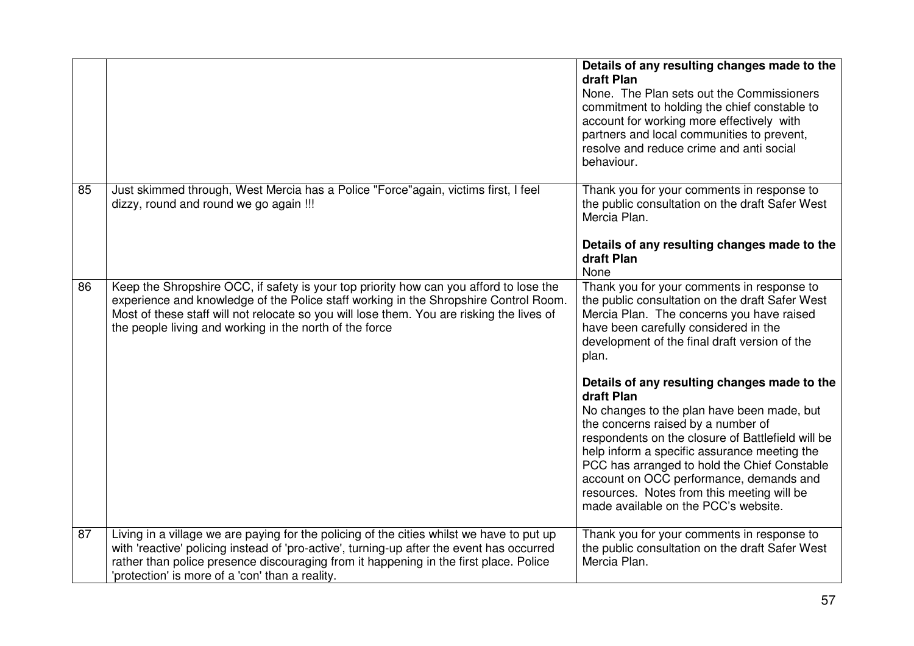|    |                                                                                                                                                                                                                                                                                                                                        | Details of any resulting changes made to the<br>draft Plan<br>None. The Plan sets out the Commissioners<br>commitment to holding the chief constable to<br>account for working more effectively with<br>partners and local communities to prevent,<br>resolve and reduce crime and anti social<br>behaviour.                                                                                                                                                                                                                                                                                                                                                                          |
|----|----------------------------------------------------------------------------------------------------------------------------------------------------------------------------------------------------------------------------------------------------------------------------------------------------------------------------------------|---------------------------------------------------------------------------------------------------------------------------------------------------------------------------------------------------------------------------------------------------------------------------------------------------------------------------------------------------------------------------------------------------------------------------------------------------------------------------------------------------------------------------------------------------------------------------------------------------------------------------------------------------------------------------------------|
| 85 | Just skimmed through, West Mercia has a Police "Force"again, victims first, I feel<br>dizzy, round and round we go again !!!                                                                                                                                                                                                           | Thank you for your comments in response to<br>the public consultation on the draft Safer West<br>Mercia Plan.<br>Details of any resulting changes made to the<br>draft Plan<br>None                                                                                                                                                                                                                                                                                                                                                                                                                                                                                                   |
| 86 | Keep the Shropshire OCC, if safety is your top priority how can you afford to lose the<br>experience and knowledge of the Police staff working in the Shropshire Control Room.<br>Most of these staff will not relocate so you will lose them. You are risking the lives of<br>the people living and working in the north of the force | Thank you for your comments in response to<br>the public consultation on the draft Safer West<br>Mercia Plan. The concerns you have raised<br>have been carefully considered in the<br>development of the final draft version of the<br>plan.<br>Details of any resulting changes made to the<br>draft Plan<br>No changes to the plan have been made, but<br>the concerns raised by a number of<br>respondents on the closure of Battlefield will be<br>help inform a specific assurance meeting the<br>PCC has arranged to hold the Chief Constable<br>account on OCC performance, demands and<br>resources. Notes from this meeting will be<br>made available on the PCC's website. |
| 87 | Living in a village we are paying for the policing of the cities whilst we have to put up<br>with 'reactive' policing instead of 'pro-active', turning-up after the event has occurred<br>rather than police presence discouraging from it happening in the first place. Police<br>'protection' is more of a 'con' than a reality.     | Thank you for your comments in response to<br>the public consultation on the draft Safer West<br>Mercia Plan.                                                                                                                                                                                                                                                                                                                                                                                                                                                                                                                                                                         |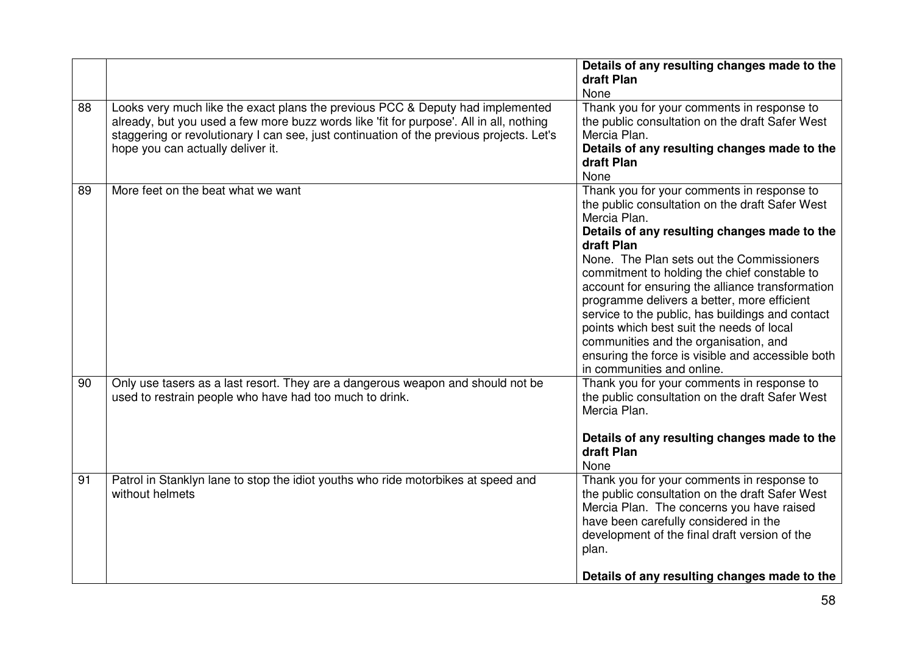|    |                                                                                                                                                                                                                                                                                                            | Details of any resulting changes made to the<br>draft Plan<br>None                                                                                                                                                                                                                                                                                                                                                                                                                                                                                                                                       |
|----|------------------------------------------------------------------------------------------------------------------------------------------------------------------------------------------------------------------------------------------------------------------------------------------------------------|----------------------------------------------------------------------------------------------------------------------------------------------------------------------------------------------------------------------------------------------------------------------------------------------------------------------------------------------------------------------------------------------------------------------------------------------------------------------------------------------------------------------------------------------------------------------------------------------------------|
| 88 | Looks very much like the exact plans the previous PCC & Deputy had implemented<br>already, but you used a few more buzz words like 'fit for purpose'. All in all, nothing<br>staggering or revolutionary I can see, just continuation of the previous projects. Let's<br>hope you can actually deliver it. | Thank you for your comments in response to<br>the public consultation on the draft Safer West<br>Mercia Plan.<br>Details of any resulting changes made to the<br>draft Plan<br>None                                                                                                                                                                                                                                                                                                                                                                                                                      |
| 89 | More feet on the beat what we want                                                                                                                                                                                                                                                                         | Thank you for your comments in response to<br>the public consultation on the draft Safer West<br>Mercia Plan.<br>Details of any resulting changes made to the<br>draft Plan<br>None. The Plan sets out the Commissioners<br>commitment to holding the chief constable to<br>account for ensuring the alliance transformation<br>programme delivers a better, more efficient<br>service to the public, has buildings and contact<br>points which best suit the needs of local<br>communities and the organisation, and<br>ensuring the force is visible and accessible both<br>in communities and online. |
| 90 | Only use tasers as a last resort. They are a dangerous weapon and should not be<br>used to restrain people who have had too much to drink.                                                                                                                                                                 | Thank you for your comments in response to<br>the public consultation on the draft Safer West<br>Mercia Plan.<br>Details of any resulting changes made to the<br>draft Plan<br>None                                                                                                                                                                                                                                                                                                                                                                                                                      |
| 91 | Patrol in Stanklyn lane to stop the idiot youths who ride motorbikes at speed and<br>without helmets                                                                                                                                                                                                       | Thank you for your comments in response to<br>the public consultation on the draft Safer West<br>Mercia Plan. The concerns you have raised<br>have been carefully considered in the<br>development of the final draft version of the<br>plan.<br>Details of any resulting changes made to the                                                                                                                                                                                                                                                                                                            |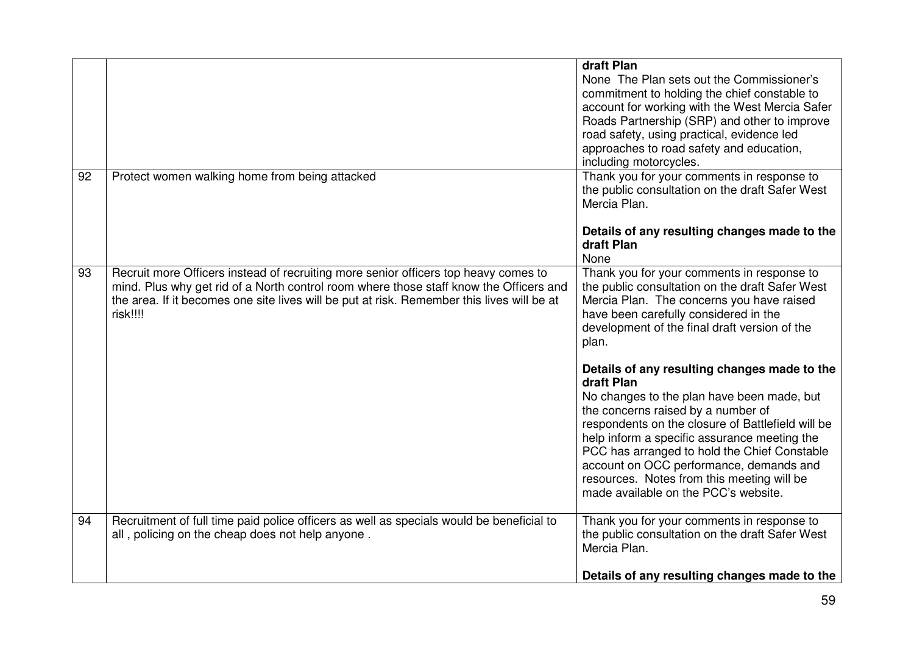|    |                                                                                                                                                                                                                                                                                         | draft Plan<br>None The Plan sets out the Commissioner's<br>commitment to holding the chief constable to<br>account for working with the West Mercia Safer<br>Roads Partnership (SRP) and other to improve<br>road safety, using practical, evidence led<br>approaches to road safety and education,<br>including motorcycles.                                          |
|----|-----------------------------------------------------------------------------------------------------------------------------------------------------------------------------------------------------------------------------------------------------------------------------------------|------------------------------------------------------------------------------------------------------------------------------------------------------------------------------------------------------------------------------------------------------------------------------------------------------------------------------------------------------------------------|
| 92 | Protect women walking home from being attacked                                                                                                                                                                                                                                          | Thank you for your comments in response to<br>the public consultation on the draft Safer West<br>Mercia Plan.<br>Details of any resulting changes made to the<br>draft Plan<br>None                                                                                                                                                                                    |
| 93 | Recruit more Officers instead of recruiting more senior officers top heavy comes to<br>mind. Plus why get rid of a North control room where those staff know the Officers and<br>the area. If it becomes one site lives will be put at risk. Remember this lives will be at<br>risk!!!! | Thank you for your comments in response to<br>the public consultation on the draft Safer West<br>Mercia Plan. The concerns you have raised<br>have been carefully considered in the<br>development of the final draft version of the<br>plan.<br>Details of any resulting changes made to the<br>draft Plan                                                            |
|    |                                                                                                                                                                                                                                                                                         | No changes to the plan have been made, but<br>the concerns raised by a number of<br>respondents on the closure of Battlefield will be<br>help inform a specific assurance meeting the<br>PCC has arranged to hold the Chief Constable<br>account on OCC performance, demands and<br>resources. Notes from this meeting will be<br>made available on the PCC's website. |
| 94 | Recruitment of full time paid police officers as well as specials would be beneficial to<br>all, policing on the cheap does not help anyone.                                                                                                                                            | Thank you for your comments in response to<br>the public consultation on the draft Safer West<br>Mercia Plan.<br>Details of any resulting changes made to the                                                                                                                                                                                                          |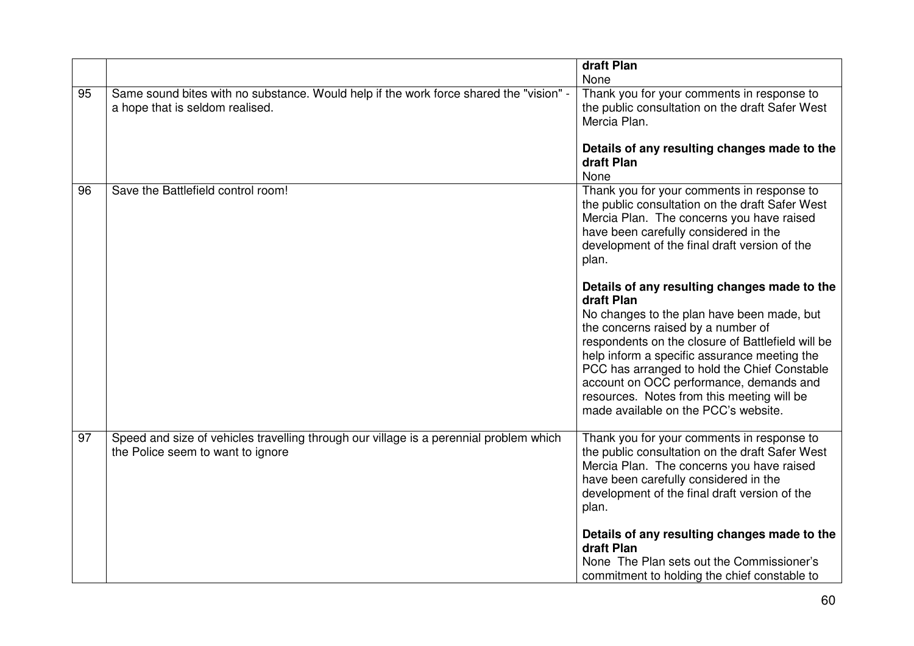|    |                                                                                                                             | draft Plan                                                                                                                                                                                                                                                                                                                                                                                                                           |
|----|-----------------------------------------------------------------------------------------------------------------------------|--------------------------------------------------------------------------------------------------------------------------------------------------------------------------------------------------------------------------------------------------------------------------------------------------------------------------------------------------------------------------------------------------------------------------------------|
|    |                                                                                                                             | None                                                                                                                                                                                                                                                                                                                                                                                                                                 |
| 95 | Same sound bites with no substance. Would help if the work force shared the "vision" -<br>a hope that is seldom realised.   | Thank you for your comments in response to<br>the public consultation on the draft Safer West<br>Mercia Plan.                                                                                                                                                                                                                                                                                                                        |
|    |                                                                                                                             | Details of any resulting changes made to the<br>draft Plan<br>None                                                                                                                                                                                                                                                                                                                                                                   |
| 96 | Save the Battlefield control room!                                                                                          | Thank you for your comments in response to<br>the public consultation on the draft Safer West<br>Mercia Plan. The concerns you have raised<br>have been carefully considered in the<br>development of the final draft version of the<br>plan.                                                                                                                                                                                        |
|    |                                                                                                                             | Details of any resulting changes made to the<br>draft Plan<br>No changes to the plan have been made, but<br>the concerns raised by a number of<br>respondents on the closure of Battlefield will be<br>help inform a specific assurance meeting the<br>PCC has arranged to hold the Chief Constable<br>account on OCC performance, demands and<br>resources. Notes from this meeting will be<br>made available on the PCC's website. |
| 97 | Speed and size of vehicles travelling through our village is a perennial problem which<br>the Police seem to want to ignore | Thank you for your comments in response to<br>the public consultation on the draft Safer West<br>Mercia Plan. The concerns you have raised<br>have been carefully considered in the<br>development of the final draft version of the<br>plan.                                                                                                                                                                                        |
|    |                                                                                                                             | Details of any resulting changes made to the<br>draft Plan<br>None The Plan sets out the Commissioner's<br>commitment to holding the chief constable to                                                                                                                                                                                                                                                                              |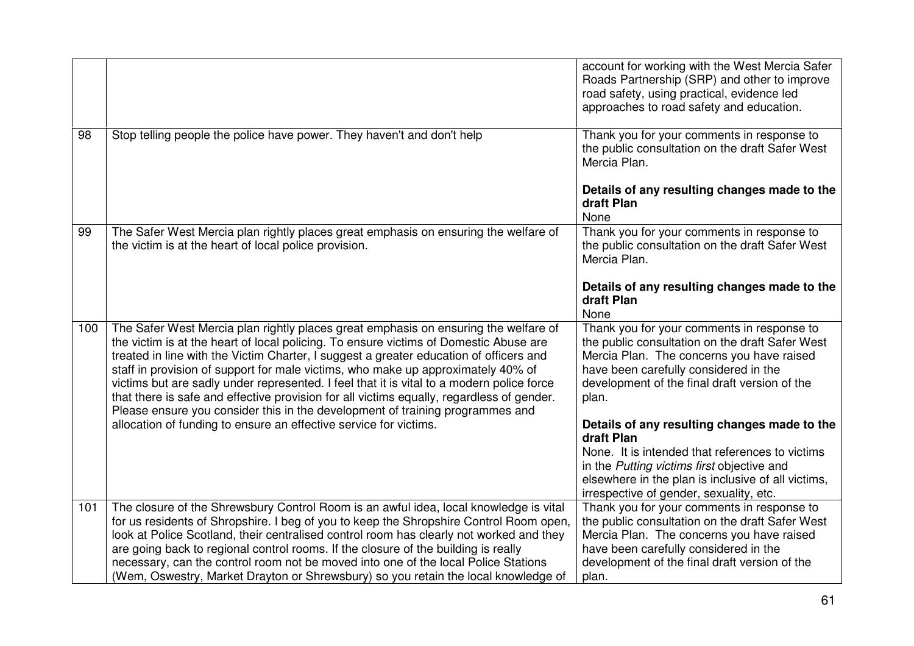|     |                                                                                                                                                                                                                                                                                                                                                                                                                                                                                                                                                                                                                                       | account for working with the West Mercia Safer<br>Roads Partnership (SRP) and other to improve<br>road safety, using practical, evidence led<br>approaches to road safety and education.                                                                     |
|-----|---------------------------------------------------------------------------------------------------------------------------------------------------------------------------------------------------------------------------------------------------------------------------------------------------------------------------------------------------------------------------------------------------------------------------------------------------------------------------------------------------------------------------------------------------------------------------------------------------------------------------------------|--------------------------------------------------------------------------------------------------------------------------------------------------------------------------------------------------------------------------------------------------------------|
| 98  | Stop telling people the police have power. They haven't and don't help                                                                                                                                                                                                                                                                                                                                                                                                                                                                                                                                                                | Thank you for your comments in response to<br>the public consultation on the draft Safer West<br>Mercia Plan.<br>Details of any resulting changes made to the                                                                                                |
|     |                                                                                                                                                                                                                                                                                                                                                                                                                                                                                                                                                                                                                                       | draft Plan<br>None                                                                                                                                                                                                                                           |
| 99  | The Safer West Mercia plan rightly places great emphasis on ensuring the welfare of<br>the victim is at the heart of local police provision.                                                                                                                                                                                                                                                                                                                                                                                                                                                                                          | Thank you for your comments in response to<br>the public consultation on the draft Safer West<br>Mercia Plan.                                                                                                                                                |
|     |                                                                                                                                                                                                                                                                                                                                                                                                                                                                                                                                                                                                                                       | Details of any resulting changes made to the<br>draft Plan<br>None                                                                                                                                                                                           |
| 100 | The Safer West Mercia plan rightly places great emphasis on ensuring the welfare of<br>the victim is at the heart of local policing. To ensure victims of Domestic Abuse are<br>treated in line with the Victim Charter, I suggest a greater education of officers and<br>staff in provision of support for male victims, who make up approximately 40% of<br>victims but are sadly under represented. I feel that it is vital to a modern police force<br>that there is safe and effective provision for all victims equally, regardless of gender.<br>Please ensure you consider this in the development of training programmes and | Thank you for your comments in response to<br>the public consultation on the draft Safer West<br>Mercia Plan. The concerns you have raised<br>have been carefully considered in the<br>development of the final draft version of the<br>plan.                |
|     | allocation of funding to ensure an effective service for victims.                                                                                                                                                                                                                                                                                                                                                                                                                                                                                                                                                                     | Details of any resulting changes made to the<br>draft Plan<br>None. It is intended that references to victims<br>in the Putting victims first objective and<br>elsewhere in the plan is inclusive of all victims,<br>irrespective of gender, sexuality, etc. |
| 101 | The closure of the Shrewsbury Control Room is an awful idea, local knowledge is vital<br>for us residents of Shropshire. I beg of you to keep the Shropshire Control Room open,<br>look at Police Scotland, their centralised control room has clearly not worked and they<br>are going back to regional control rooms. If the closure of the building is really<br>necessary, can the control room not be moved into one of the local Police Stations<br>(Wem, Oswestry, Market Drayton or Shrewsbury) so you retain the local knowledge of                                                                                          | Thank you for your comments in response to<br>the public consultation on the draft Safer West<br>Mercia Plan. The concerns you have raised<br>have been carefully considered in the<br>development of the final draft version of the<br>plan.                |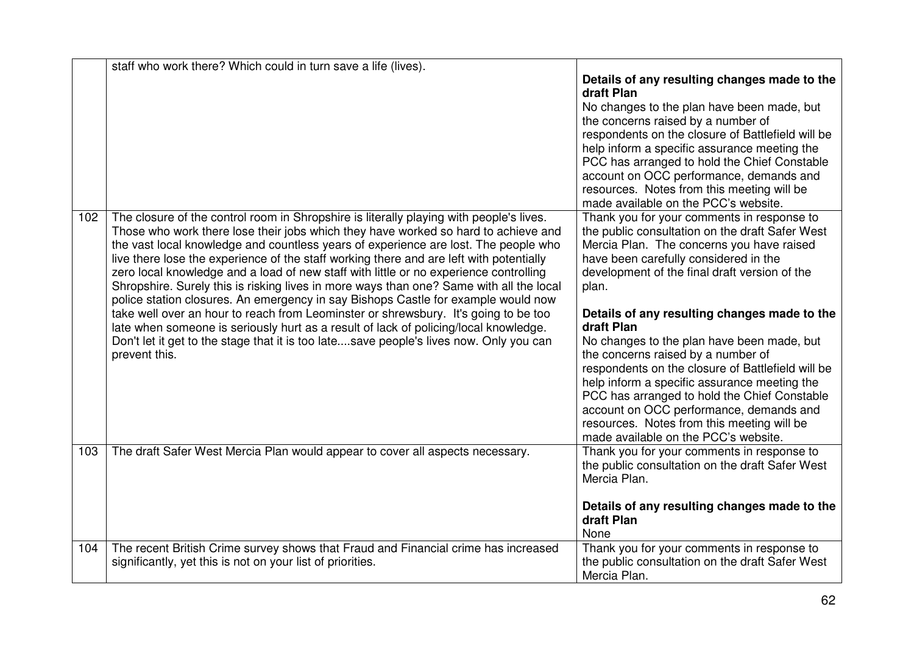|     | staff who work there? Which could in turn save a life (lives).                                                                                                                                                                                                                                                                                                                                                                                                                                                                                                                                                                                                                                                                                                                                                                                                                                                                     |                                                                                                                                                                                                                                                                                                                                                                                                                                                                                                                                                                                                                                                                                                                                                                                                                                                                                                                                                                                                                                                                                       |
|-----|------------------------------------------------------------------------------------------------------------------------------------------------------------------------------------------------------------------------------------------------------------------------------------------------------------------------------------------------------------------------------------------------------------------------------------------------------------------------------------------------------------------------------------------------------------------------------------------------------------------------------------------------------------------------------------------------------------------------------------------------------------------------------------------------------------------------------------------------------------------------------------------------------------------------------------|---------------------------------------------------------------------------------------------------------------------------------------------------------------------------------------------------------------------------------------------------------------------------------------------------------------------------------------------------------------------------------------------------------------------------------------------------------------------------------------------------------------------------------------------------------------------------------------------------------------------------------------------------------------------------------------------------------------------------------------------------------------------------------------------------------------------------------------------------------------------------------------------------------------------------------------------------------------------------------------------------------------------------------------------------------------------------------------|
| 102 | The closure of the control room in Shropshire is literally playing with people's lives.<br>Those who work there lose their jobs which they have worked so hard to achieve and<br>the vast local knowledge and countless years of experience are lost. The people who<br>live there lose the experience of the staff working there and are left with potentially<br>zero local knowledge and a load of new staff with little or no experience controlling<br>Shropshire. Surely this is risking lives in more ways than one? Same with all the local<br>police station closures. An emergency in say Bishops Castle for example would now<br>take well over an hour to reach from Leominster or shrewsbury. It's going to be too<br>late when someone is seriously hurt as a result of lack of policing/local knowledge.<br>Don't let it get to the stage that it is too latesave people's lives now. Only you can<br>prevent this. | Details of any resulting changes made to the<br>draft Plan<br>No changes to the plan have been made, but<br>the concerns raised by a number of<br>respondents on the closure of Battlefield will be<br>help inform a specific assurance meeting the<br>PCC has arranged to hold the Chief Constable<br>account on OCC performance, demands and<br>resources. Notes from this meeting will be<br>made available on the PCC's website.<br>Thank you for your comments in response to<br>the public consultation on the draft Safer West<br>Mercia Plan. The concerns you have raised<br>have been carefully considered in the<br>development of the final draft version of the<br>plan.<br>Details of any resulting changes made to the<br>draft Plan<br>No changes to the plan have been made, but<br>the concerns raised by a number of<br>respondents on the closure of Battlefield will be<br>help inform a specific assurance meeting the<br>PCC has arranged to hold the Chief Constable<br>account on OCC performance, demands and<br>resources. Notes from this meeting will be |
| 103 | The draft Safer West Mercia Plan would appear to cover all aspects necessary.                                                                                                                                                                                                                                                                                                                                                                                                                                                                                                                                                                                                                                                                                                                                                                                                                                                      | made available on the PCC's website.<br>Thank you for your comments in response to<br>the public consultation on the draft Safer West                                                                                                                                                                                                                                                                                                                                                                                                                                                                                                                                                                                                                                                                                                                                                                                                                                                                                                                                                 |
| 104 | The recent British Crime survey shows that Fraud and Financial crime has increased                                                                                                                                                                                                                                                                                                                                                                                                                                                                                                                                                                                                                                                                                                                                                                                                                                                 | Mercia Plan.<br>Details of any resulting changes made to the<br>draft Plan<br>None<br>Thank you for your comments in response to                                                                                                                                                                                                                                                                                                                                                                                                                                                                                                                                                                                                                                                                                                                                                                                                                                                                                                                                                      |
|     | significantly, yet this is not on your list of priorities.                                                                                                                                                                                                                                                                                                                                                                                                                                                                                                                                                                                                                                                                                                                                                                                                                                                                         | the public consultation on the draft Safer West<br>Mercia Plan.                                                                                                                                                                                                                                                                                                                                                                                                                                                                                                                                                                                                                                                                                                                                                                                                                                                                                                                                                                                                                       |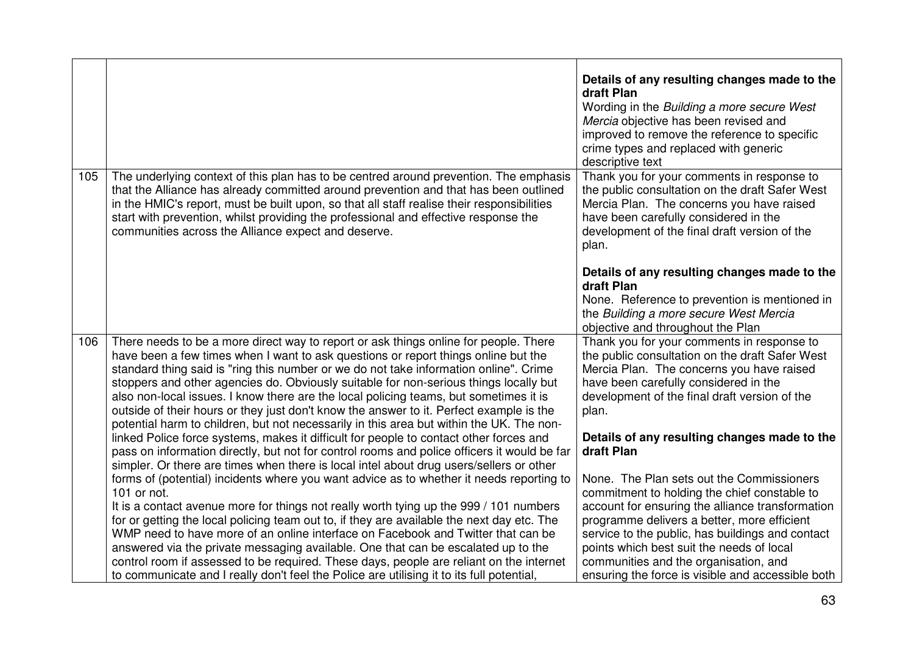|     |                                                                                                                                                                                                                                                                                                                                                                                                                                                                                                                                                                                                                                              | Details of any resulting changes made to the<br>draft Plan<br>Wording in the Building a more secure West<br>Mercia objective has been revised and<br>improved to remove the reference to specific<br>crime types and replaced with generic<br>descriptive text                                 |
|-----|----------------------------------------------------------------------------------------------------------------------------------------------------------------------------------------------------------------------------------------------------------------------------------------------------------------------------------------------------------------------------------------------------------------------------------------------------------------------------------------------------------------------------------------------------------------------------------------------------------------------------------------------|------------------------------------------------------------------------------------------------------------------------------------------------------------------------------------------------------------------------------------------------------------------------------------------------|
| 105 | The underlying context of this plan has to be centred around prevention. The emphasis<br>that the Alliance has already committed around prevention and that has been outlined<br>in the HMIC's report, must be built upon, so that all staff realise their responsibilities<br>start with prevention, whilst providing the professional and effective response the<br>communities across the Alliance expect and deserve.                                                                                                                                                                                                                    | Thank you for your comments in response to<br>the public consultation on the draft Safer West<br>Mercia Plan. The concerns you have raised<br>have been carefully considered in the<br>development of the final draft version of the<br>plan.                                                  |
|     |                                                                                                                                                                                                                                                                                                                                                                                                                                                                                                                                                                                                                                              | Details of any resulting changes made to the<br>draft Plan<br>None. Reference to prevention is mentioned in<br>the Building a more secure West Mercia<br>objective and throughout the Plan                                                                                                     |
| 106 | There needs to be a more direct way to report or ask things online for people. There<br>have been a few times when I want to ask questions or report things online but the<br>standard thing said is "ring this number or we do not take information online". Crime<br>stoppers and other agencies do. Obviously suitable for non-serious things locally but<br>also non-local issues. I know there are the local policing teams, but sometimes it is<br>outside of their hours or they just don't know the answer to it. Perfect example is the<br>potential harm to children, but not necessarily in this area but within the UK. The non- | Thank you for your comments in response to<br>the public consultation on the draft Safer West<br>Mercia Plan. The concerns you have raised<br>have been carefully considered in the<br>development of the final draft version of the<br>plan.                                                  |
|     | linked Police force systems, makes it difficult for people to contact other forces and<br>pass on information directly, but not for control rooms and police officers it would be far<br>simpler. Or there are times when there is local intel about drug users/sellers or other<br>forms of (potential) incidents where you want advice as to whether it needs reporting to<br>101 or not.                                                                                                                                                                                                                                                  | Details of any resulting changes made to the<br>draft Plan<br>None. The Plan sets out the Commissioners<br>commitment to holding the chief constable to                                                                                                                                        |
|     | It is a contact avenue more for things not really worth tying up the 999 / 101 numbers<br>for or getting the local policing team out to, if they are available the next day etc. The<br>WMP need to have more of an online interface on Facebook and Twitter that can be<br>answered via the private messaging available. One that can be escalated up to the<br>control room if assessed to be required. These days, people are reliant on the internet<br>to communicate and I really don't feel the Police are utilising it to its full potential,                                                                                        | account for ensuring the alliance transformation<br>programme delivers a better, more efficient<br>service to the public, has buildings and contact<br>points which best suit the needs of local<br>communities and the organisation, and<br>ensuring the force is visible and accessible both |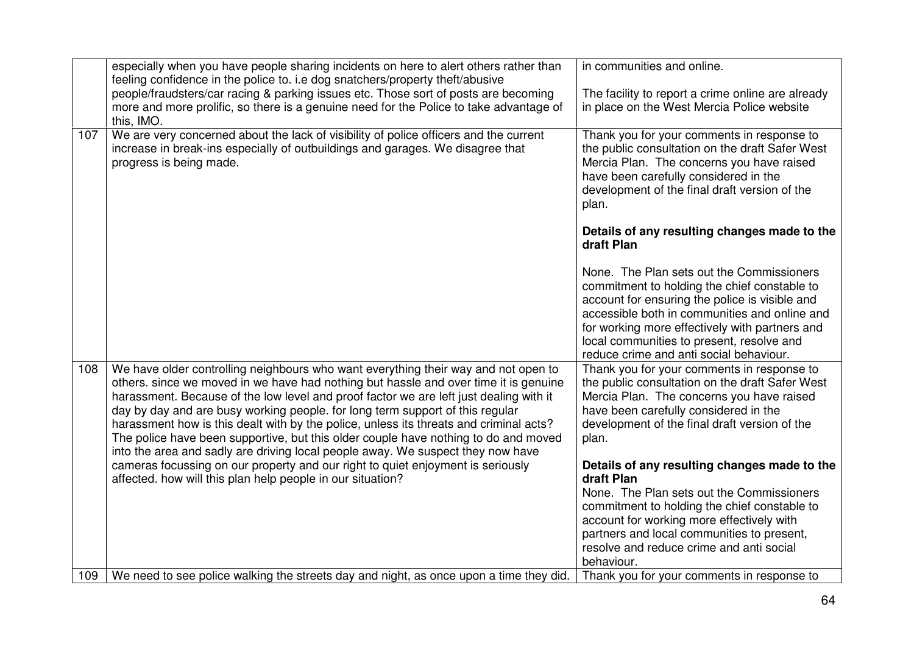|     | especially when you have people sharing incidents on here to alert others rather than                                                                                                                                                                                                                                                                                                                                                                                                                                                                                                                                     | in communities and online.                                                                                                                                                                                                                                                                                                             |
|-----|---------------------------------------------------------------------------------------------------------------------------------------------------------------------------------------------------------------------------------------------------------------------------------------------------------------------------------------------------------------------------------------------------------------------------------------------------------------------------------------------------------------------------------------------------------------------------------------------------------------------------|----------------------------------------------------------------------------------------------------------------------------------------------------------------------------------------------------------------------------------------------------------------------------------------------------------------------------------------|
|     | feeling confidence in the police to. i.e dog snatchers/property theft/abusive<br>people/fraudsters/car racing & parking issues etc. Those sort of posts are becoming                                                                                                                                                                                                                                                                                                                                                                                                                                                      | The facility to report a crime online are already                                                                                                                                                                                                                                                                                      |
|     | more and more prolific, so there is a genuine need for the Police to take advantage of                                                                                                                                                                                                                                                                                                                                                                                                                                                                                                                                    | in place on the West Mercia Police website                                                                                                                                                                                                                                                                                             |
|     | this, IMO.                                                                                                                                                                                                                                                                                                                                                                                                                                                                                                                                                                                                                |                                                                                                                                                                                                                                                                                                                                        |
| 107 | We are very concerned about the lack of visibility of police officers and the current<br>increase in break-ins especially of outbuildings and garages. We disagree that<br>progress is being made.                                                                                                                                                                                                                                                                                                                                                                                                                        | Thank you for your comments in response to<br>the public consultation on the draft Safer West<br>Mercia Plan. The concerns you have raised<br>have been carefully considered in the<br>development of the final draft version of the<br>plan.                                                                                          |
|     |                                                                                                                                                                                                                                                                                                                                                                                                                                                                                                                                                                                                                           | Details of any resulting changes made to the<br>draft Plan                                                                                                                                                                                                                                                                             |
|     |                                                                                                                                                                                                                                                                                                                                                                                                                                                                                                                                                                                                                           | None. The Plan sets out the Commissioners<br>commitment to holding the chief constable to<br>account for ensuring the police is visible and<br>accessible both in communities and online and<br>for working more effectively with partners and<br>local communities to present, resolve and<br>reduce crime and anti social behaviour. |
| 108 | We have older controlling neighbours who want everything their way and not open to<br>others, since we moved in we have had nothing but hassle and over time it is genuine<br>harassment. Because of the low level and proof factor we are left just dealing with it<br>day by day and are busy working people. for long term support of this regular<br>harassment how is this dealt with by the police, unless its threats and criminal acts?<br>The police have been supportive, but this older couple have nothing to do and moved<br>into the area and sadly are driving local people away. We suspect they now have | Thank you for your comments in response to<br>the public consultation on the draft Safer West<br>Mercia Plan. The concerns you have raised<br>have been carefully considered in the<br>development of the final draft version of the<br>plan.                                                                                          |
|     | cameras focussing on our property and our right to quiet enjoyment is seriously<br>affected. how will this plan help people in our situation?                                                                                                                                                                                                                                                                                                                                                                                                                                                                             | Details of any resulting changes made to the<br>draft Plan<br>None. The Plan sets out the Commissioners                                                                                                                                                                                                                                |
|     |                                                                                                                                                                                                                                                                                                                                                                                                                                                                                                                                                                                                                           | commitment to holding the chief constable to                                                                                                                                                                                                                                                                                           |
|     |                                                                                                                                                                                                                                                                                                                                                                                                                                                                                                                                                                                                                           | account for working more effectively with                                                                                                                                                                                                                                                                                              |
|     |                                                                                                                                                                                                                                                                                                                                                                                                                                                                                                                                                                                                                           | partners and local communities to present,                                                                                                                                                                                                                                                                                             |
|     |                                                                                                                                                                                                                                                                                                                                                                                                                                                                                                                                                                                                                           | resolve and reduce crime and anti social<br>behaviour.                                                                                                                                                                                                                                                                                 |
| 109 | We need to see police walking the streets day and night, as once upon a time they did.                                                                                                                                                                                                                                                                                                                                                                                                                                                                                                                                    | Thank you for your comments in response to                                                                                                                                                                                                                                                                                             |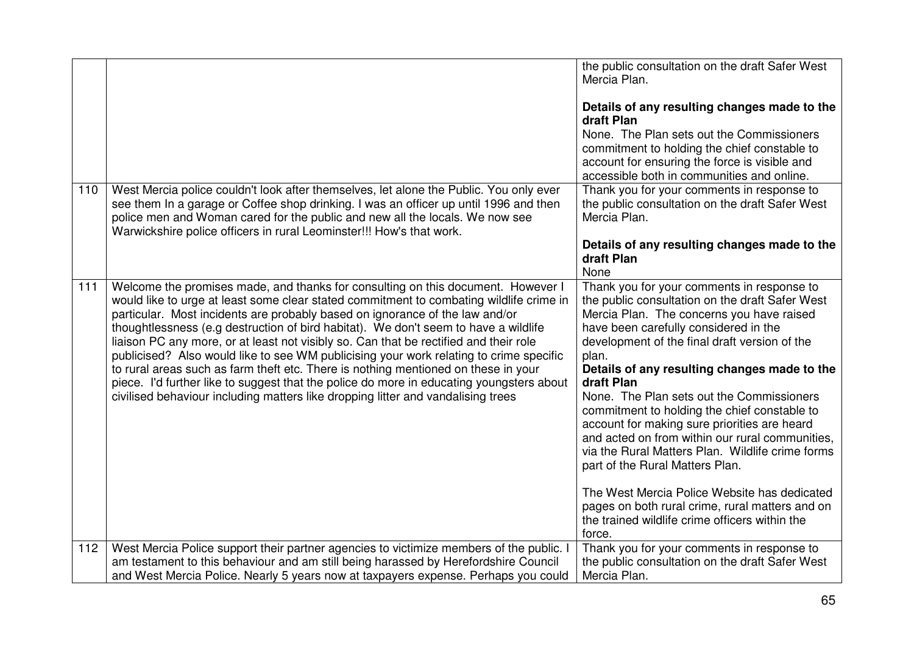|     |                                                                                                                                                                                                                                                                                                                                                                                                                                                                                                                                                                                                                                                                                                                                                                                                             | the public consultation on the draft Safer West<br>Mercia Plan.<br>Details of any resulting changes made to the<br>draft Plan<br>None. The Plan sets out the Commissioners<br>commitment to holding the chief constable to<br>account for ensuring the force is visible and<br>accessible both in communities and online.                                                                                                                                                                                                                                                                                                                          |
|-----|-------------------------------------------------------------------------------------------------------------------------------------------------------------------------------------------------------------------------------------------------------------------------------------------------------------------------------------------------------------------------------------------------------------------------------------------------------------------------------------------------------------------------------------------------------------------------------------------------------------------------------------------------------------------------------------------------------------------------------------------------------------------------------------------------------------|----------------------------------------------------------------------------------------------------------------------------------------------------------------------------------------------------------------------------------------------------------------------------------------------------------------------------------------------------------------------------------------------------------------------------------------------------------------------------------------------------------------------------------------------------------------------------------------------------------------------------------------------------|
| 110 | West Mercia police couldn't look after themselves, let alone the Public. You only ever<br>see them In a garage or Coffee shop drinking. I was an officer up until 1996 and then<br>police men and Woman cared for the public and new all the locals. We now see<br>Warwickshire police officers in rural Leominster!!! How's that work.                                                                                                                                                                                                                                                                                                                                                                                                                                                                     | Thank you for your comments in response to<br>the public consultation on the draft Safer West<br>Mercia Plan.<br>Details of any resulting changes made to the                                                                                                                                                                                                                                                                                                                                                                                                                                                                                      |
|     |                                                                                                                                                                                                                                                                                                                                                                                                                                                                                                                                                                                                                                                                                                                                                                                                             | draft Plan<br>None                                                                                                                                                                                                                                                                                                                                                                                                                                                                                                                                                                                                                                 |
| 111 | Welcome the promises made, and thanks for consulting on this document. However I<br>would like to urge at least some clear stated commitment to combating wildlife crime in<br>particular. Most incidents are probably based on ignorance of the law and/or<br>thoughtlessness (e.g destruction of bird habitat). We don't seem to have a wildlife<br>liaison PC any more, or at least not visibly so. Can that be rectified and their role<br>publicised? Also would like to see WM publicising your work relating to crime specific<br>to rural areas such as farm theft etc. There is nothing mentioned on these in your<br>piece. I'd further like to suggest that the police do more in educating youngsters about<br>civilised behaviour including matters like dropping litter and vandalising trees | Thank you for your comments in response to<br>the public consultation on the draft Safer West<br>Mercia Plan. The concerns you have raised<br>have been carefully considered in the<br>development of the final draft version of the<br>plan.<br>Details of any resulting changes made to the<br>draft Plan<br>None. The Plan sets out the Commissioners<br>commitment to holding the chief constable to<br>account for making sure priorities are heard<br>and acted on from within our rural communities,<br>via the Rural Matters Plan. Wildlife crime forms<br>part of the Rural Matters Plan.<br>The West Mercia Police Website has dedicated |
|     |                                                                                                                                                                                                                                                                                                                                                                                                                                                                                                                                                                                                                                                                                                                                                                                                             | pages on both rural crime, rural matters and on<br>the trained wildlife crime officers within the<br>force.                                                                                                                                                                                                                                                                                                                                                                                                                                                                                                                                        |
| 112 | West Mercia Police support their partner agencies to victimize members of the public.<br>am testament to this behaviour and am still being harassed by Herefordshire Council<br>and West Mercia Police. Nearly 5 years now at taxpayers expense. Perhaps you could                                                                                                                                                                                                                                                                                                                                                                                                                                                                                                                                          | Thank you for your comments in response to<br>the public consultation on the draft Safer West<br>Mercia Plan.                                                                                                                                                                                                                                                                                                                                                                                                                                                                                                                                      |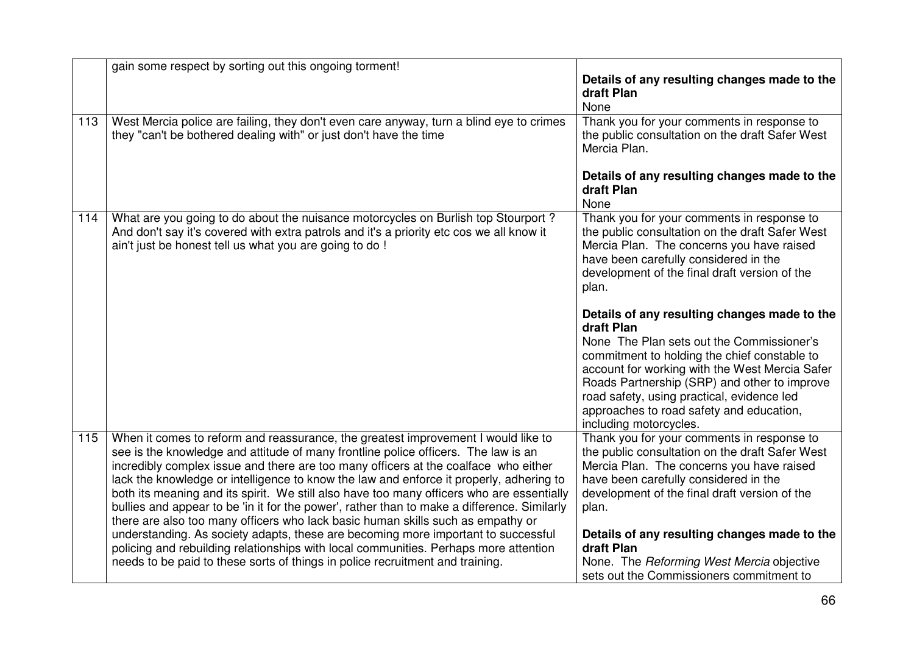|     | gain some respect by sorting out this ongoing torment!                                                                                                                                                                                                                                                                                                                                                                                                                                                                                                                                                                                                                                                                                                                                                                                                                                                 |                                                                                                                                                                                                                                                                                                                                                                                                      |
|-----|--------------------------------------------------------------------------------------------------------------------------------------------------------------------------------------------------------------------------------------------------------------------------------------------------------------------------------------------------------------------------------------------------------------------------------------------------------------------------------------------------------------------------------------------------------------------------------------------------------------------------------------------------------------------------------------------------------------------------------------------------------------------------------------------------------------------------------------------------------------------------------------------------------|------------------------------------------------------------------------------------------------------------------------------------------------------------------------------------------------------------------------------------------------------------------------------------------------------------------------------------------------------------------------------------------------------|
|     |                                                                                                                                                                                                                                                                                                                                                                                                                                                                                                                                                                                                                                                                                                                                                                                                                                                                                                        | Details of any resulting changes made to the<br>draft Plan<br>None                                                                                                                                                                                                                                                                                                                                   |
| 113 | West Mercia police are failing, they don't even care anyway, turn a blind eye to crimes<br>they "can't be bothered dealing with" or just don't have the time                                                                                                                                                                                                                                                                                                                                                                                                                                                                                                                                                                                                                                                                                                                                           | Thank you for your comments in response to<br>the public consultation on the draft Safer West<br>Mercia Plan.                                                                                                                                                                                                                                                                                        |
|     |                                                                                                                                                                                                                                                                                                                                                                                                                                                                                                                                                                                                                                                                                                                                                                                                                                                                                                        | Details of any resulting changes made to the<br>draft Plan<br>None                                                                                                                                                                                                                                                                                                                                   |
| 114 | What are you going to do about the nuisance motorcycles on Burlish top Stourport?<br>And don't say it's covered with extra patrols and it's a priority etc cos we all know it<br>ain't just be honest tell us what you are going to do !                                                                                                                                                                                                                                                                                                                                                                                                                                                                                                                                                                                                                                                               | Thank you for your comments in response to<br>the public consultation on the draft Safer West<br>Mercia Plan. The concerns you have raised<br>have been carefully considered in the<br>development of the final draft version of the<br>plan.                                                                                                                                                        |
|     |                                                                                                                                                                                                                                                                                                                                                                                                                                                                                                                                                                                                                                                                                                                                                                                                                                                                                                        | Details of any resulting changes made to the<br>draft Plan<br>None The Plan sets out the Commissioner's<br>commitment to holding the chief constable to<br>account for working with the West Mercia Safer<br>Roads Partnership (SRP) and other to improve<br>road safety, using practical, evidence led<br>approaches to road safety and education,<br>including motorcycles.                        |
| 115 | When it comes to reform and reassurance, the greatest improvement I would like to<br>see is the knowledge and attitude of many frontline police officers. The law is an<br>incredibly complex issue and there are too many officers at the coalface who either<br>lack the knowledge or intelligence to know the law and enforce it properly, adhering to<br>both its meaning and its spirit. We still also have too many officers who are essentially<br>bullies and appear to be 'in it for the power', rather than to make a difference. Similarly<br>there are also too many officers who lack basic human skills such as empathy or<br>understanding. As society adapts, these are becoming more important to successful<br>policing and rebuilding relationships with local communities. Perhaps more attention<br>needs to be paid to these sorts of things in police recruitment and training. | Thank you for your comments in response to<br>the public consultation on the draft Safer West<br>Mercia Plan. The concerns you have raised<br>have been carefully considered in the<br>development of the final draft version of the<br>plan.<br>Details of any resulting changes made to the<br>draft Plan<br>None. The Reforming West Mercia objective<br>sets out the Commissioners commitment to |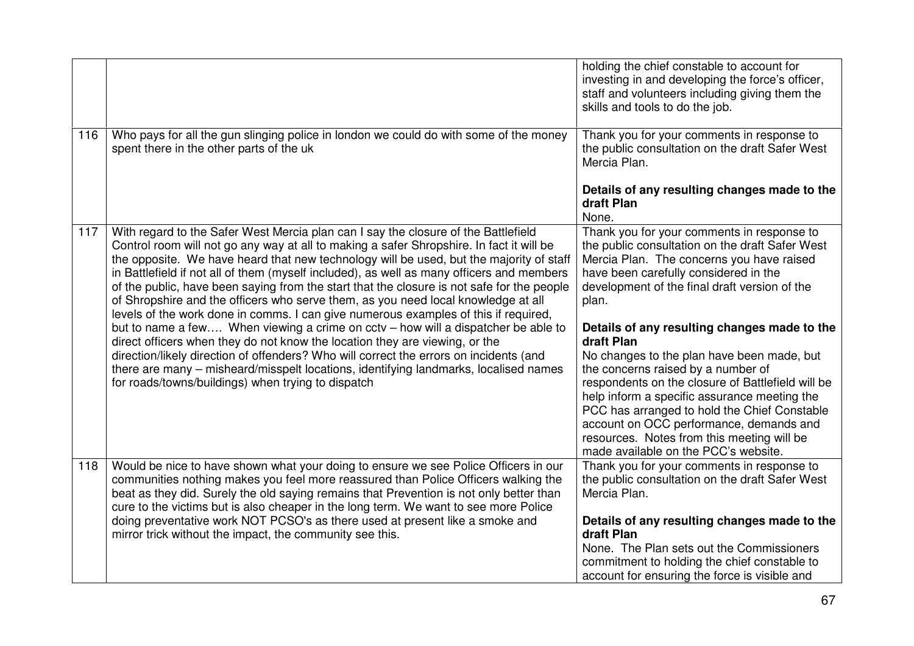|     |                                                                                                                                                                                                                                                                                                                                                                                                                                                                                                                                                                                                                                                                                                                                                                                                                                                                                                                                                                                                                                                              | holding the chief constable to account for<br>investing in and developing the force's officer,<br>staff and volunteers including giving them the<br>skills and tools to do the job.                                                                                                                                                                                                                                                                                                                                                                                                                                                                                                   |
|-----|--------------------------------------------------------------------------------------------------------------------------------------------------------------------------------------------------------------------------------------------------------------------------------------------------------------------------------------------------------------------------------------------------------------------------------------------------------------------------------------------------------------------------------------------------------------------------------------------------------------------------------------------------------------------------------------------------------------------------------------------------------------------------------------------------------------------------------------------------------------------------------------------------------------------------------------------------------------------------------------------------------------------------------------------------------------|---------------------------------------------------------------------------------------------------------------------------------------------------------------------------------------------------------------------------------------------------------------------------------------------------------------------------------------------------------------------------------------------------------------------------------------------------------------------------------------------------------------------------------------------------------------------------------------------------------------------------------------------------------------------------------------|
| 116 | Who pays for all the gun slinging police in london we could do with some of the money<br>spent there in the other parts of the uk                                                                                                                                                                                                                                                                                                                                                                                                                                                                                                                                                                                                                                                                                                                                                                                                                                                                                                                            | Thank you for your comments in response to<br>the public consultation on the draft Safer West<br>Mercia Plan.                                                                                                                                                                                                                                                                                                                                                                                                                                                                                                                                                                         |
|     |                                                                                                                                                                                                                                                                                                                                                                                                                                                                                                                                                                                                                                                                                                                                                                                                                                                                                                                                                                                                                                                              | Details of any resulting changes made to the<br>draft Plan<br>None.                                                                                                                                                                                                                                                                                                                                                                                                                                                                                                                                                                                                                   |
| 117 | With regard to the Safer West Mercia plan can I say the closure of the Battlefield<br>Control room will not go any way at all to making a safer Shropshire. In fact it will be<br>the opposite. We have heard that new technology will be used, but the majority of staff<br>in Battlefield if not all of them (myself included), as well as many officers and members<br>of the public, have been saying from the start that the closure is not safe for the people<br>of Shropshire and the officers who serve them, as you need local knowledge at all<br>levels of the work done in comms. I can give numerous examples of this if required,<br>but to name a few When viewing a crime on cctv - how will a dispatcher be able to<br>direct officers when they do not know the location they are viewing, or the<br>direction/likely direction of offenders? Who will correct the errors on incidents (and<br>there are many - misheard/misspelt locations, identifying landmarks, localised names<br>for roads/towns/buildings) when trying to dispatch | Thank you for your comments in response to<br>the public consultation on the draft Safer West<br>Mercia Plan. The concerns you have raised<br>have been carefully considered in the<br>development of the final draft version of the<br>plan.<br>Details of any resulting changes made to the<br>draft Plan<br>No changes to the plan have been made, but<br>the concerns raised by a number of<br>respondents on the closure of Battlefield will be<br>help inform a specific assurance meeting the<br>PCC has arranged to hold the Chief Constable<br>account on OCC performance, demands and<br>resources. Notes from this meeting will be<br>made available on the PCC's website. |
| 118 | Would be nice to have shown what your doing to ensure we see Police Officers in our<br>communities nothing makes you feel more reassured than Police Officers walking the<br>beat as they did. Surely the old saying remains that Prevention is not only better than<br>cure to the victims but is also cheaper in the long term. We want to see more Police                                                                                                                                                                                                                                                                                                                                                                                                                                                                                                                                                                                                                                                                                                 | Thank you for your comments in response to<br>the public consultation on the draft Safer West<br>Mercia Plan.                                                                                                                                                                                                                                                                                                                                                                                                                                                                                                                                                                         |
|     | doing preventative work NOT PCSO's as there used at present like a smoke and<br>mirror trick without the impact, the community see this.                                                                                                                                                                                                                                                                                                                                                                                                                                                                                                                                                                                                                                                                                                                                                                                                                                                                                                                     | Details of any resulting changes made to the<br>draft Plan<br>None. The Plan sets out the Commissioners<br>commitment to holding the chief constable to<br>account for ensuring the force is visible and                                                                                                                                                                                                                                                                                                                                                                                                                                                                              |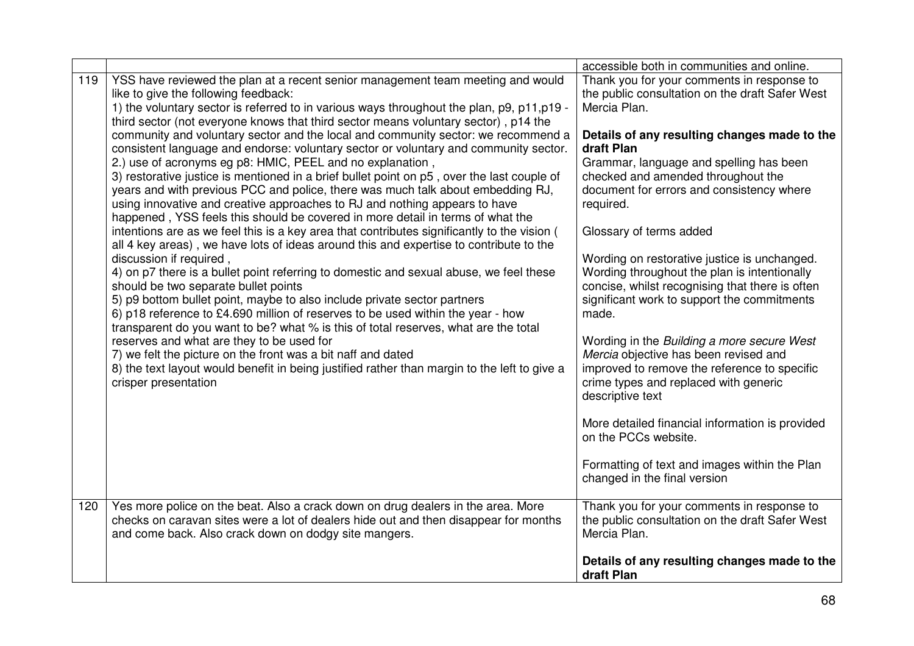|     |                                                                                                                                                                                                                                                                                                                                                                                                                                                                                                                                                                                                                                                                                             | accessible both in communities and online.                                                                                                                                                              |
|-----|---------------------------------------------------------------------------------------------------------------------------------------------------------------------------------------------------------------------------------------------------------------------------------------------------------------------------------------------------------------------------------------------------------------------------------------------------------------------------------------------------------------------------------------------------------------------------------------------------------------------------------------------------------------------------------------------|---------------------------------------------------------------------------------------------------------------------------------------------------------------------------------------------------------|
| 119 | YSS have reviewed the plan at a recent senior management team meeting and would<br>like to give the following feedback:<br>1) the voluntary sector is referred to in various ways throughout the plan, p9, p11, p19 -<br>third sector (not everyone knows that third sector means voluntary sector), p14 the<br>community and voluntary sector and the local and community sector: we recommend a                                                                                                                                                                                                                                                                                           | Thank you for your comments in response to<br>the public consultation on the draft Safer West<br>Mercia Plan.<br>Details of any resulting changes made to the                                           |
|     | consistent language and endorse: voluntary sector or voluntary and community sector.<br>2.) use of acronyms eg p8: HMIC, PEEL and no explanation,<br>3) restorative justice is mentioned in a brief bullet point on p5, over the last couple of<br>years and with previous PCC and police, there was much talk about embedding RJ,<br>using innovative and creative approaches to RJ and nothing appears to have<br>happened, YSS feels this should be covered in more detail in terms of what the<br>intentions are as we feel this is a key area that contributes significantly to the vision (<br>all 4 key areas), we have lots of ideas around this and expertise to contribute to the | draft Plan<br>Grammar, language and spelling has been<br>checked and amended throughout the<br>document for errors and consistency where<br>required.<br>Glossary of terms added                        |
|     | discussion if required,<br>4) on p7 there is a bullet point referring to domestic and sexual abuse, we feel these<br>should be two separate bullet points<br>5) p9 bottom bullet point, maybe to also include private sector partners<br>6) p18 reference to £4.690 million of reserves to be used within the year - how<br>transparent do you want to be? what % is this of total reserves, what are the total                                                                                                                                                                                                                                                                             | Wording on restorative justice is unchanged.<br>Wording throughout the plan is intentionally<br>concise, whilst recognising that there is often<br>significant work to support the commitments<br>made. |
|     | reserves and what are they to be used for<br>7) we felt the picture on the front was a bit naff and dated<br>8) the text layout would benefit in being justified rather than margin to the left to give a<br>crisper presentation                                                                                                                                                                                                                                                                                                                                                                                                                                                           | Wording in the Building a more secure West<br>Mercia objective has been revised and<br>improved to remove the reference to specific<br>crime types and replaced with generic<br>descriptive text        |
|     |                                                                                                                                                                                                                                                                                                                                                                                                                                                                                                                                                                                                                                                                                             | More detailed financial information is provided<br>on the PCCs website.                                                                                                                                 |
|     |                                                                                                                                                                                                                                                                                                                                                                                                                                                                                                                                                                                                                                                                                             | Formatting of text and images within the Plan<br>changed in the final version                                                                                                                           |
| 120 | Yes more police on the beat. Also a crack down on drug dealers in the area. More<br>checks on caravan sites were a lot of dealers hide out and then disappear for months<br>and come back. Also crack down on dodgy site mangers.                                                                                                                                                                                                                                                                                                                                                                                                                                                           | Thank you for your comments in response to<br>the public consultation on the draft Safer West<br>Mercia Plan.                                                                                           |
|     |                                                                                                                                                                                                                                                                                                                                                                                                                                                                                                                                                                                                                                                                                             | Details of any resulting changes made to the<br>draft Plan                                                                                                                                              |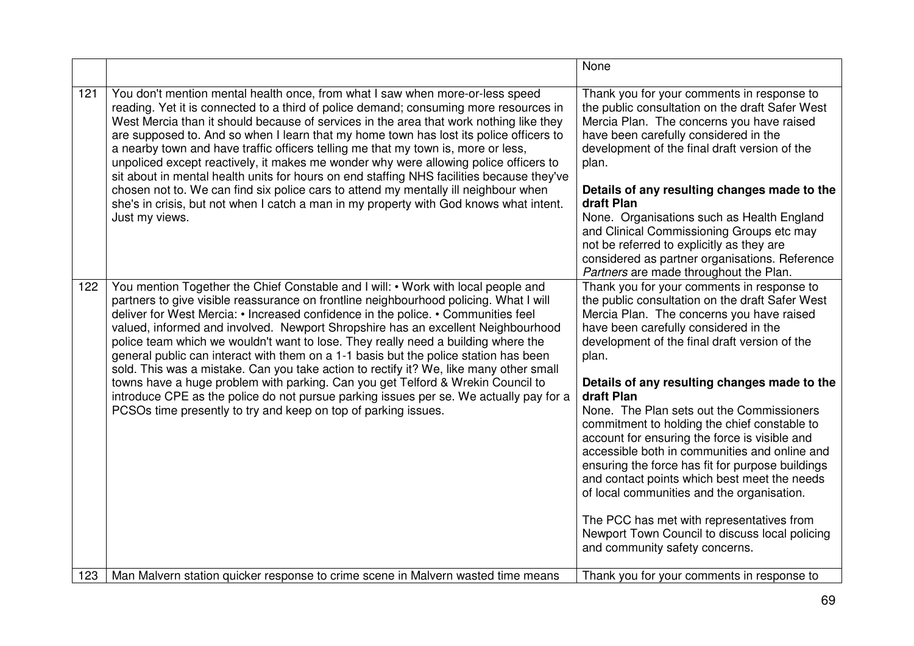|     |                                                                                                                                                                                                                                                                                                                                                                                                                                                                                                                                                                                                                                                                                                                                                                                                                                                                           | None                                                                                                                                                                                                                                                                                                                                                                                                                                                                                                                                                                                                                                                                                                                                                                                          |
|-----|---------------------------------------------------------------------------------------------------------------------------------------------------------------------------------------------------------------------------------------------------------------------------------------------------------------------------------------------------------------------------------------------------------------------------------------------------------------------------------------------------------------------------------------------------------------------------------------------------------------------------------------------------------------------------------------------------------------------------------------------------------------------------------------------------------------------------------------------------------------------------|-----------------------------------------------------------------------------------------------------------------------------------------------------------------------------------------------------------------------------------------------------------------------------------------------------------------------------------------------------------------------------------------------------------------------------------------------------------------------------------------------------------------------------------------------------------------------------------------------------------------------------------------------------------------------------------------------------------------------------------------------------------------------------------------------|
| 121 | You don't mention mental health once, from what I saw when more-or-less speed<br>reading. Yet it is connected to a third of police demand; consuming more resources in<br>West Mercia than it should because of services in the area that work nothing like they<br>are supposed to. And so when I learn that my home town has lost its police officers to<br>a nearby town and have traffic officers telling me that my town is, more or less,<br>unpoliced except reactively, it makes me wonder why were allowing police officers to<br>sit about in mental health units for hours on end staffing NHS facilities because they've<br>chosen not to. We can find six police cars to attend my mentally ill neighbour when<br>she's in crisis, but not when I catch a man in my property with God knows what intent.<br>Just my views.                                   | Thank you for your comments in response to<br>the public consultation on the draft Safer West<br>Mercia Plan. The concerns you have raised<br>have been carefully considered in the<br>development of the final draft version of the<br>plan.<br>Details of any resulting changes made to the<br>draft Plan<br>None. Organisations such as Health England<br>and Clinical Commissioning Groups etc may<br>not be referred to explicitly as they are<br>considered as partner organisations. Reference<br>Partners are made throughout the Plan.                                                                                                                                                                                                                                               |
| 122 | You mention Together the Chief Constable and I will: • Work with local people and<br>partners to give visible reassurance on frontline neighbourhood policing. What I will<br>deliver for West Mercia: • Increased confidence in the police. • Communities feel<br>valued, informed and involved. Newport Shropshire has an excellent Neighbourhood<br>police team which we wouldn't want to lose. They really need a building where the<br>general public can interact with them on a 1-1 basis but the police station has been<br>sold. This was a mistake. Can you take action to rectify it? We, like many other small<br>towns have a huge problem with parking. Can you get Telford & Wrekin Council to<br>introduce CPE as the police do not pursue parking issues per se. We actually pay for a<br>PCSOs time presently to try and keep on top of parking issues. | Thank you for your comments in response to<br>the public consultation on the draft Safer West<br>Mercia Plan. The concerns you have raised<br>have been carefully considered in the<br>development of the final draft version of the<br>plan.<br>Details of any resulting changes made to the<br>draft Plan<br>None. The Plan sets out the Commissioners<br>commitment to holding the chief constable to<br>account for ensuring the force is visible and<br>accessible both in communities and online and<br>ensuring the force has fit for purpose buildings<br>and contact points which best meet the needs<br>of local communities and the organisation.<br>The PCC has met with representatives from<br>Newport Town Council to discuss local policing<br>and community safety concerns. |
| 123 | Man Malvern station quicker response to crime scene in Malvern wasted time means                                                                                                                                                                                                                                                                                                                                                                                                                                                                                                                                                                                                                                                                                                                                                                                          | Thank you for your comments in response to                                                                                                                                                                                                                                                                                                                                                                                                                                                                                                                                                                                                                                                                                                                                                    |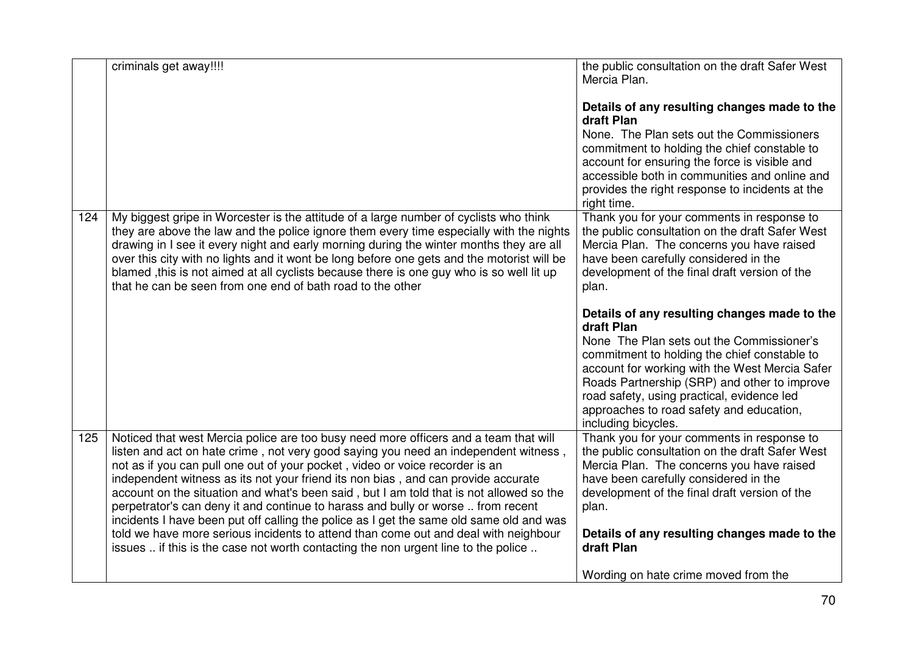|     | criminals get away!!!!                                                                                                                                                                                                                                                                                                                                                                                                                                                                                                                                                                                                                                                                                            | the public consultation on the draft Safer West<br>Mercia Plan.                                                                                                                                                                                                                                                                                                            |
|-----|-------------------------------------------------------------------------------------------------------------------------------------------------------------------------------------------------------------------------------------------------------------------------------------------------------------------------------------------------------------------------------------------------------------------------------------------------------------------------------------------------------------------------------------------------------------------------------------------------------------------------------------------------------------------------------------------------------------------|----------------------------------------------------------------------------------------------------------------------------------------------------------------------------------------------------------------------------------------------------------------------------------------------------------------------------------------------------------------------------|
|     |                                                                                                                                                                                                                                                                                                                                                                                                                                                                                                                                                                                                                                                                                                                   | Details of any resulting changes made to the<br>draft Plan                                                                                                                                                                                                                                                                                                                 |
|     |                                                                                                                                                                                                                                                                                                                                                                                                                                                                                                                                                                                                                                                                                                                   | None. The Plan sets out the Commissioners<br>commitment to holding the chief constable to                                                                                                                                                                                                                                                                                  |
|     |                                                                                                                                                                                                                                                                                                                                                                                                                                                                                                                                                                                                                                                                                                                   | account for ensuring the force is visible and<br>accessible both in communities and online and                                                                                                                                                                                                                                                                             |
|     |                                                                                                                                                                                                                                                                                                                                                                                                                                                                                                                                                                                                                                                                                                                   | provides the right response to incidents at the<br>right time.                                                                                                                                                                                                                                                                                                             |
| 124 | My biggest gripe in Worcester is the attitude of a large number of cyclists who think<br>they are above the law and the police ignore them every time especially with the nights<br>drawing in I see it every night and early morning during the winter months they are all<br>over this city with no lights and it wont be long before one gets and the motorist will be<br>blamed , this is not aimed at all cyclists because there is one guy who is so well lit up<br>that he can be seen from one end of bath road to the other                                                                                                                                                                              | Thank you for your comments in response to<br>the public consultation on the draft Safer West<br>Mercia Plan. The concerns you have raised<br>have been carefully considered in the<br>development of the final draft version of the<br>plan.                                                                                                                              |
|     |                                                                                                                                                                                                                                                                                                                                                                                                                                                                                                                                                                                                                                                                                                                   | Details of any resulting changes made to the<br>draft Plan<br>None The Plan sets out the Commissioner's<br>commitment to holding the chief constable to<br>account for working with the West Mercia Safer<br>Roads Partnership (SRP) and other to improve<br>road safety, using practical, evidence led<br>approaches to road safety and education,<br>including bicycles. |
| 125 | Noticed that west Mercia police are too busy need more officers and a team that will<br>listen and act on hate crime, not very good saying you need an independent witness,<br>not as if you can pull one out of your pocket, video or voice recorder is an<br>independent witness as its not your friend its non bias, and can provide accurate<br>account on the situation and what's been said, but I am told that is not allowed so the<br>perpetrator's can deny it and continue to harass and bully or worse  from recent<br>incidents I have been put off calling the police as I get the same old same old and was<br>told we have more serious incidents to attend than come out and deal with neighbour | Thank you for your comments in response to<br>the public consultation on the draft Safer West<br>Mercia Plan. The concerns you have raised<br>have been carefully considered in the<br>development of the final draft version of the<br>plan.<br>Details of any resulting changes made to the                                                                              |
|     | issues  if this is the case not worth contacting the non urgent line to the police                                                                                                                                                                                                                                                                                                                                                                                                                                                                                                                                                                                                                                | draft Plan<br>Wording on hate crime moved from the                                                                                                                                                                                                                                                                                                                         |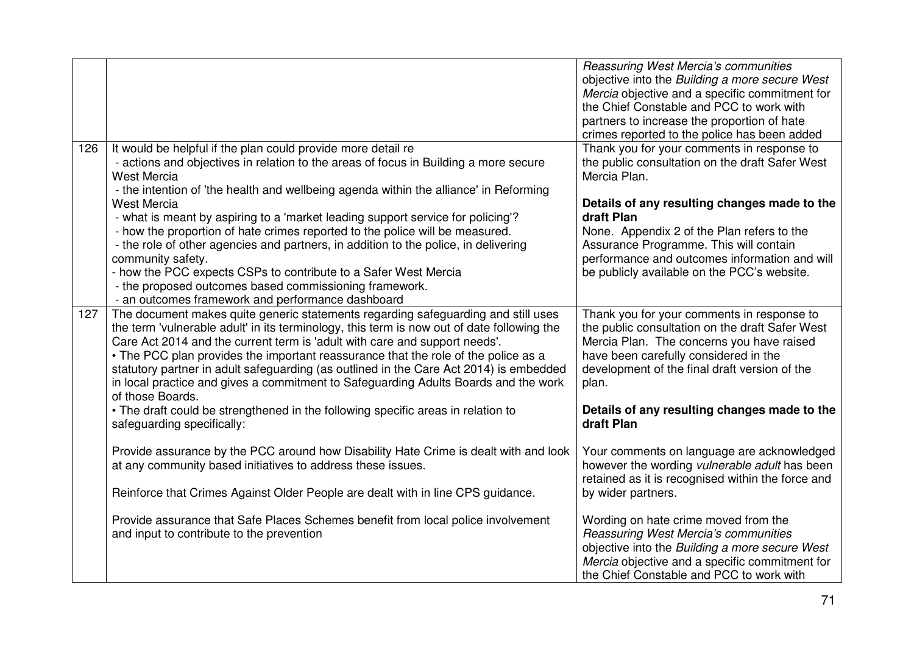|     |                                                                                                                                                                                                                                                                                                                                                                                                                                                                                                                                                                                                                                                                                                                                                            | Reassuring West Mercia's communities<br>objective into the Building a more secure West<br>Mercia objective and a specific commitment for<br>the Chief Constable and PCC to work with<br>partners to increase the proportion of hate<br>crimes reported to the police has been added                                                                                 |
|-----|------------------------------------------------------------------------------------------------------------------------------------------------------------------------------------------------------------------------------------------------------------------------------------------------------------------------------------------------------------------------------------------------------------------------------------------------------------------------------------------------------------------------------------------------------------------------------------------------------------------------------------------------------------------------------------------------------------------------------------------------------------|---------------------------------------------------------------------------------------------------------------------------------------------------------------------------------------------------------------------------------------------------------------------------------------------------------------------------------------------------------------------|
| 126 | It would be helpful if the plan could provide more detail re<br>- actions and objectives in relation to the areas of focus in Building a more secure<br><b>West Mercia</b><br>- the intention of 'the health and wellbeing agenda within the alliance' in Reforming<br><b>West Mercia</b><br>- what is meant by aspiring to a 'market leading support service for policing'?<br>- how the proportion of hate crimes reported to the police will be measured.<br>- the role of other agencies and partners, in addition to the police, in delivering<br>community safety.<br>- how the PCC expects CSPs to contribute to a Safer West Mercia<br>- the proposed outcomes based commissioning framework.<br>- an outcomes framework and performance dashboard | Thank you for your comments in response to<br>the public consultation on the draft Safer West<br>Mercia Plan.<br>Details of any resulting changes made to the<br>draft Plan<br>None. Appendix 2 of the Plan refers to the<br>Assurance Programme. This will contain<br>performance and outcomes information and will<br>be publicly available on the PCC's website. |
| 127 | The document makes quite generic statements regarding safeguarding and still uses<br>the term 'vulnerable adult' in its terminology, this term is now out of date following the<br>Care Act 2014 and the current term is 'adult with care and support needs'.<br>• The PCC plan provides the important reassurance that the role of the police as a<br>statutory partner in adult safeguarding (as outlined in the Care Act 2014) is embedded<br>in local practice and gives a commitment to Safeguarding Adults Boards and the work<br>of those Boards.                                                                                                                                                                                                   | Thank you for your comments in response to<br>the public consultation on the draft Safer West<br>Mercia Plan. The concerns you have raised<br>have been carefully considered in the<br>development of the final draft version of the<br>plan.                                                                                                                       |
|     | • The draft could be strengthened in the following specific areas in relation to<br>safeguarding specifically:                                                                                                                                                                                                                                                                                                                                                                                                                                                                                                                                                                                                                                             | Details of any resulting changes made to the<br>draft Plan                                                                                                                                                                                                                                                                                                          |
|     | Provide assurance by the PCC around how Disability Hate Crime is dealt with and look<br>at any community based initiatives to address these issues.                                                                                                                                                                                                                                                                                                                                                                                                                                                                                                                                                                                                        | Your comments on language are acknowledged<br>however the wording vulnerable adult has been<br>retained as it is recognised within the force and                                                                                                                                                                                                                    |
|     | Reinforce that Crimes Against Older People are dealt with in line CPS guidance.                                                                                                                                                                                                                                                                                                                                                                                                                                                                                                                                                                                                                                                                            | by wider partners.                                                                                                                                                                                                                                                                                                                                                  |
|     | Provide assurance that Safe Places Schemes benefit from local police involvement<br>and input to contribute to the prevention                                                                                                                                                                                                                                                                                                                                                                                                                                                                                                                                                                                                                              | Wording on hate crime moved from the<br>Reassuring West Mercia's communities<br>objective into the Building a more secure West<br>Mercia objective and a specific commitment for<br>the Chief Constable and PCC to work with                                                                                                                                        |